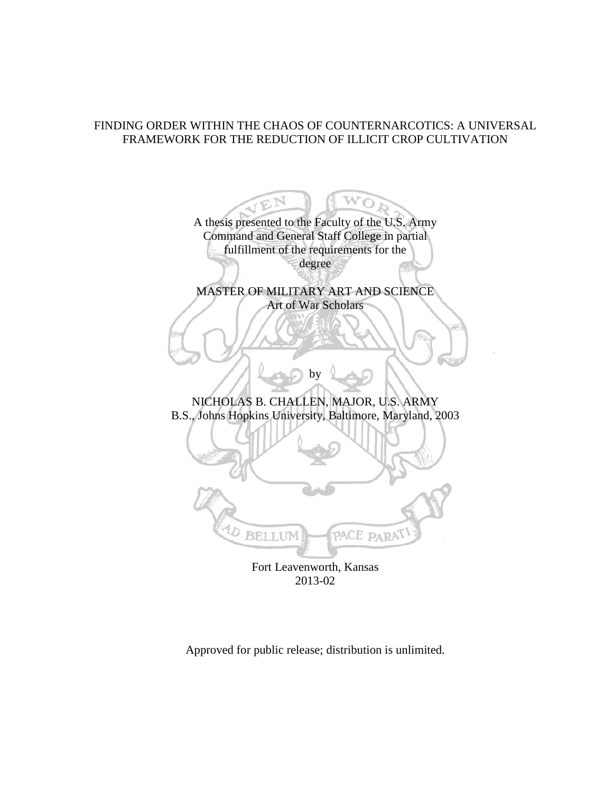# FINDING ORDER WITHIN THE CHAOS OF COUNTERNARCOTICS: A UNIVERSAL FRAMEWORK FOR THE REDUCTION OF ILLICIT CROP CULTIVATION

A thesis presented to the Faculty of the U.S. Army Command and General Staff College in partial fulfillment of the requirements for the degree MASTER OF MILITARY ART AND SCIENCE Art of War Scholars by NICHOLAS B. CHALLEN, MAJOR, U.S. ARMY B.S., Johns Hopkins University, Baltimore, Maryland, 2003 **BELLUM** PACE PARA Fort Leavenworth, Kansas

2013-02

Approved for public release; distribution is unlimited.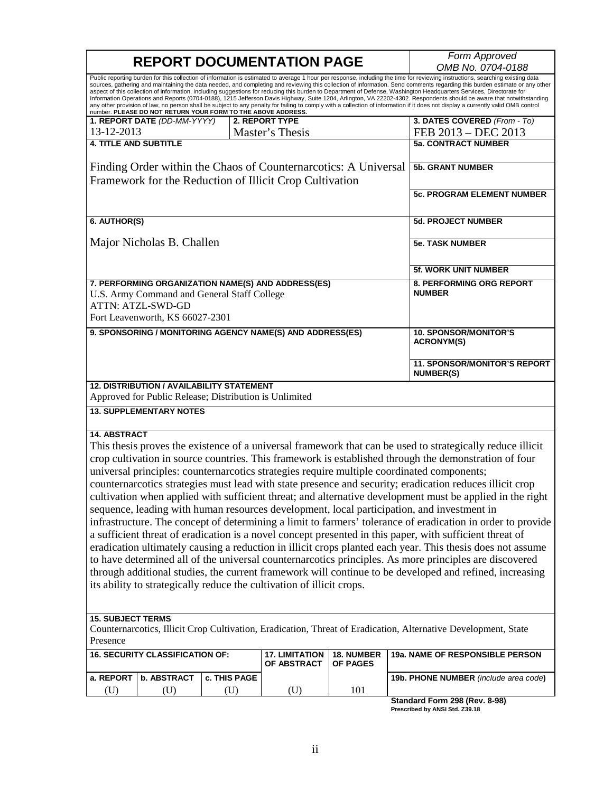| <b>REPORT DOCUMENTATION PAGE</b> |                                                                                                            |              |                                                                                                                            | Form Approved<br>OMB No. 0704-0188 |                                                                                                                                                                                                                                                                                                                                                                                                                                                                                                                                                                                                                                                                                                                                                                                                                                                                                                   |
|----------------------------------|------------------------------------------------------------------------------------------------------------|--------------|----------------------------------------------------------------------------------------------------------------------------|------------------------------------|---------------------------------------------------------------------------------------------------------------------------------------------------------------------------------------------------------------------------------------------------------------------------------------------------------------------------------------------------------------------------------------------------------------------------------------------------------------------------------------------------------------------------------------------------------------------------------------------------------------------------------------------------------------------------------------------------------------------------------------------------------------------------------------------------------------------------------------------------------------------------------------------------|
|                                  | number. PLEASE DO NOT RETURN YOUR FORM TO THE ABOVE ADDRESS.                                               |              |                                                                                                                            |                                    | Public reporting burden for this collection of information is estimated to average 1 hour per response, including the time for reviewing instructions, searching existing data<br>sources, gathering and maintaining the data needed, and completing and reviewing this collection of information. Send comments regarding this burden estimate or any other<br>aspect of this collection of information, including suggestions for reducing this burden to Department of Defense, Washington Headquarters Services, Directorate for<br>Information Operations and Reports (0704-0188), 1215 Jefferson Davis Highway, Suite 1204, Arlington, VA 22202-4302. Respondents should be aware that notwithstanding<br>any other provision of law, no person shall be subject to any penalty for failing to comply with a collection of information if it does not display a currently valid OMB control |
|                                  | 1. REPORT DATE (DD-MM-YYYY)                                                                                |              | 2. REPORT TYPE                                                                                                             |                                    | 3. DATES COVERED (From - To)                                                                                                                                                                                                                                                                                                                                                                                                                                                                                                                                                                                                                                                                                                                                                                                                                                                                      |
| 13-12-2013                       |                                                                                                            |              | Master's Thesis                                                                                                            |                                    | FEB 2013 - DEC 2013                                                                                                                                                                                                                                                                                                                                                                                                                                                                                                                                                                                                                                                                                                                                                                                                                                                                               |
| <b>4. TITLE AND SUBTITLE</b>     |                                                                                                            |              |                                                                                                                            |                                    | <b>5a. CONTRACT NUMBER</b>                                                                                                                                                                                                                                                                                                                                                                                                                                                                                                                                                                                                                                                                                                                                                                                                                                                                        |
|                                  |                                                                                                            |              |                                                                                                                            |                                    |                                                                                                                                                                                                                                                                                                                                                                                                                                                                                                                                                                                                                                                                                                                                                                                                                                                                                                   |
|                                  |                                                                                                            |              | Finding Order within the Chaos of Counternarcotics: A Universal<br>Framework for the Reduction of Illicit Crop Cultivation |                                    | <b>5b. GRANT NUMBER</b>                                                                                                                                                                                                                                                                                                                                                                                                                                                                                                                                                                                                                                                                                                                                                                                                                                                                           |
|                                  |                                                                                                            |              |                                                                                                                            |                                    | <b>5c. PROGRAM ELEMENT NUMBER</b>                                                                                                                                                                                                                                                                                                                                                                                                                                                                                                                                                                                                                                                                                                                                                                                                                                                                 |
| 6. AUTHOR(S)                     |                                                                                                            |              |                                                                                                                            |                                    | <b>5d. PROJECT NUMBER</b>                                                                                                                                                                                                                                                                                                                                                                                                                                                                                                                                                                                                                                                                                                                                                                                                                                                                         |
|                                  | Major Nicholas B. Challen                                                                                  |              |                                                                                                                            |                                    | <b>5e. TASK NUMBER</b>                                                                                                                                                                                                                                                                                                                                                                                                                                                                                                                                                                                                                                                                                                                                                                                                                                                                            |
|                                  |                                                                                                            |              |                                                                                                                            |                                    | 5f. WORK UNIT NUMBER                                                                                                                                                                                                                                                                                                                                                                                                                                                                                                                                                                                                                                                                                                                                                                                                                                                                              |
|                                  | U.S. Army Command and General Staff College<br><b>ATTN: ATZL-SWD-GD</b><br>Fort Leavenworth, KS 66027-2301 |              | 7. PERFORMING ORGANIZATION NAME(S) AND ADDRESS(ES)                                                                         |                                    | <b>8. PERFORMING ORG REPORT</b><br><b>NUMBER</b>                                                                                                                                                                                                                                                                                                                                                                                                                                                                                                                                                                                                                                                                                                                                                                                                                                                  |
|                                  |                                                                                                            |              | 9. SPONSORING / MONITORING AGENCY NAME(S) AND ADDRESS(ES)                                                                  |                                    | <b>10. SPONSOR/MONITOR'S</b><br><b>ACRONYM(S)</b>                                                                                                                                                                                                                                                                                                                                                                                                                                                                                                                                                                                                                                                                                                                                                                                                                                                 |
|                                  |                                                                                                            |              |                                                                                                                            |                                    | <b>11. SPONSOR/MONITOR'S REPORT</b><br><b>NUMBER(S)</b>                                                                                                                                                                                                                                                                                                                                                                                                                                                                                                                                                                                                                                                                                                                                                                                                                                           |
|                                  | <b>12. DISTRIBUTION / AVAILABILITY STATEMENT</b><br>Approved for Public Release; Distribution is Unlimited |              |                                                                                                                            |                                    |                                                                                                                                                                                                                                                                                                                                                                                                                                                                                                                                                                                                                                                                                                                                                                                                                                                                                                   |
|                                  | <b>13. SUPPLEMENTARY NOTES</b>                                                                             |              |                                                                                                                            |                                    |                                                                                                                                                                                                                                                                                                                                                                                                                                                                                                                                                                                                                                                                                                                                                                                                                                                                                                   |
| <b>14. ABSTRACT</b>              |                                                                                                            |              |                                                                                                                            |                                    |                                                                                                                                                                                                                                                                                                                                                                                                                                                                                                                                                                                                                                                                                                                                                                                                                                                                                                   |
|                                  |                                                                                                            |              |                                                                                                                            |                                    | This thesis proves the existence of a universal framework that can be used to strategically reduce illicit                                                                                                                                                                                                                                                                                                                                                                                                                                                                                                                                                                                                                                                                                                                                                                                        |
|                                  |                                                                                                            |              |                                                                                                                            |                                    | crop cultivation in source countries. This framework is established through the demonstration of four                                                                                                                                                                                                                                                                                                                                                                                                                                                                                                                                                                                                                                                                                                                                                                                             |
|                                  |                                                                                                            |              |                                                                                                                            |                                    | universal principles: counternarcotics strategies require multiple coordinated components;                                                                                                                                                                                                                                                                                                                                                                                                                                                                                                                                                                                                                                                                                                                                                                                                        |
|                                  |                                                                                                            |              |                                                                                                                            |                                    | counternarcotics strategies must lead with state presence and security; eradication reduces illicit crop                                                                                                                                                                                                                                                                                                                                                                                                                                                                                                                                                                                                                                                                                                                                                                                          |
|                                  |                                                                                                            |              |                                                                                                                            |                                    | cultivation when applied with sufficient threat; and alternative development must be applied in the right                                                                                                                                                                                                                                                                                                                                                                                                                                                                                                                                                                                                                                                                                                                                                                                         |
|                                  |                                                                                                            |              |                                                                                                                            |                                    | sequence, leading with human resources development, local participation, and investment in                                                                                                                                                                                                                                                                                                                                                                                                                                                                                                                                                                                                                                                                                                                                                                                                        |
|                                  |                                                                                                            |              |                                                                                                                            |                                    | infrastructure. The concept of determining a limit to farmers' tolerance of eradication in order to provide                                                                                                                                                                                                                                                                                                                                                                                                                                                                                                                                                                                                                                                                                                                                                                                       |
|                                  |                                                                                                            |              |                                                                                                                            |                                    |                                                                                                                                                                                                                                                                                                                                                                                                                                                                                                                                                                                                                                                                                                                                                                                                                                                                                                   |
|                                  |                                                                                                            |              |                                                                                                                            |                                    | a sufficient threat of eradication is a novel concept presented in this paper, with sufficient threat of                                                                                                                                                                                                                                                                                                                                                                                                                                                                                                                                                                                                                                                                                                                                                                                          |
|                                  |                                                                                                            |              |                                                                                                                            |                                    | eradication ultimately causing a reduction in illicit crops planted each year. This thesis does not assume                                                                                                                                                                                                                                                                                                                                                                                                                                                                                                                                                                                                                                                                                                                                                                                        |
|                                  |                                                                                                            |              |                                                                                                                            |                                    | to have determined all of the universal counternarcotics principles. As more principles are discovered                                                                                                                                                                                                                                                                                                                                                                                                                                                                                                                                                                                                                                                                                                                                                                                            |
|                                  |                                                                                                            |              |                                                                                                                            |                                    | through additional studies, the current framework will continue to be developed and refined, increasing                                                                                                                                                                                                                                                                                                                                                                                                                                                                                                                                                                                                                                                                                                                                                                                           |
|                                  |                                                                                                            |              | its ability to strategically reduce the cultivation of illicit crops.                                                      |                                    |                                                                                                                                                                                                                                                                                                                                                                                                                                                                                                                                                                                                                                                                                                                                                                                                                                                                                                   |
|                                  |                                                                                                            |              |                                                                                                                            |                                    |                                                                                                                                                                                                                                                                                                                                                                                                                                                                                                                                                                                                                                                                                                                                                                                                                                                                                                   |
| <b>15. SUBJECT TERMS</b>         |                                                                                                            |              |                                                                                                                            |                                    |                                                                                                                                                                                                                                                                                                                                                                                                                                                                                                                                                                                                                                                                                                                                                                                                                                                                                                   |
|                                  |                                                                                                            |              |                                                                                                                            |                                    | Counternarcotics, Illicit Crop Cultivation, Eradication, Threat of Eradication, Alternative Development, State                                                                                                                                                                                                                                                                                                                                                                                                                                                                                                                                                                                                                                                                                                                                                                                    |
| Presence                         |                                                                                                            |              |                                                                                                                            |                                    |                                                                                                                                                                                                                                                                                                                                                                                                                                                                                                                                                                                                                                                                                                                                                                                                                                                                                                   |
|                                  | <b>16. SECURITY CLASSIFICATION OF:</b>                                                                     |              | <b>17. LIMITATION</b><br>OF ABSTRACT                                                                                       | 18. NUMBER<br><b>OF PAGES</b>      | 19a. NAME OF RESPONSIBLE PERSON                                                                                                                                                                                                                                                                                                                                                                                                                                                                                                                                                                                                                                                                                                                                                                                                                                                                   |
| a. REPORT                        | b. ABSTRACT                                                                                                | c. THIS PAGE |                                                                                                                            |                                    | 19b. PHONE NUMBER (include area code)                                                                                                                                                                                                                                                                                                                                                                                                                                                                                                                                                                                                                                                                                                                                                                                                                                                             |
| (U)                              | (U)                                                                                                        | (U)          | (U)                                                                                                                        | 101                                |                                                                                                                                                                                                                                                                                                                                                                                                                                                                                                                                                                                                                                                                                                                                                                                                                                                                                                   |

**Standard Form 298 (Rev. 8-98) Prescribed by ANSI Std. Z39.18**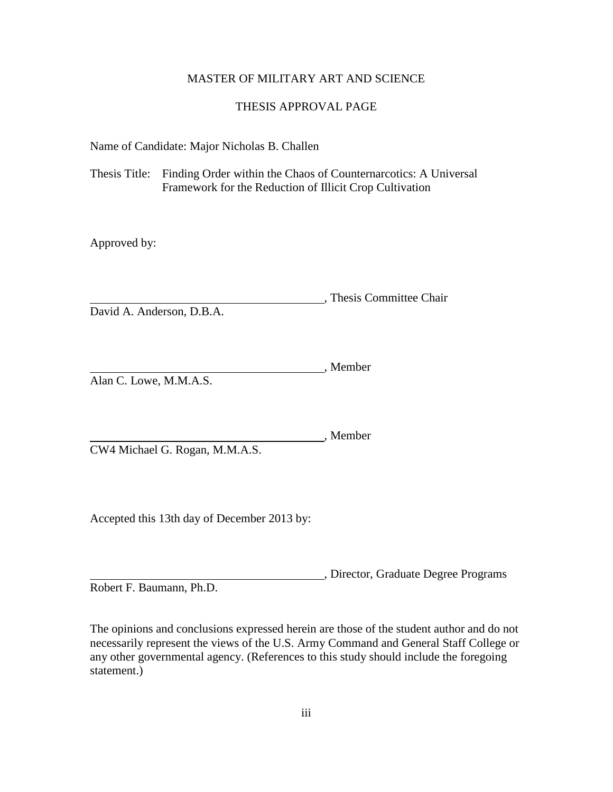### MASTER OF MILITARY ART AND SCIENCE

### THESIS APPROVAL PAGE

Name of Candidate: Major Nicholas B. Challen

Thesis Title: Finding Order within the Chaos of Counternarcotics: A Universal Framework for the Reduction of Illicit Crop Cultivation

Approved by:

, Thesis Committee Chair David A. Anderson, D.B.A.

Member Alan C. Lowe, M.M.A.S.

Member

CW4 Michael G. Rogan, M.M.A.S.

Accepted this 13th day of December 2013 by:

, Director, Graduate Degree Programs Robert F. Baumann, Ph.D.

The opinions and conclusions expressed herein are those of the student author and do not necessarily represent the views of the U.S. Army Command and General Staff College or any other governmental agency. (References to this study should include the foregoing statement.)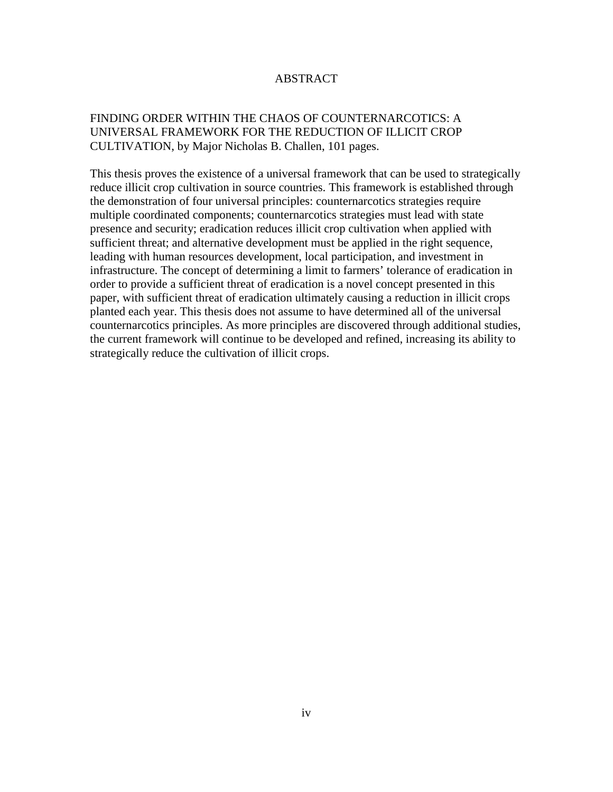## ABSTRACT

# FINDING ORDER WITHIN THE CHAOS OF COUNTERNARCOTICS: A UNIVERSAL FRAMEWORK FOR THE REDUCTION OF ILLICIT CROP CULTIVATION, by Major Nicholas B. Challen, 101 pages.

This thesis proves the existence of a universal framework that can be used to strategically reduce illicit crop cultivation in source countries. This framework is established through the demonstration of four universal principles: counternarcotics strategies require multiple coordinated components; counternarcotics strategies must lead with state presence and security; eradication reduces illicit crop cultivation when applied with sufficient threat; and alternative development must be applied in the right sequence, leading with human resources development, local participation, and investment in infrastructure. The concept of determining a limit to farmers' tolerance of eradication in order to provide a sufficient threat of eradication is a novel concept presented in this paper, with sufficient threat of eradication ultimately causing a reduction in illicit crops planted each year. This thesis does not assume to have determined all of the universal counternarcotics principles. As more principles are discovered through additional studies, the current framework will continue to be developed and refined, increasing its ability to strategically reduce the cultivation of illicit crops.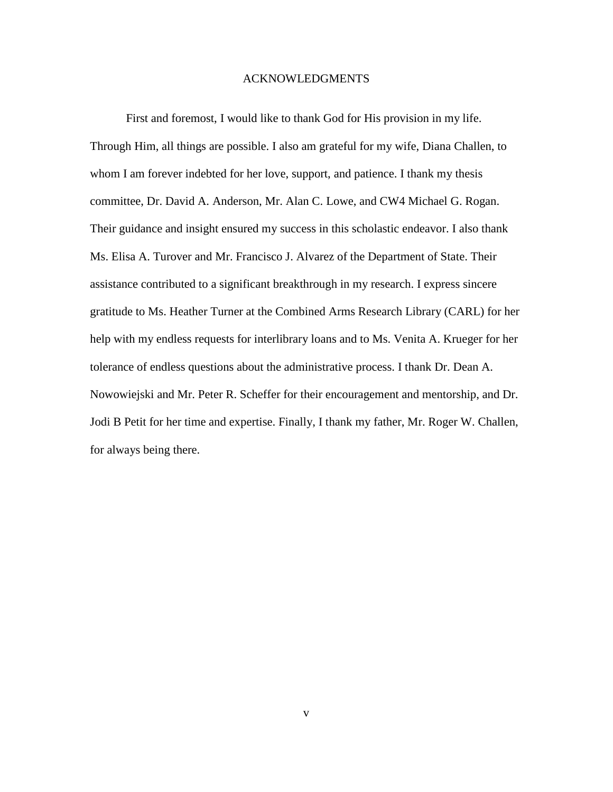#### ACKNOWLEDGMENTS

First and foremost, I would like to thank God for His provision in my life. Through Him, all things are possible. I also am grateful for my wife, Diana Challen, to whom I am forever indebted for her love, support, and patience. I thank my thesis committee, Dr. David A. Anderson, Mr. Alan C. Lowe, and CW4 Michael G. Rogan. Their guidance and insight ensured my success in this scholastic endeavor. I also thank Ms. Elisa A. Turover and Mr. Francisco J. Alvarez of the Department of State. Their assistance contributed to a significant breakthrough in my research. I express sincere gratitude to Ms. Heather Turner at the Combined Arms Research Library (CARL) for her help with my endless requests for interlibrary loans and to Ms. Venita A. Krueger for her tolerance of endless questions about the administrative process. I thank Dr. Dean A. Nowowiejski and Mr. Peter R. Scheffer for their encouragement and mentorship, and Dr. Jodi B Petit for her time and expertise. Finally, I thank my father, Mr. Roger W. Challen, for always being there.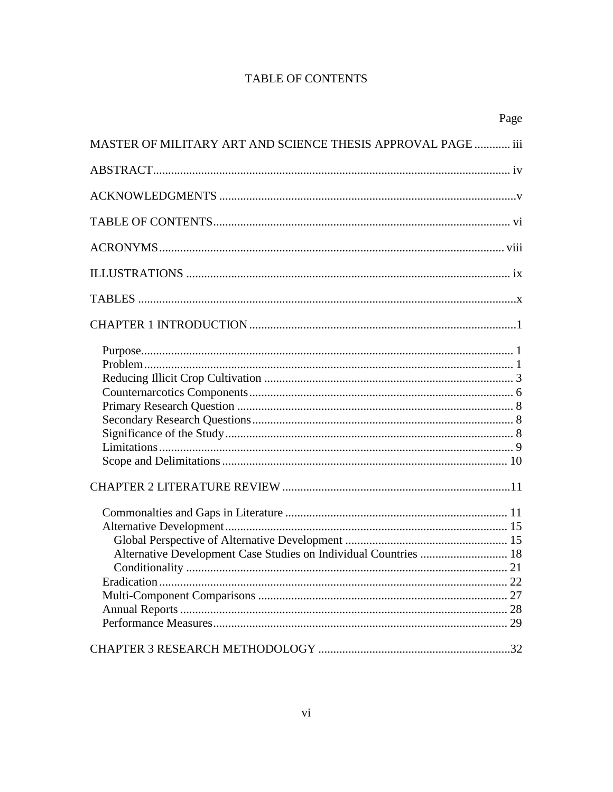# **TABLE OF CONTENTS**

|                                                                  | Page |
|------------------------------------------------------------------|------|
| MASTER OF MILITARY ART AND SCIENCE THESIS APPROVAL PAGE  iii     |      |
|                                                                  |      |
|                                                                  |      |
|                                                                  |      |
|                                                                  |      |
|                                                                  |      |
|                                                                  |      |
|                                                                  |      |
|                                                                  |      |
|                                                                  |      |
| Alternative Development Case Studies on Individual Countries  18 |      |
|                                                                  |      |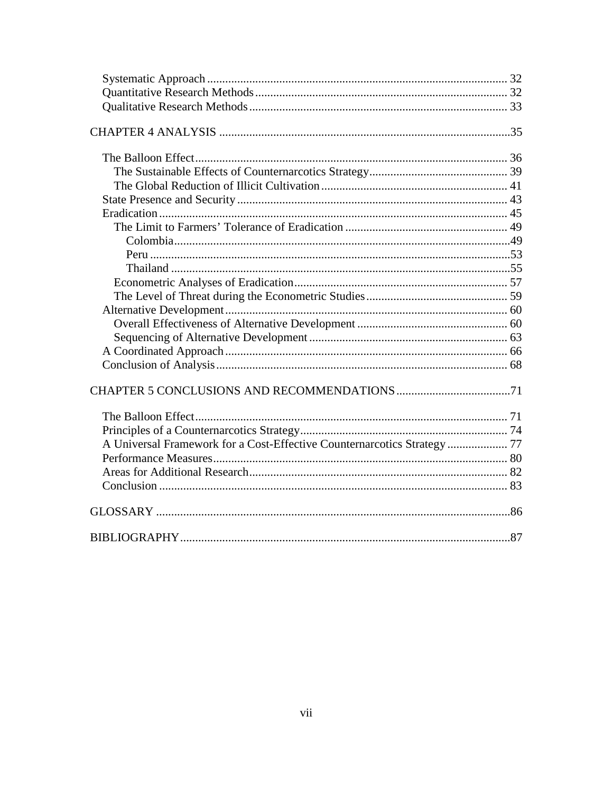| A Universal Framework for a Cost-Effective Counternarcotics Strategy  77 |  |
|--------------------------------------------------------------------------|--|
|                                                                          |  |
|                                                                          |  |
|                                                                          |  |
|                                                                          |  |
|                                                                          |  |
|                                                                          |  |
|                                                                          |  |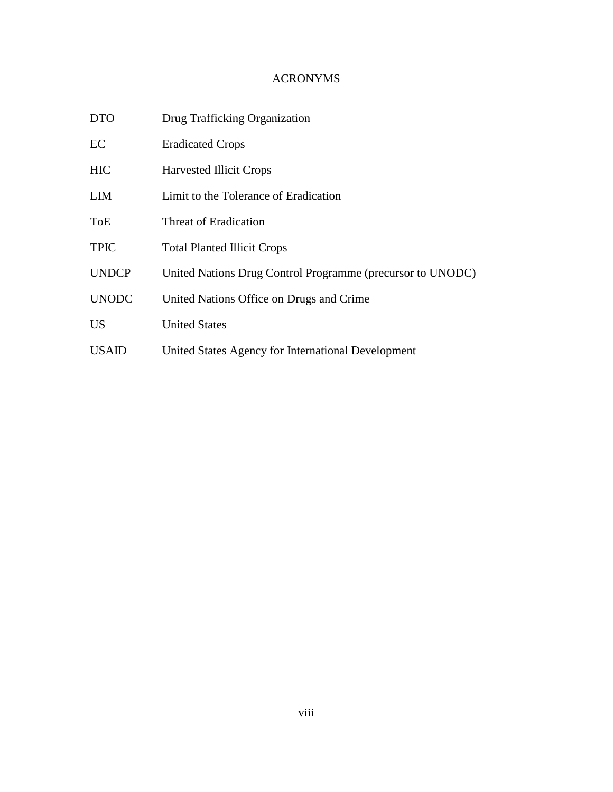# ACRONYMS

| <b>DTO</b>   | Drug Trafficking Organization                              |
|--------------|------------------------------------------------------------|
| EC           | <b>Eradicated Crops</b>                                    |
| <b>HIC</b>   | <b>Harvested Illicit Crops</b>                             |
| <b>LIM</b>   | Limit to the Tolerance of Eradication                      |
| <b>ToE</b>   | Threat of Eradication                                      |
| <b>TPIC</b>  | <b>Total Planted Illicit Crops</b>                         |
| <b>UNDCP</b> | United Nations Drug Control Programme (precursor to UNODC) |
| <b>UNODC</b> | United Nations Office on Drugs and Crime.                  |
| <b>US</b>    | <b>United States</b>                                       |
| <b>USAID</b> | United States Agency for International Development         |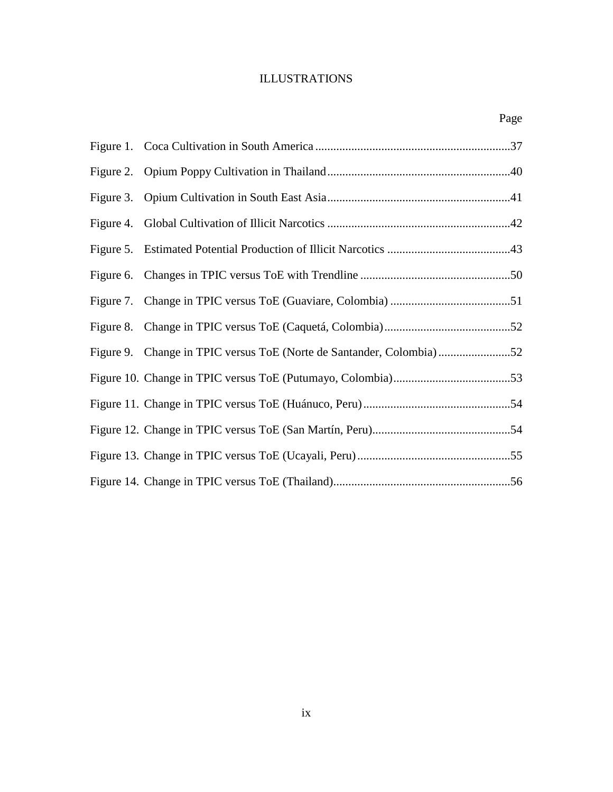# ILLUSTRATIONS

|  | Page |
|--|------|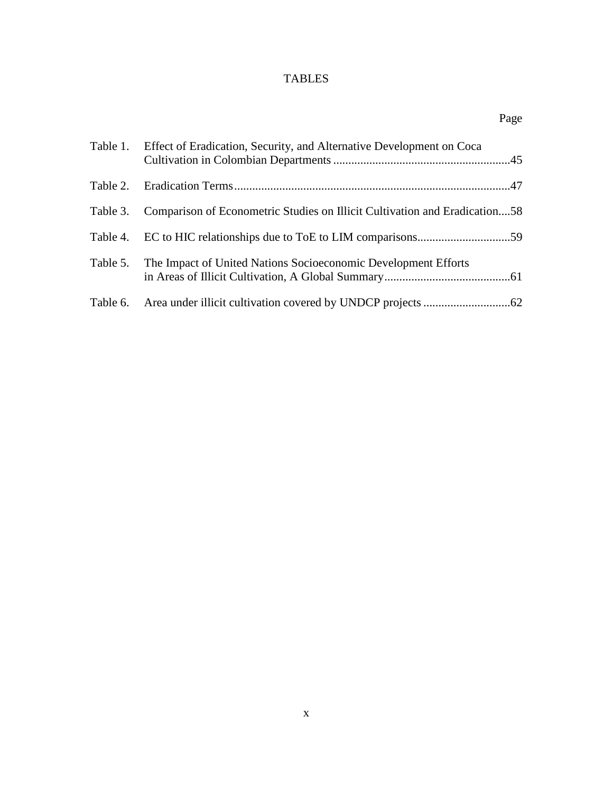# TABLES

|          | Table 1. Effect of Eradication, Security, and Alternative Development on Coca       |
|----------|-------------------------------------------------------------------------------------|
|          |                                                                                     |
|          | Table 3. Comparison of Econometric Studies on Illicit Cultivation and Eradication58 |
|          |                                                                                     |
| Table 5. | The Impact of United Nations Socioeconomic Development Efforts                      |
|          |                                                                                     |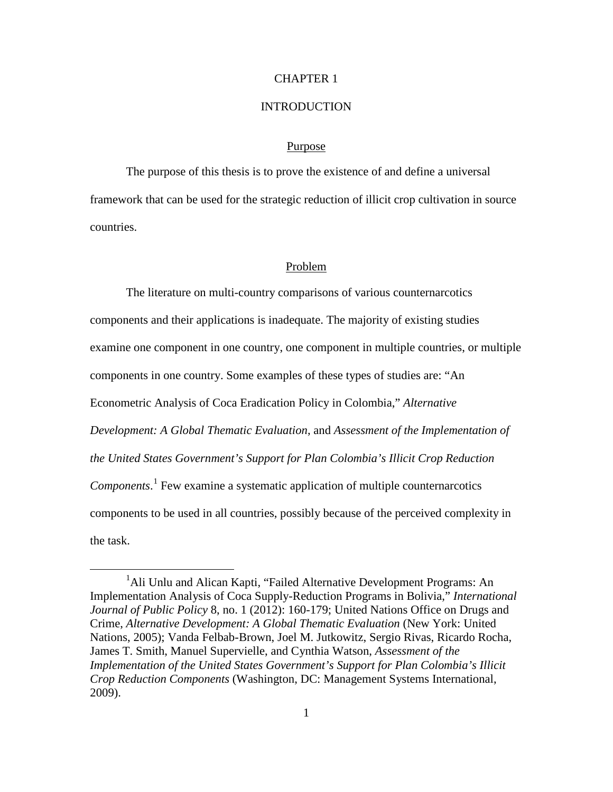#### CHAPTER 1

#### **INTRODUCTION**

#### Purpose

The purpose of this thesis is to prove the existence of and define a universal framework that can be used for the strategic reduction of illicit crop cultivation in source countries.

#### Problem

The literature on multi-country comparisons of various counternarcotics components and their applications is inadequate. The majority of existing studies examine one component in one country, one component in multiple countries, or multiple components in one country. Some examples of these types of studies are: "An Econometric Analysis of Coca Eradication Policy in Colombia," *Alternative Development: A Global Thematic Evaluation*, and *Assessment of the Implementation of the United States Government's Support for Plan Colombia's Illicit Crop Reduction Components*. [1](#page-10-0) Few examine a systematic application of multiple counternarcotics components to be used in all countries, possibly because of the perceived complexity in the task.

<span id="page-10-0"></span><sup>&</sup>lt;sup>1</sup>Ali Unlu and Alican Kapti, "Failed Alternative Development Programs: An Implementation Analysis of Coca Supply-Reduction Programs in Bolivia," *International Journal of Public Policy* 8, no. 1 (2012): 160-179; United Nations Office on Drugs and Crime, *Alternative Development: A Global Thematic Evaluation* (New York: United Nations, 2005); Vanda Felbab-Brown, Joel M. Jutkowitz, Sergio Rivas, Ricardo Rocha, James T. Smith, Manuel Supervielle, and Cynthia Watson, *Assessment of the Implementation of the United States Government's Support for Plan Colombia's Illicit Crop Reduction Components* (Washington, DC: Management Systems International, 2009).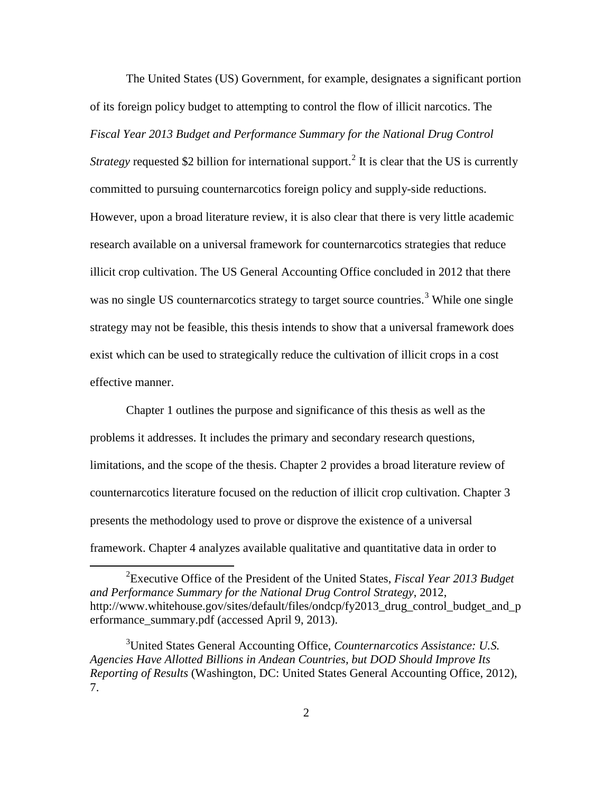The United States (US) Government, for example, designates a significant portion of its foreign policy budget to attempting to control the flow of illicit narcotics. The *Fiscal Year 2013 Budget and Performance Summary for the National Drug Control* 

*Strategy* requested \$[2](#page-11-0) billion for international support.<sup>2</sup> It is clear that the US is currently committed to pursuing counternarcotics foreign policy and supply-side reductions. However, upon a broad literature review, it is also clear that there is very little academic research available on a universal framework for counternarcotics strategies that reduce illicit crop cultivation. The US General Accounting Office concluded in 2012 that there was no single US counternarcotics strategy to target source countries.<sup>[3](#page-11-1)</sup> While one single strategy may not be feasible, this thesis intends to show that a universal framework does exist which can be used to strategically reduce the cultivation of illicit crops in a cost effective manner.

Chapter 1 outlines the purpose and significance of this thesis as well as the problems it addresses. It includes the primary and secondary research questions, limitations, and the scope of the thesis. Chapter 2 provides a broad literature review of counternarcotics literature focused on the reduction of illicit crop cultivation. Chapter 3 presents the methodology used to prove or disprove the existence of a universal framework. Chapter 4 analyzes available qualitative and quantitative data in order to

<span id="page-11-0"></span><sup>2</sup> Executive Office of the President of the United States, *Fiscal Year 2013 Budget and Performance Summary for the National Drug Control Strategy*, 2012, http://www.whitehouse.gov/sites/default/files/ondcp/fy2013\_drug\_control\_budget\_and\_p erformance\_summary.pdf (accessed April 9, 2013).

<span id="page-11-1"></span><sup>3</sup> United States General Accounting Office, *Counternarcotics Assistance: U.S. Agencies Have Allotted Billions in Andean Countries, but DOD Should Improve Its Reporting of Results* (Washington, DC: United States General Accounting Office, 2012), 7.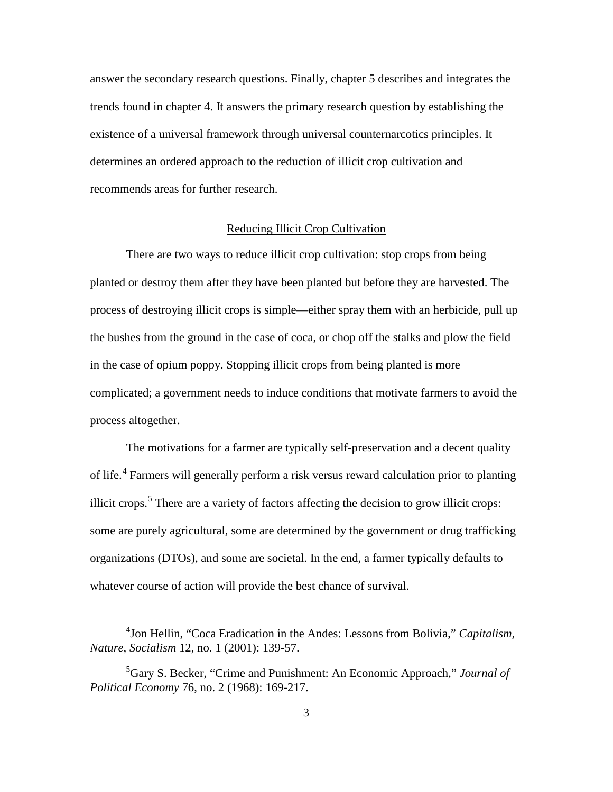answer the secondary research questions. Finally, chapter 5 describes and integrates the trends found in chapter 4. It answers the primary research question by establishing the existence of a universal framework through universal counternarcotics principles. It determines an ordered approach to the reduction of illicit crop cultivation and recommends areas for further research.

#### Reducing Illicit Crop Cultivation

There are two ways to reduce illicit crop cultivation: stop crops from being planted or destroy them after they have been planted but before they are harvested. The process of destroying illicit crops is simple—either spray them with an herbicide, pull up the bushes from the ground in the case of coca, or chop off the stalks and plow the field in the case of opium poppy. Stopping illicit crops from being planted is more complicated; a government needs to induce conditions that motivate farmers to avoid the process altogether.

The motivations for a farmer are typically self-preservation and a decent quality of life.<sup>[4](#page-12-0)</sup> Farmers will generally perform a risk versus reward calculation prior to planting illicit crops. $5$  There are a variety of factors affecting the decision to grow illicit crops: some are purely agricultural, some are determined by the government or drug trafficking organizations (DTOs), and some are societal. In the end, a farmer typically defaults to whatever course of action will provide the best chance of survival.

<span id="page-12-0"></span><sup>4</sup> Jon Hellin, "Coca Eradication in the Andes: Lessons from Bolivia," *Capitalism, Nature, Socialism* 12, no. 1 (2001): 139-57.

<span id="page-12-1"></span><sup>5</sup> Gary S. Becker, "Crime and Punishment: An Economic Approach," *Journal of Political Economy* 76, no. 2 (1968): 169-217.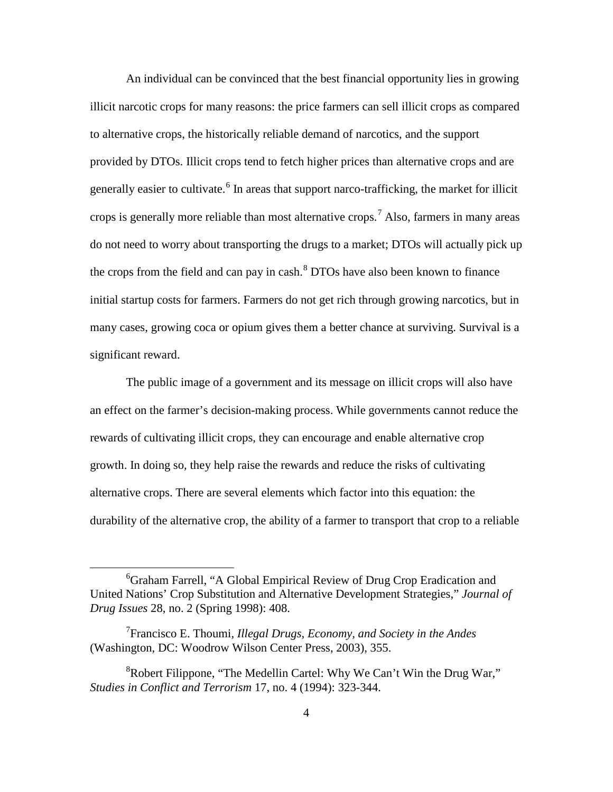An individual can be convinced that the best financial opportunity lies in growing illicit narcotic crops for many reasons: the price farmers can sell illicit crops as compared to alternative crops, the historically reliable demand of narcotics, and the support provided by DTOs. Illicit crops tend to fetch higher prices than alternative crops and are generally easier to cultivate.<sup>[6](#page-13-0)</sup> In areas that support narco-trafficking, the market for illicit crops is generally more reliable than most alternative crops.<sup>[7](#page-13-1)</sup> Also, farmers in many areas do not need to worry about transporting the drugs to a market; DTOs will actually pick up the crops from the field and can pay in cash.<sup>[8](#page-13-2)</sup> DTOs have also been known to finance initial startup costs for farmers. Farmers do not get rich through growing narcotics, but in many cases, growing coca or opium gives them a better chance at surviving. Survival is a significant reward.

The public image of a government and its message on illicit crops will also have an effect on the farmer's decision-making process. While governments cannot reduce the rewards of cultivating illicit crops, they can encourage and enable alternative crop growth. In doing so, they help raise the rewards and reduce the risks of cultivating alternative crops. There are several elements which factor into this equation: the durability of the alternative crop, the ability of a farmer to transport that crop to a reliable

<span id="page-13-0"></span><sup>&</sup>lt;sup>6</sup>Graham Farrell, "A Global Empirical Review of Drug Crop Eradication and United Nations' Crop Substitution and Alternative Development Strategies," *Journal of Drug Issues* 28, no. 2 (Spring 1998): 408.

<span id="page-13-1"></span><sup>7</sup> Francisco E. Thoumi, *Illegal Drugs, Economy, and Society in the Andes* (Washington, DC: Woodrow Wilson Center Press, 2003), 355.

<span id="page-13-2"></span> ${}^{8}$ Robert Filippone, "The Medellin Cartel: Why We Can't Win the Drug War," *Studies in Conflict and Terrorism* 17, no. 4 (1994): 323-344.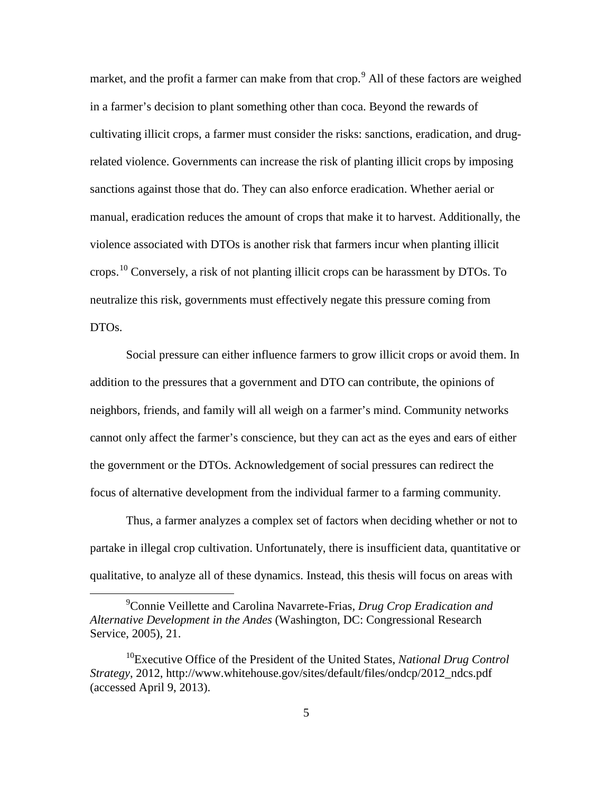market, and the profit a farmer can make from that crop.<sup>[9](#page-14-0)</sup> All of these factors are weighed in a farmer's decision to plant something other than coca. Beyond the rewards of cultivating illicit crops, a farmer must consider the risks: sanctions, eradication, and drugrelated violence. Governments can increase the risk of planting illicit crops by imposing sanctions against those that do. They can also enforce eradication. Whether aerial or manual, eradication reduces the amount of crops that make it to harvest. Additionally, the violence associated with DTOs is another risk that farmers incur when planting illicit crops.<sup>[10](#page-14-1)</sup> Conversely, a risk of not planting illicit crops can be harassment by DTOs. To neutralize this risk, governments must effectively negate this pressure coming from DTOs.

Social pressure can either influence farmers to grow illicit crops or avoid them. In addition to the pressures that a government and DTO can contribute, the opinions of neighbors, friends, and family will all weigh on a farmer's mind. Community networks cannot only affect the farmer's conscience, but they can act as the eyes and ears of either the government or the DTOs. Acknowledgement of social pressures can redirect the focus of alternative development from the individual farmer to a farming community.

Thus, a farmer analyzes a complex set of factors when deciding whether or not to partake in illegal crop cultivation. Unfortunately, there is insufficient data, quantitative or qualitative, to analyze all of these dynamics. Instead, this thesis will focus on areas with

<span id="page-14-0"></span><sup>9</sup> Connie Veillette and Carolina Navarrete-Frias, *Drug Crop Eradication and Alternative Development in the Andes* (Washington, DC: Congressional Research Service, 2005), 21.

<span id="page-14-1"></span><sup>&</sup>lt;sup>10</sup>Executive Office of the President of the United States, *National Drug Control Strategy*, 2012, http://www.whitehouse.gov/sites/default/files/ondcp/2012\_ndcs.pdf (accessed April 9, 2013).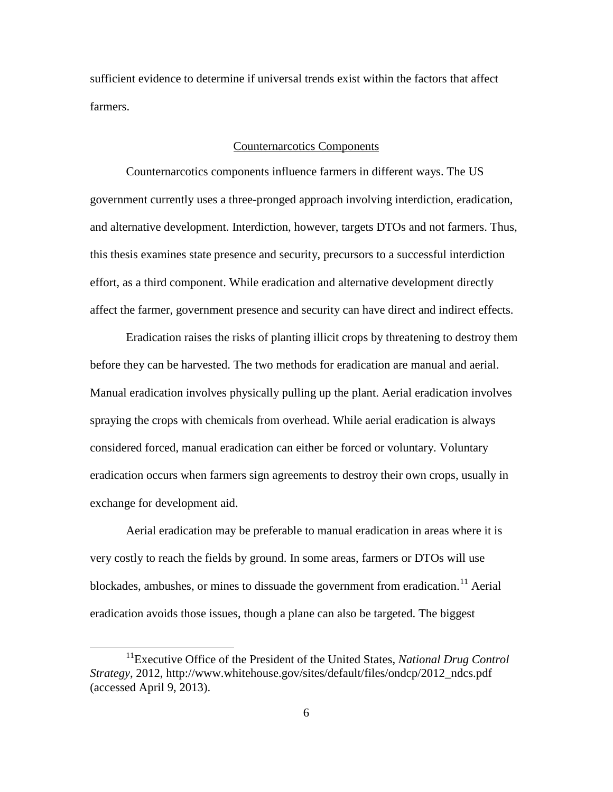sufficient evidence to determine if universal trends exist within the factors that affect farmers.

#### Counternarcotics Components

Counternarcotics components influence farmers in different ways. The US government currently uses a three-pronged approach involving interdiction, eradication, and alternative development. Interdiction, however, targets DTOs and not farmers. Thus, this thesis examines state presence and security, precursors to a successful interdiction effort, as a third component. While eradication and alternative development directly affect the farmer, government presence and security can have direct and indirect effects.

Eradication raises the risks of planting illicit crops by threatening to destroy them before they can be harvested. The two methods for eradication are manual and aerial. Manual eradication involves physically pulling up the plant. Aerial eradication involves spraying the crops with chemicals from overhead. While aerial eradication is always considered forced, manual eradication can either be forced or voluntary. Voluntary eradication occurs when farmers sign agreements to destroy their own crops, usually in exchange for development aid.

Aerial eradication may be preferable to manual eradication in areas where it is very costly to reach the fields by ground. In some areas, farmers or DTOs will use blockades, ambushes, or mines to dissuade the government from eradication.<sup>[11](#page-15-0)</sup> Aerial eradication avoids those issues, though a plane can also be targeted. The biggest

<span id="page-15-0"></span><sup>&</sup>lt;sup>11</sup>Executive Office of the President of the United States, *National Drug Control Strategy*, 2012, http://www.whitehouse.gov/sites/default/files/ondcp/2012\_ndcs.pdf (accessed April 9, 2013).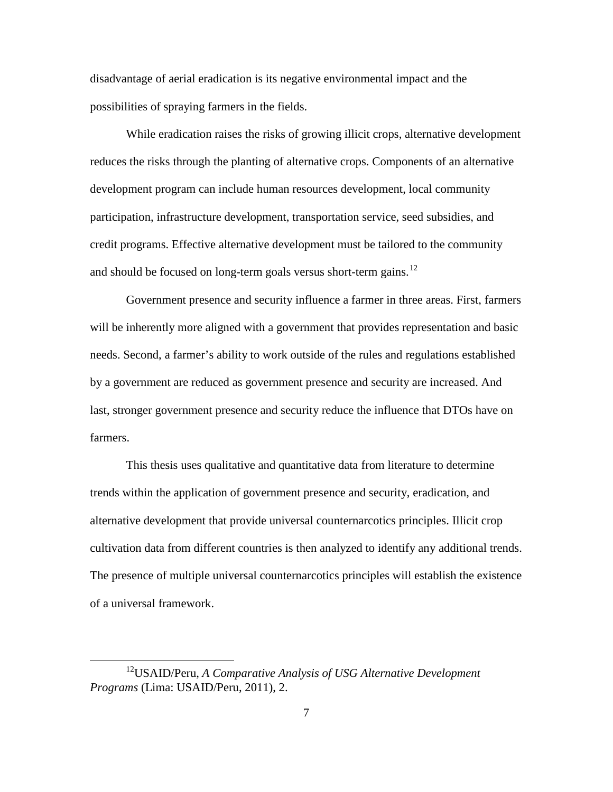disadvantage of aerial eradication is its negative environmental impact and the possibilities of spraying farmers in the fields.

While eradication raises the risks of growing illicit crops, alternative development reduces the risks through the planting of alternative crops. Components of an alternative development program can include human resources development, local community participation, infrastructure development, transportation service, seed subsidies, and credit programs. Effective alternative development must be tailored to the community and should be focused on long-term goals versus short-term gains.<sup>[12](#page-16-0)</sup>

Government presence and security influence a farmer in three areas. First, farmers will be inherently more aligned with a government that provides representation and basic needs. Second, a farmer's ability to work outside of the rules and regulations established by a government are reduced as government presence and security are increased. And last, stronger government presence and security reduce the influence that DTOs have on farmers.

This thesis uses qualitative and quantitative data from literature to determine trends within the application of government presence and security, eradication, and alternative development that provide universal counternarcotics principles. Illicit crop cultivation data from different countries is then analyzed to identify any additional trends. The presence of multiple universal counternarcotics principles will establish the existence of a universal framework.

<span id="page-16-0"></span><sup>12</sup>USAID/Peru, *A Comparative Analysis of USG Alternative Development Programs* (Lima: USAID/Peru, 2011), 2.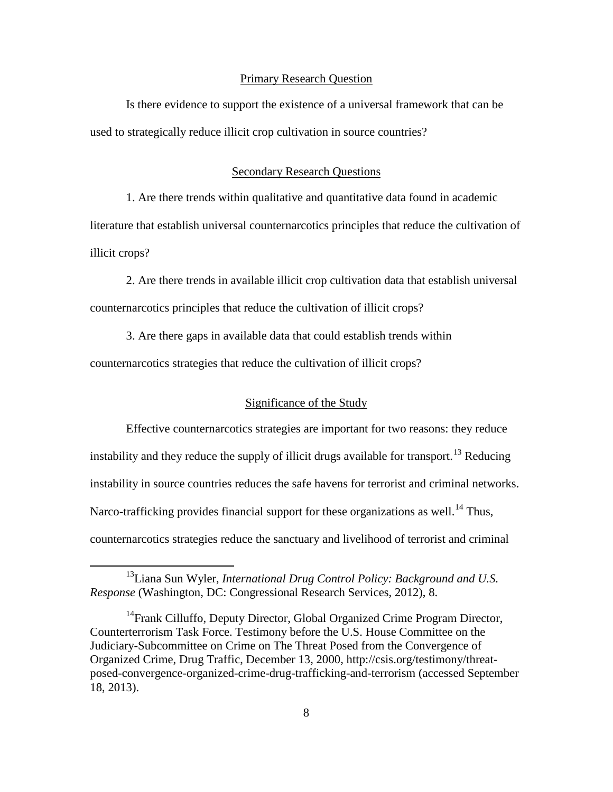#### Primary Research Question

Is there evidence to support the existence of a universal framework that can be used to strategically reduce illicit crop cultivation in source countries?

#### Secondary Research Questions

1. Are there trends within qualitative and quantitative data found in academic literature that establish universal counternarcotics principles that reduce the cultivation of illicit crops?

2. Are there trends in available illicit crop cultivation data that establish universal counternarcotics principles that reduce the cultivation of illicit crops?

3. Are there gaps in available data that could establish trends within

counternarcotics strategies that reduce the cultivation of illicit crops?

 $\overline{a}$ 

## Significance of the Study

Effective counternarcotics strategies are important for two reasons: they reduce instability and they reduce the supply of illicit drugs available for transport.<sup>[13](#page-17-0)</sup> Reducing instability in source countries reduces the safe havens for terrorist and criminal networks. Narco-trafficking provides financial support for these organizations as well.<sup>[14](#page-17-1)</sup> Thus, counternarcotics strategies reduce the sanctuary and livelihood of terrorist and criminal

<span id="page-17-0"></span><sup>13</sup>Liana Sun Wyler, *International Drug Control Policy: Background and U.S. Response* (Washington, DC: Congressional Research Services, 2012), 8.

<span id="page-17-1"></span><sup>&</sup>lt;sup>14</sup>Frank Cilluffo, Deputy Director, Global Organized Crime Program Director, Counterterrorism Task Force. Testimony before the U.S. House Committee on the Judiciary-Subcommittee on Crime on The Threat Posed from the Convergence of Organized Crime, Drug Traffic, December 13, 2000, http://csis.org/testimony/threatposed-convergence-organized-crime-drug-trafficking-and-terrorism (accessed September 18, 2013).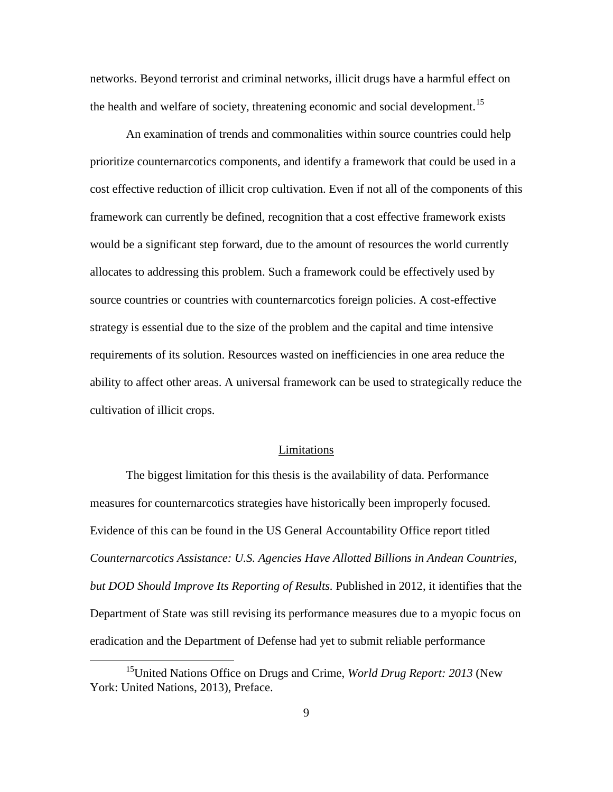networks. Beyond terrorist and criminal networks, illicit drugs have a harmful effect on the health and welfare of society, threatening economic and social development.<sup>[15](#page-18-0)</sup>

An examination of trends and commonalities within source countries could help prioritize counternarcotics components, and identify a framework that could be used in a cost effective reduction of illicit crop cultivation. Even if not all of the components of this framework can currently be defined, recognition that a cost effective framework exists would be a significant step forward, due to the amount of resources the world currently allocates to addressing this problem. Such a framework could be effectively used by source countries or countries with counternarcotics foreign policies. A cost-effective strategy is essential due to the size of the problem and the capital and time intensive requirements of its solution. Resources wasted on inefficiencies in one area reduce the ability to affect other areas. A universal framework can be used to strategically reduce the cultivation of illicit crops.

#### Limitations

The biggest limitation for this thesis is the availability of data. Performance measures for counternarcotics strategies have historically been improperly focused. Evidence of this can be found in the US General Accountability Office report titled *Counternarcotics Assistance: U.S. Agencies Have Allotted Billions in Andean Countries, but DOD Should Improve Its Reporting of Results.* Published in 2012, it identifies that the Department of State was still revising its performance measures due to a myopic focus on eradication and the Department of Defense had yet to submit reliable performance

<span id="page-18-0"></span><sup>15</sup>United Nations Office on Drugs and Crime, *World Drug Report: 2013* (New York: United Nations, 2013), Preface.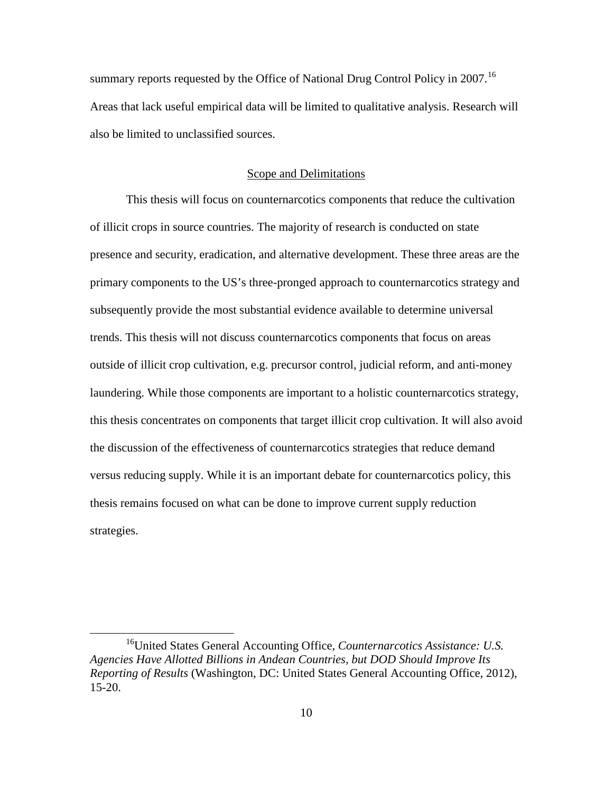summary reports requested by the Office of National Drug Control Policy in 2007.<sup>[16](#page-19-0)</sup> Areas that lack useful empirical data will be limited to qualitative analysis. Research will also be limited to unclassified sources.

#### Scope and Delimitations

This thesis will focus on counternarcotics components that reduce the cultivation of illicit crops in source countries. The majority of research is conducted on state presence and security, eradication, and alternative development. These three areas are the primary components to the US's three-pronged approach to counternarcotics strategy and subsequently provide the most substantial evidence available to determine universal trends. This thesis will not discuss counternarcotics components that focus on areas outside of illicit crop cultivation, e.g. precursor control, judicial reform, and anti-money laundering. While those components are important to a holistic counternarcotics strategy, this thesis concentrates on components that target illicit crop cultivation. It will also avoid the discussion of the effectiveness of counternarcotics strategies that reduce demand versus reducing supply. While it is an important debate for counternarcotics policy, this thesis remains focused on what can be done to improve current supply reduction strategies.

<span id="page-19-0"></span><sup>16</sup>United States General Accounting Office, *Counternarcotics Assistance: U.S. Agencies Have Allotted Billions in Andean Countries, but DOD Should Improve Its Reporting of Results* (Washington, DC: United States General Accounting Office, 2012), 15-20.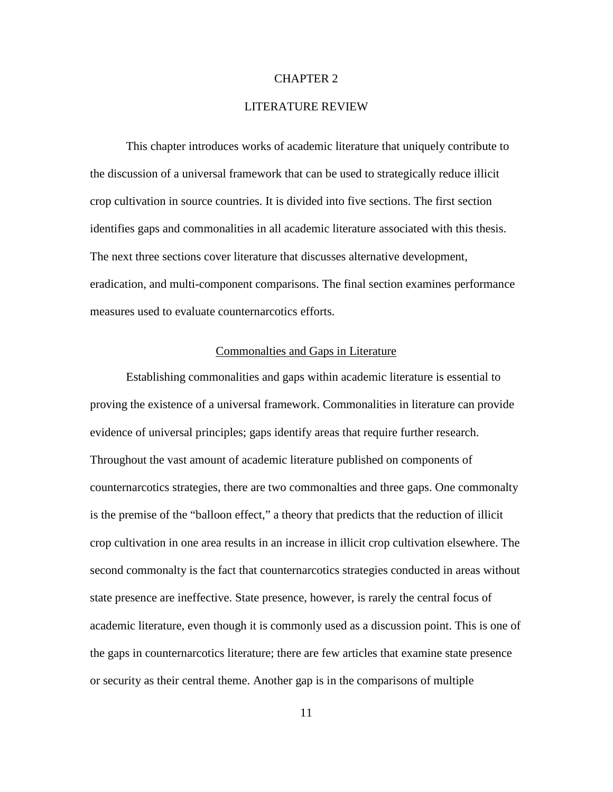#### CHAPTER 2

#### LITERATURE REVIEW

This chapter introduces works of academic literature that uniquely contribute to the discussion of a universal framework that can be used to strategically reduce illicit crop cultivation in source countries. It is divided into five sections. The first section identifies gaps and commonalities in all academic literature associated with this thesis. The next three sections cover literature that discusses alternative development, eradication, and multi-component comparisons. The final section examines performance measures used to evaluate counternarcotics efforts.

#### Commonalties and Gaps in Literature

Establishing commonalities and gaps within academic literature is essential to proving the existence of a universal framework. Commonalities in literature can provide evidence of universal principles; gaps identify areas that require further research. Throughout the vast amount of academic literature published on components of counternarcotics strategies, there are two commonalties and three gaps. One commonalty is the premise of the "balloon effect," a theory that predicts that the reduction of illicit crop cultivation in one area results in an increase in illicit crop cultivation elsewhere. The second commonalty is the fact that counternarcotics strategies conducted in areas without state presence are ineffective. State presence, however, is rarely the central focus of academic literature, even though it is commonly used as a discussion point. This is one of the gaps in counternarcotics literature; there are few articles that examine state presence or security as their central theme. Another gap is in the comparisons of multiple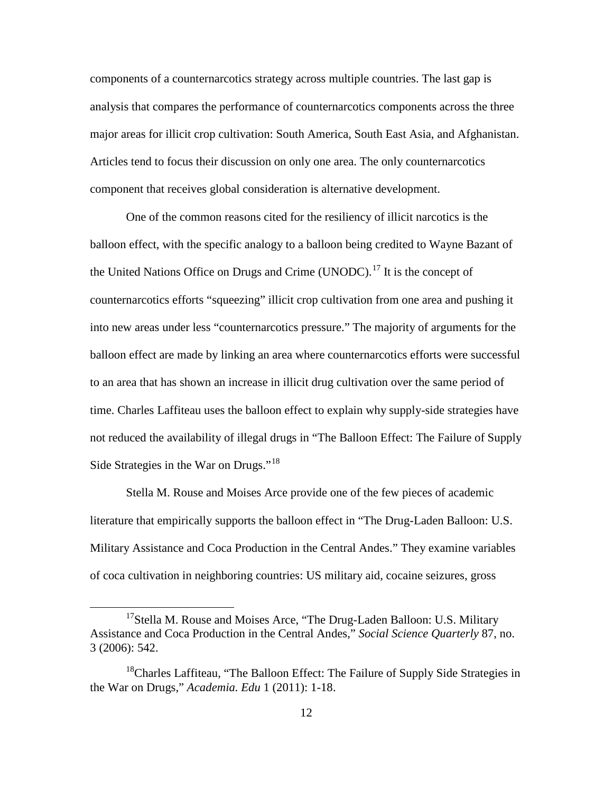components of a counternarcotics strategy across multiple countries. The last gap is analysis that compares the performance of counternarcotics components across the three major areas for illicit crop cultivation: South America, South East Asia, and Afghanistan. Articles tend to focus their discussion on only one area. The only counternarcotics component that receives global consideration is alternative development.

One of the common reasons cited for the resiliency of illicit narcotics is the balloon effect, with the specific analogy to a balloon being credited to Wayne Bazant of the United Nations Office on Drugs and Crime (UNODC).<sup>[17](#page-21-0)</sup> It is the concept of counternarcotics efforts "squeezing" illicit crop cultivation from one area and pushing it into new areas under less "counternarcotics pressure." The majority of arguments for the balloon effect are made by linking an area where counternarcotics efforts were successful to an area that has shown an increase in illicit drug cultivation over the same period of time. Charles Laffiteau uses the balloon effect to explain why supply-side strategies have not reduced the availability of illegal drugs in "The Balloon Effect: The Failure of Supply Side Strategies in the War on Drugs."[18](#page-21-1)

Stella M. Rouse and Moises Arce provide one of the few pieces of academic literature that empirically supports the balloon effect in "The Drug-Laden Balloon: U.S. Military Assistance and Coca Production in the Central Andes." They examine variables of coca cultivation in neighboring countries: US military aid, cocaine seizures, gross

<span id="page-21-0"></span><sup>&</sup>lt;sup>17</sup>Stella M. Rouse and Moises Arce, "The Drug-Laden Balloon: U.S. Military Assistance and Coca Production in the Central Andes," *Social Science Quarterly* 87, no. 3 (2006): 542.

<span id="page-21-1"></span><sup>&</sup>lt;sup>18</sup>Charles Laffiteau, "The Balloon Effect: The Failure of Supply Side Strategies in the War on Drugs," *Academia. Edu* 1 (2011): 1-18.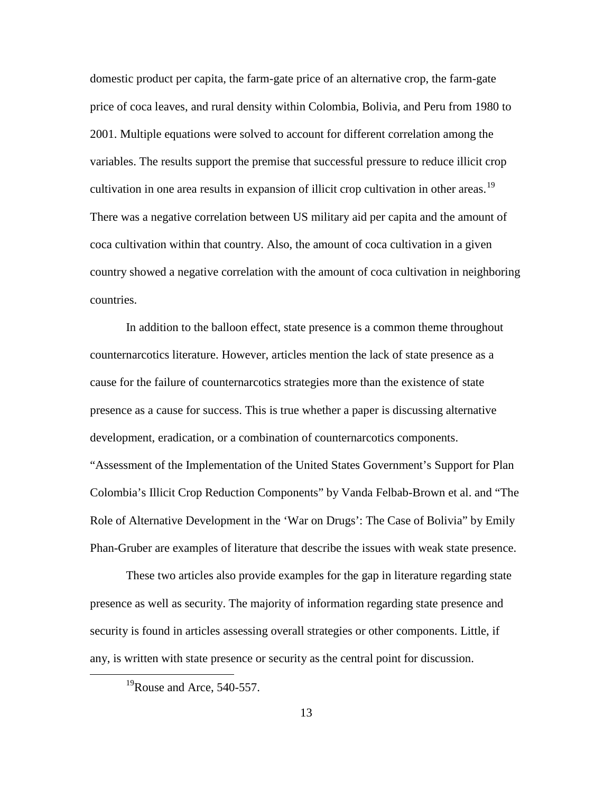domestic product per capita, the farm-gate price of an alternative crop, the farm-gate price of coca leaves, and rural density within Colombia, Bolivia, and Peru from 1980 to 2001. Multiple equations were solved to account for different correlation among the variables. The results support the premise that successful pressure to reduce illicit crop cultivation in one area results in expansion of illicit crop cultivation in other areas.<sup>[19](#page-22-0)</sup> There was a negative correlation between US military aid per capita and the amount of coca cultivation within that country. Also, the amount of coca cultivation in a given country showed a negative correlation with the amount of coca cultivation in neighboring countries.

In addition to the balloon effect, state presence is a common theme throughout counternarcotics literature. However, articles mention the lack of state presence as a cause for the failure of counternarcotics strategies more than the existence of state presence as a cause for success. This is true whether a paper is discussing alternative development, eradication, or a combination of counternarcotics components. "Assessment of the Implementation of the United States Government's Support for Plan Colombia's Illicit Crop Reduction Components" by Vanda Felbab-Brown et al. and "The Role of Alternative Development in the 'War on Drugs': The Case of Bolivia" by Emily Phan-Gruber are examples of literature that describe the issues with weak state presence.

These two articles also provide examples for the gap in literature regarding state presence as well as security. The majority of information regarding state presence and security is found in articles assessing overall strategies or other components. Little, if any, is written with state presence or security as the central point for discussion.

<span id="page-22-0"></span> $^{19}$ Rouse and Arce, 540-557.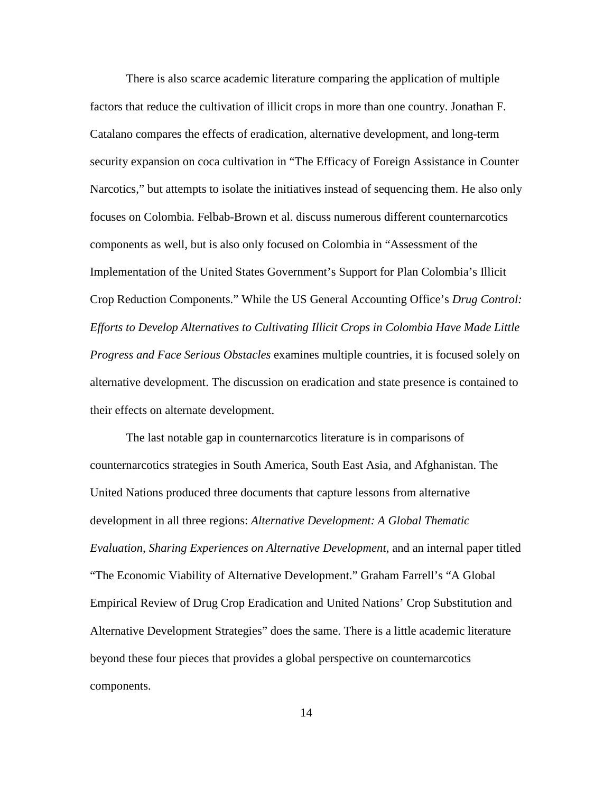There is also scarce academic literature comparing the application of multiple factors that reduce the cultivation of illicit crops in more than one country. Jonathan F. Catalano compares the effects of eradication, alternative development, and long-term security expansion on coca cultivation in "The Efficacy of Foreign Assistance in Counter Narcotics," but attempts to isolate the initiatives instead of sequencing them. He also only focuses on Colombia. Felbab-Brown et al. discuss numerous different counternarcotics components as well, but is also only focused on Colombia in "Assessment of the Implementation of the United States Government's Support for Plan Colombia's Illicit Crop Reduction Components." While the US General Accounting Office's *Drug Control: Efforts to Develop Alternatives to Cultivating Illicit Crops in Colombia Have Made Little Progress and Face Serious Obstacles* examines multiple countries, it is focused solely on alternative development. The discussion on eradication and state presence is contained to their effects on alternate development.

The last notable gap in counternarcotics literature is in comparisons of counternarcotics strategies in South America, South East Asia, and Afghanistan. The United Nations produced three documents that capture lessons from alternative development in all three regions: *Alternative Development: A Global Thematic Evaluation, Sharing Experiences on Alternative Development*, and an internal paper titled "The Economic Viability of Alternative Development." Graham Farrell's "A Global Empirical Review of Drug Crop Eradication and United Nations' Crop Substitution and Alternative Development Strategies" does the same. There is a little academic literature beyond these four pieces that provides a global perspective on counternarcotics components.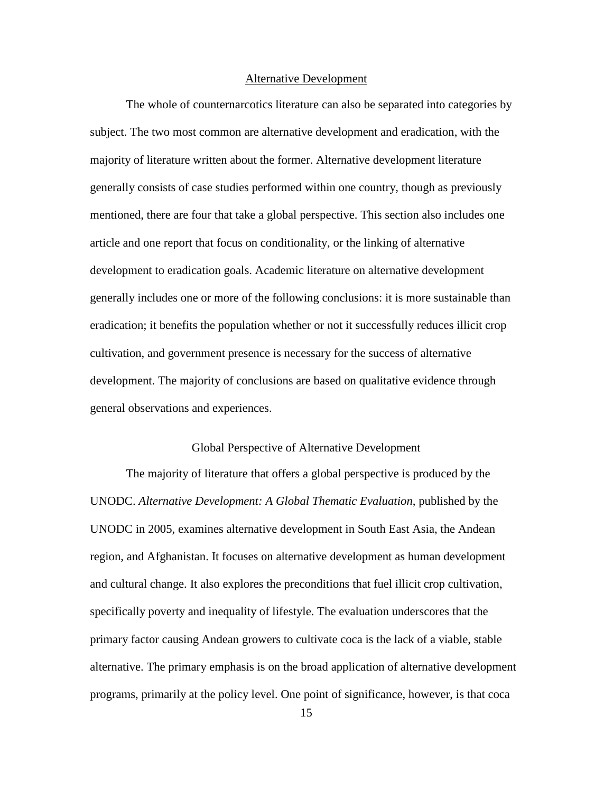#### Alternative Development

The whole of counternarcotics literature can also be separated into categories by subject. The two most common are alternative development and eradication, with the majority of literature written about the former. Alternative development literature generally consists of case studies performed within one country, though as previously mentioned, there are four that take a global perspective. This section also includes one article and one report that focus on conditionality, or the linking of alternative development to eradication goals. Academic literature on alternative development generally includes one or more of the following conclusions: it is more sustainable than eradication; it benefits the population whether or not it successfully reduces illicit crop cultivation, and government presence is necessary for the success of alternative development. The majority of conclusions are based on qualitative evidence through general observations and experiences.

## Global Perspective of Alternative Development

The majority of literature that offers a global perspective is produced by the UNODC. *Alternative Development: A Global Thematic Evaluation*, published by the UNODC in 2005, examines alternative development in South East Asia, the Andean region, and Afghanistan. It focuses on alternative development as human development and cultural change. It also explores the preconditions that fuel illicit crop cultivation, specifically poverty and inequality of lifestyle. The evaluation underscores that the primary factor causing Andean growers to cultivate coca is the lack of a viable, stable alternative. The primary emphasis is on the broad application of alternative development programs, primarily at the policy level. One point of significance, however, is that coca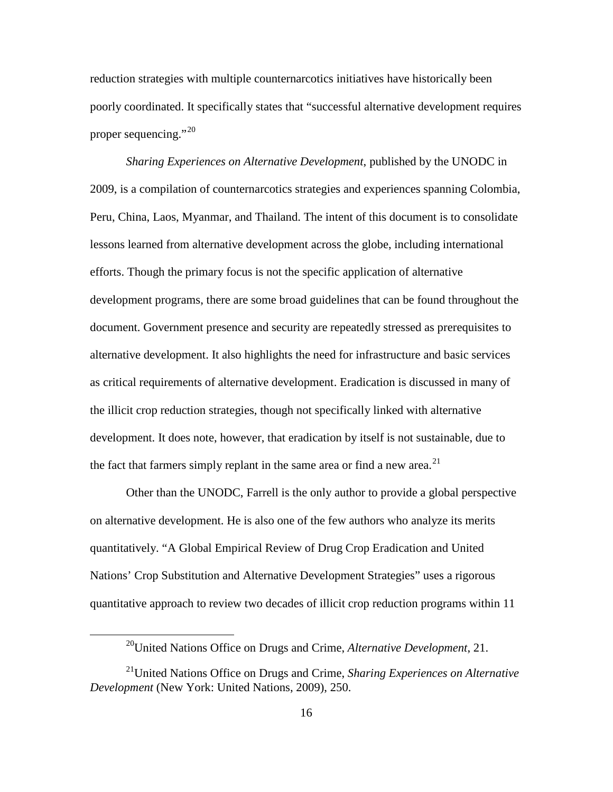reduction strategies with multiple counternarcotics initiatives have historically been poorly coordinated. It specifically states that "successful alternative development requires proper sequencing."<sup>[20](#page-25-0)</sup>

*Sharing Experiences on Alternative Development*, published by the UNODC in 2009, is a compilation of counternarcotics strategies and experiences spanning Colombia, Peru, China, Laos, Myanmar, and Thailand. The intent of this document is to consolidate lessons learned from alternative development across the globe, including international efforts. Though the primary focus is not the specific application of alternative development programs, there are some broad guidelines that can be found throughout the document. Government presence and security are repeatedly stressed as prerequisites to alternative development. It also highlights the need for infrastructure and basic services as critical requirements of alternative development. Eradication is discussed in many of the illicit crop reduction strategies, though not specifically linked with alternative development. It does note, however, that eradication by itself is not sustainable, due to the fact that farmers simply replant in the same area or find a new area.<sup>[21](#page-25-1)</sup>

Other than the UNODC, Farrell is the only author to provide a global perspective on alternative development. He is also one of the few authors who analyze its merits quantitatively. "A Global Empirical Review of Drug Crop Eradication and United Nations' Crop Substitution and Alternative Development Strategies" uses a rigorous quantitative approach to review two decades of illicit crop reduction programs within 11

<sup>20</sup>United Nations Office on Drugs and Crime, *Alternative Development*, 21.

<span id="page-25-1"></span><span id="page-25-0"></span><sup>21</sup>United Nations Office on Drugs and Crime, *Sharing Experiences on Alternative Development* (New York: United Nations, 2009), 250.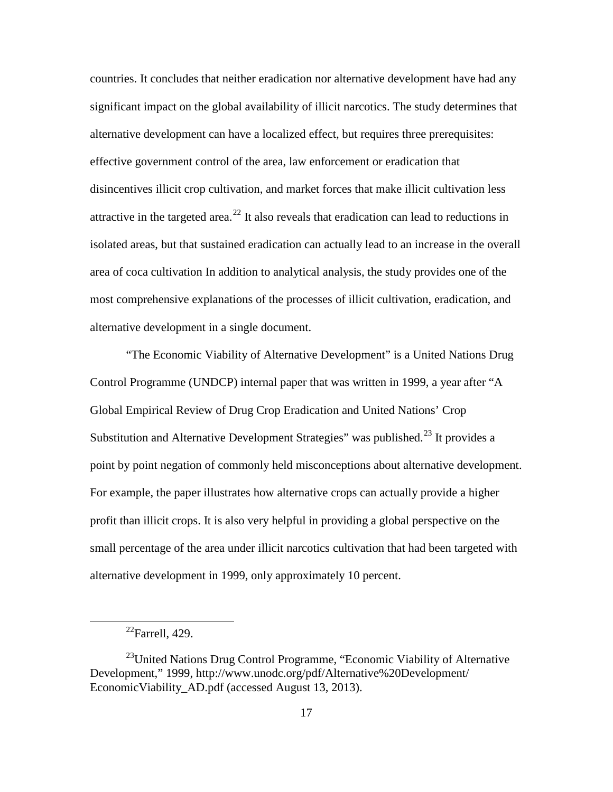countries. It concludes that neither eradication nor alternative development have had any significant impact on the global availability of illicit narcotics. The study determines that alternative development can have a localized effect, but requires three prerequisites: effective government control of the area, law enforcement or eradication that disincentives illicit crop cultivation, and market forces that make illicit cultivation less attractive in the targeted area.<sup>[22](#page-26-0)</sup> It also reveals that eradication can lead to reductions in isolated areas, but that sustained eradication can actually lead to an increase in the overall area of coca cultivation In addition to analytical analysis, the study provides one of the most comprehensive explanations of the processes of illicit cultivation, eradication, and alternative development in a single document.

"The Economic Viability of Alternative Development" is a United Nations Drug Control Programme (UNDCP) internal paper that was written in 1999, a year after "A Global Empirical Review of Drug Crop Eradication and United Nations' Crop Substitution and Alternative Development Strategies" was published.<sup>[23](#page-26-1)</sup> It provides a point by point negation of commonly held misconceptions about alternative development. For example, the paper illustrates how alternative crops can actually provide a higher profit than illicit crops. It is also very helpful in providing a global perspective on the small percentage of the area under illicit narcotics cultivation that had been targeted with alternative development in 1999, only approximately 10 percent.

 $^{22}$ Farrell, 429.

<span id="page-26-1"></span><span id="page-26-0"></span> $^{23}$ United Nations Drug Control Programme, "Economic Viability of Alternative Development," 1999, http://www.unodc.org/pdf/Alternative%20Development/ EconomicViability\_AD.pdf (accessed August 13, 2013).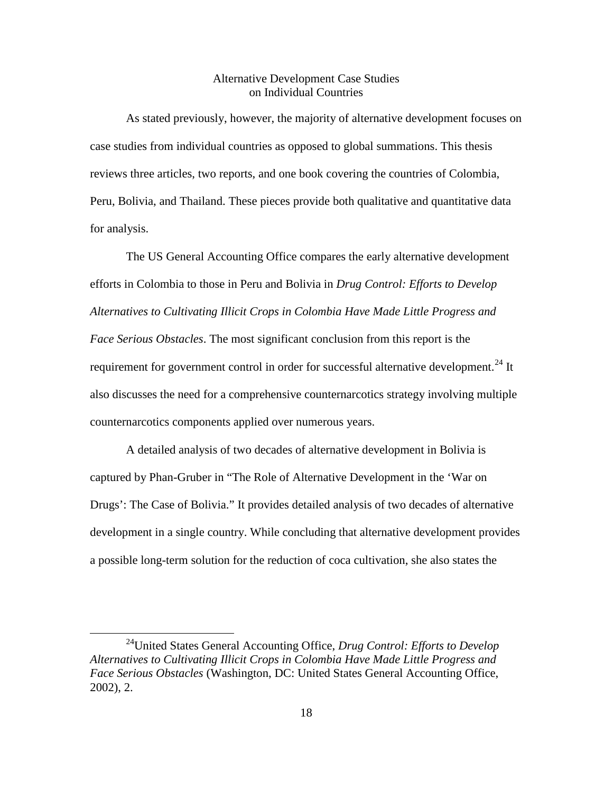## Alternative Development Case Studies on Individual Countries

As stated previously, however, the majority of alternative development focuses on case studies from individual countries as opposed to global summations. This thesis reviews three articles, two reports, and one book covering the countries of Colombia, Peru, Bolivia, and Thailand. These pieces provide both qualitative and quantitative data for analysis.

The US General Accounting Office compares the early alternative development efforts in Colombia to those in Peru and Bolivia in *Drug Control: Efforts to Develop Alternatives to Cultivating Illicit Crops in Colombia Have Made Little Progress and Face Serious Obstacles*. The most significant conclusion from this report is the requirement for government control in order for successful alternative development.<sup>[24](#page-27-0)</sup> It also discusses the need for a comprehensive counternarcotics strategy involving multiple counternarcotics components applied over numerous years.

A detailed analysis of two decades of alternative development in Bolivia is captured by Phan-Gruber in "The Role of Alternative Development in the 'War on Drugs': The Case of Bolivia." It provides detailed analysis of two decades of alternative development in a single country. While concluding that alternative development provides a possible long-term solution for the reduction of coca cultivation, she also states the

<span id="page-27-0"></span><sup>24</sup>United States General Accounting Office, *Drug Control: Efforts to Develop Alternatives to Cultivating Illicit Crops in Colombia Have Made Little Progress and Face Serious Obstacles* (Washington, DC: United States General Accounting Office, 2002), 2.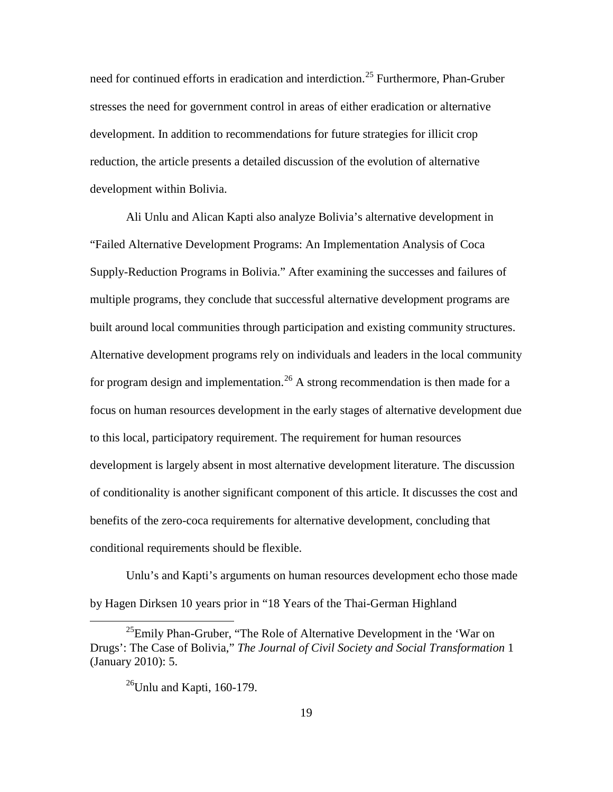need for continued efforts in eradication and interdiction.<sup>[25](#page-28-0)</sup> Furthermore, Phan-Gruber stresses the need for government control in areas of either eradication or alternative development. In addition to recommendations for future strategies for illicit crop reduction, the article presents a detailed discussion of the evolution of alternative development within Bolivia.

Ali Unlu and Alican Kapti also analyze Bolivia's alternative development in "Failed Alternative Development Programs: An Implementation Analysis of Coca Supply-Reduction Programs in Bolivia." After examining the successes and failures of multiple programs, they conclude that successful alternative development programs are built around local communities through participation and existing community structures. Alternative development programs rely on individuals and leaders in the local community for program design and implementation.<sup>[26](#page-28-1)</sup> A strong recommendation is then made for a focus on human resources development in the early stages of alternative development due to this local, participatory requirement. The requirement for human resources development is largely absent in most alternative development literature. The discussion of conditionality is another significant component of this article. It discusses the cost and benefits of the zero-coca requirements for alternative development, concluding that conditional requirements should be flexible.

Unlu's and Kapti's arguments on human resources development echo those made by Hagen Dirksen 10 years prior in "18 Years of the Thai-German Highland

<span id="page-28-1"></span><span id="page-28-0"></span> $^{25}$ Emily Phan-Gruber, "The Role of Alternative Development in the 'War on Drugs': The Case of Bolivia," *The Journal of Civil Society and Social Transformation* 1 (January 2010): 5.

 $26$ Unlu and Kapti, 160-179.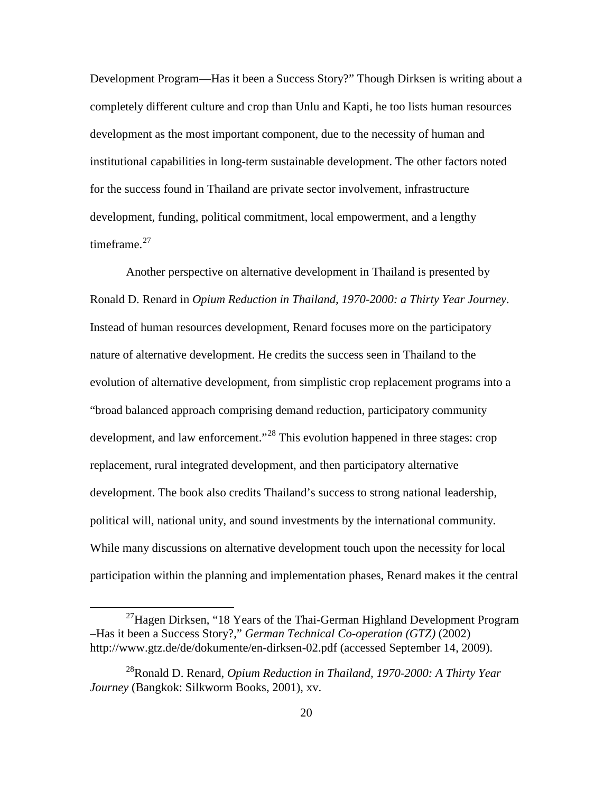Development Program—Has it been a Success Story?" Though Dirksen is writing about a completely different culture and crop than Unlu and Kapti, he too lists human resources development as the most important component, due to the necessity of human and institutional capabilities in long-term sustainable development. The other factors noted for the success found in Thailand are private sector involvement, infrastructure development, funding, political commitment, local empowerment, and a lengthy timeframe. $27$ 

Another perspective on alternative development in Thailand is presented by Ronald D. Renard in *Opium Reduction in Thailand, 1970-2000: a Thirty Year Journey*. Instead of human resources development, Renard focuses more on the participatory nature of alternative development. He credits the success seen in Thailand to the evolution of alternative development, from simplistic crop replacement programs into a "broad balanced approach comprising demand reduction, participatory community development, and law enforcement."<sup>[28](#page-29-1)</sup> This evolution happened in three stages: crop replacement, rural integrated development, and then participatory alternative development. The book also credits Thailand's success to strong national leadership, political will, national unity, and sound investments by the international community. While many discussions on alternative development touch upon the necessity for local participation within the planning and implementation phases, Renard makes it the central

<span id="page-29-0"></span> $^{27}$ Hagen Dirksen, "18 Years of the Thai-German Highland Development Program –Has it been a Success Story?," *German Technical Co-operation (GTZ)* (2002) http://www.gtz.de/de/dokumente/en-dirksen-02.pdf (accessed September 14, 2009).

<span id="page-29-1"></span><sup>28</sup>Ronald D. Renard, *Opium Reduction in Thailand, 1970-2000: A Thirty Year Journey* (Bangkok: Silkworm Books, 2001), xv.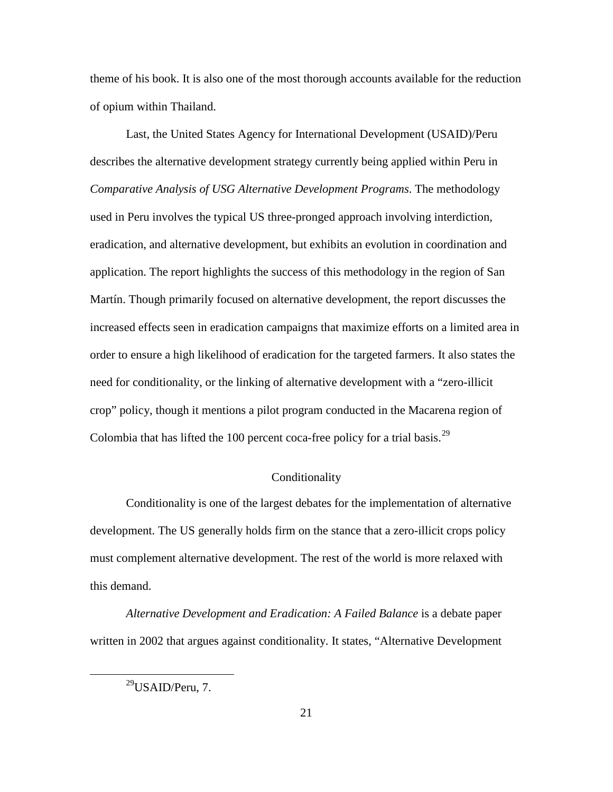theme of his book. It is also one of the most thorough accounts available for the reduction of opium within Thailand.

Last, the United States Agency for International Development (USAID)/Peru describes the alternative development strategy currently being applied within Peru in *Comparative Analysis of USG Alternative Development Programs*. The methodology used in Peru involves the typical US three-pronged approach involving interdiction, eradication, and alternative development, but exhibits an evolution in coordination and application. The report highlights the success of this methodology in the region of San Martín. Though primarily focused on alternative development, the report discusses the increased effects seen in eradication campaigns that maximize efforts on a limited area in order to ensure a high likelihood of eradication for the targeted farmers. It also states the need for conditionality, or the linking of alternative development with a "zero-illicit crop" policy, though it mentions a pilot program conducted in the Macarena region of Colombia that has lifted the 100 percent coca-free policy for a trial basis.<sup>[29](#page-30-0)</sup>

#### Conditionality

Conditionality is one of the largest debates for the implementation of alternative development. The US generally holds firm on the stance that a zero-illicit crops policy must complement alternative development. The rest of the world is more relaxed with this demand.

<span id="page-30-0"></span>*Alternative Development and Eradication: A Failed Balance* is a debate paper written in 2002 that argues against conditionality. It states, "Alternative Development

 $29$ USAID/Peru, 7.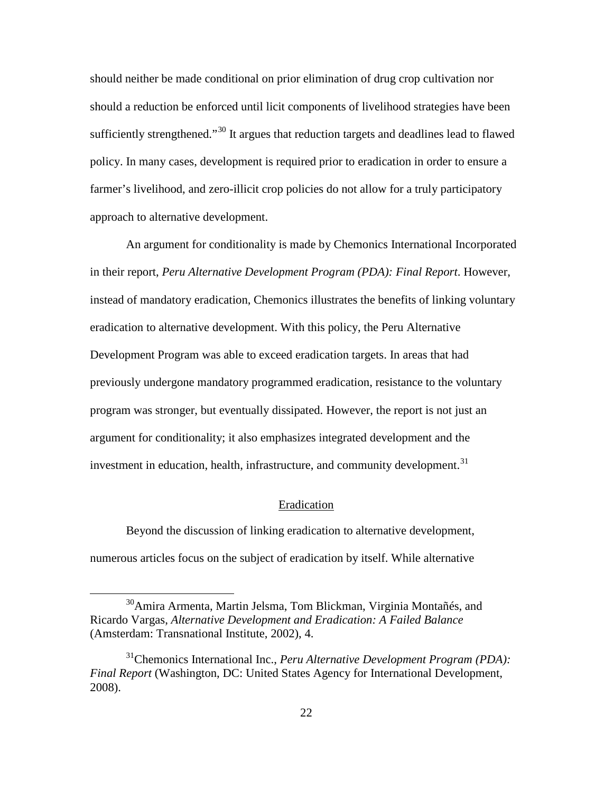should neither be made conditional on prior elimination of drug crop cultivation nor should a reduction be enforced until licit components of livelihood strategies have been sufficiently strengthened."<sup>[30](#page-31-0)</sup> It argues that reduction targets and deadlines lead to flawed policy. In many cases, development is required prior to eradication in order to ensure a farmer's livelihood, and zero-illicit crop policies do not allow for a truly participatory approach to alternative development.

An argument for conditionality is made by Chemonics International Incorporated in their report, *Peru Alternative Development Program (PDA): Final Report*. However, instead of mandatory eradication, Chemonics illustrates the benefits of linking voluntary eradication to alternative development. With this policy, the Peru Alternative Development Program was able to exceed eradication targets. In areas that had previously undergone mandatory programmed eradication, resistance to the voluntary program was stronger, but eventually dissipated. However, the report is not just an argument for conditionality; it also emphasizes integrated development and the investment in education, health, infrastructure, and community development.<sup>[31](#page-31-1)</sup>

#### Eradication

Beyond the discussion of linking eradication to alternative development, numerous articles focus on the subject of eradication by itself. While alternative

<span id="page-31-0"></span><sup>&</sup>lt;sup>30</sup>Amira Armenta, Martin Jelsma, Tom Blickman, Virginia Montañés, and Ricardo Vargas, *Alternative Development and Eradication: A Failed Balance* (Amsterdam: Transnational Institute, 2002), 4.

<span id="page-31-1"></span><sup>31</sup>Chemonics International Inc., *Peru Alternative Development Program (PDA): Final Report* (Washington, DC: United States Agency for International Development, 2008).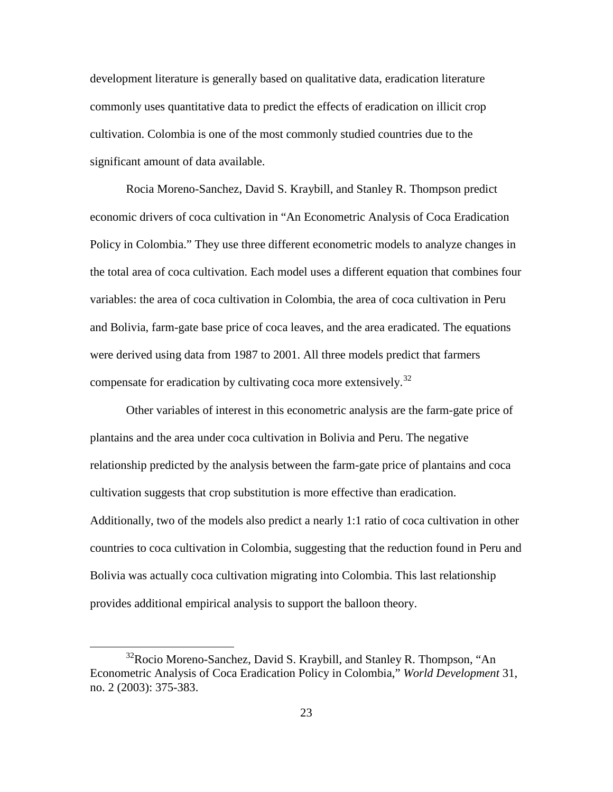development literature is generally based on qualitative data, eradication literature commonly uses quantitative data to predict the effects of eradication on illicit crop cultivation. Colombia is one of the most commonly studied countries due to the significant amount of data available.

Rocia Moreno-Sanchez, David S. Kraybill, and Stanley R. Thompson predict economic drivers of coca cultivation in "An Econometric Analysis of Coca Eradication Policy in Colombia." They use three different econometric models to analyze changes in the total area of coca cultivation. Each model uses a different equation that combines four variables: the area of coca cultivation in Colombia, the area of coca cultivation in Peru and Bolivia, farm-gate base price of coca leaves, and the area eradicated. The equations were derived using data from 1987 to 2001. All three models predict that farmers compensate for eradication by cultivating coca more extensively.<sup>[32](#page-32-0)</sup>

Other variables of interest in this econometric analysis are the farm-gate price of plantains and the area under coca cultivation in Bolivia and Peru. The negative relationship predicted by the analysis between the farm-gate price of plantains and coca cultivation suggests that crop substitution is more effective than eradication. Additionally, two of the models also predict a nearly 1:1 ratio of coca cultivation in other countries to coca cultivation in Colombia, suggesting that the reduction found in Peru and Bolivia was actually coca cultivation migrating into Colombia. This last relationship provides additional empirical analysis to support the balloon theory.

<span id="page-32-0"></span><sup>&</sup>lt;sup>32</sup>Rocio Moreno-Sanchez, David S. Kraybill, and Stanley R. Thompson, "An Econometric Analysis of Coca Eradication Policy in Colombia," *World Development* 31, no. 2 (2003): 375-383.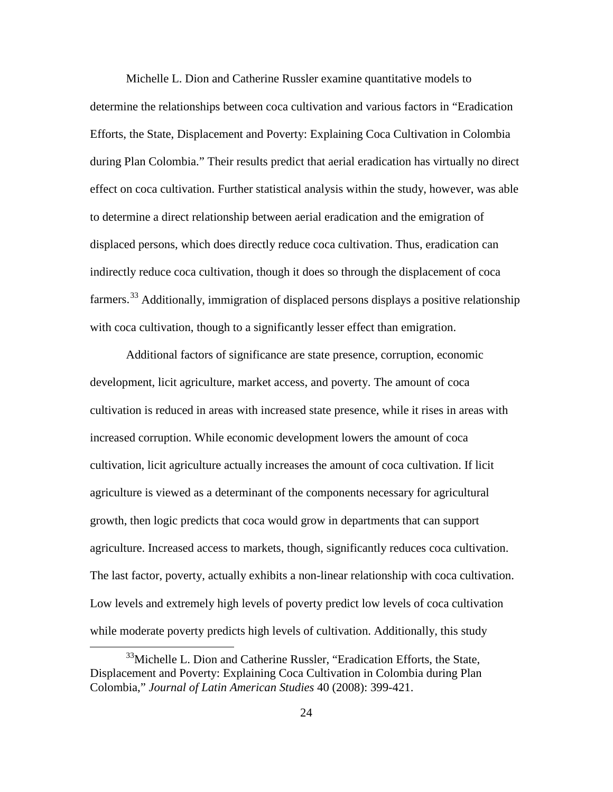Michelle L. Dion and Catherine Russler examine quantitative models to determine the relationships between coca cultivation and various factors in "Eradication Efforts, the State, Displacement and Poverty: Explaining Coca Cultivation in Colombia during Plan Colombia." Their results predict that aerial eradication has virtually no direct effect on coca cultivation. Further statistical analysis within the study, however, was able to determine a direct relationship between aerial eradication and the emigration of displaced persons, which does directly reduce coca cultivation. Thus, eradication can indirectly reduce coca cultivation, though it does so through the displacement of coca farmers.<sup>[33](#page-33-0)</sup> Additionally, immigration of displaced persons displays a positive relationship with coca cultivation, though to a significantly lesser effect than emigration.

Additional factors of significance are state presence, corruption, economic development, licit agriculture, market access, and poverty. The amount of coca cultivation is reduced in areas with increased state presence, while it rises in areas with increased corruption. While economic development lowers the amount of coca cultivation, licit agriculture actually increases the amount of coca cultivation. If licit agriculture is viewed as a determinant of the components necessary for agricultural growth, then logic predicts that coca would grow in departments that can support agriculture. Increased access to markets, though, significantly reduces coca cultivation. The last factor, poverty, actually exhibits a non-linear relationship with coca cultivation. Low levels and extremely high levels of poverty predict low levels of coca cultivation while moderate poverty predicts high levels of cultivation. Additionally, this study

<span id="page-33-0"></span> $33$ Michelle L. Dion and Catherine Russler, "Eradication Efforts, the State, Displacement and Poverty: Explaining Coca Cultivation in Colombia during Plan Colombia," *Journal of Latin American Studies* 40 (2008): 399-421.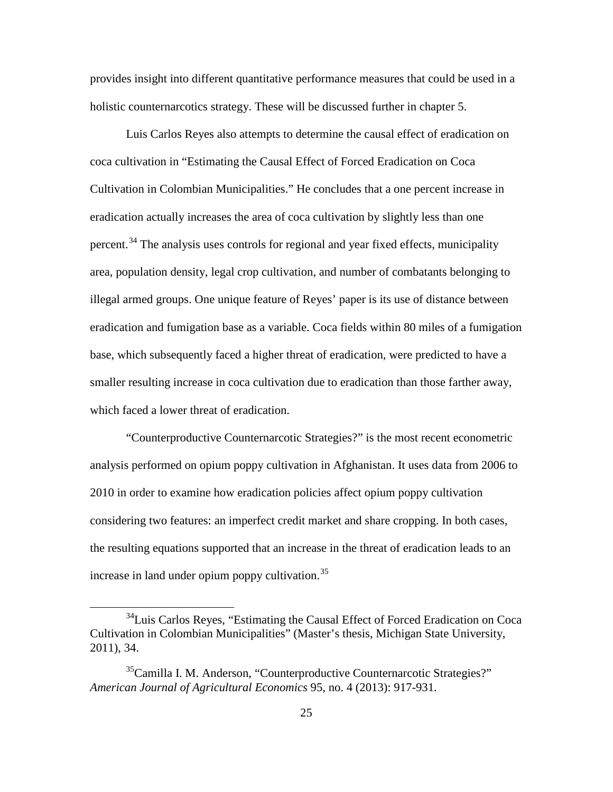provides insight into different quantitative performance measures that could be used in a holistic counternarcotics strategy. These will be discussed further in chapter 5.

Luis Carlos Reyes also attempts to determine the causal effect of eradication on coca cultivation in "Estimating the Causal Effect of Forced Eradication on Coca Cultivation in Colombian Municipalities." He concludes that a one percent increase in eradication actually increases the area of coca cultivation by slightly less than one percent.<sup>[34](#page-34-0)</sup> The analysis uses controls for regional and year fixed effects, municipality area, population density, legal crop cultivation, and number of combatants belonging to illegal armed groups. One unique feature of Reyes' paper is its use of distance between eradication and fumigation base as a variable. Coca fields within 80 miles of a fumigation base, which subsequently faced a higher threat of eradication, were predicted to have a smaller resulting increase in coca cultivation due to eradication than those farther away, which faced a lower threat of eradication.

"Counterproductive Counternarcotic Strategies?" is the most recent econometric analysis performed on opium poppy cultivation in Afghanistan. It uses data from 2006 to 2010 in order to examine how eradication policies affect opium poppy cultivation considering two features: an imperfect credit market and share cropping. In both cases, the resulting equations supported that an increase in the threat of eradication leads to an increase in land under opium poppy cultivation.<sup>[35](#page-34-1)</sup>

<span id="page-34-0"></span><sup>&</sup>lt;sup>34</sup>Luis Carlos Reyes, "Estimating the Causal Effect of Forced Eradication on Coca Cultivation in Colombian Municipalities" (Master's thesis, Michigan State University, 2011), 34.

<span id="page-34-1"></span><sup>&</sup>lt;sup>35</sup>Camilla I. M. Anderson, "Counterproductive Counternarcotic Strategies?" *American Journal of Agricultural Economics* 95, no. 4 (2013): 917-931.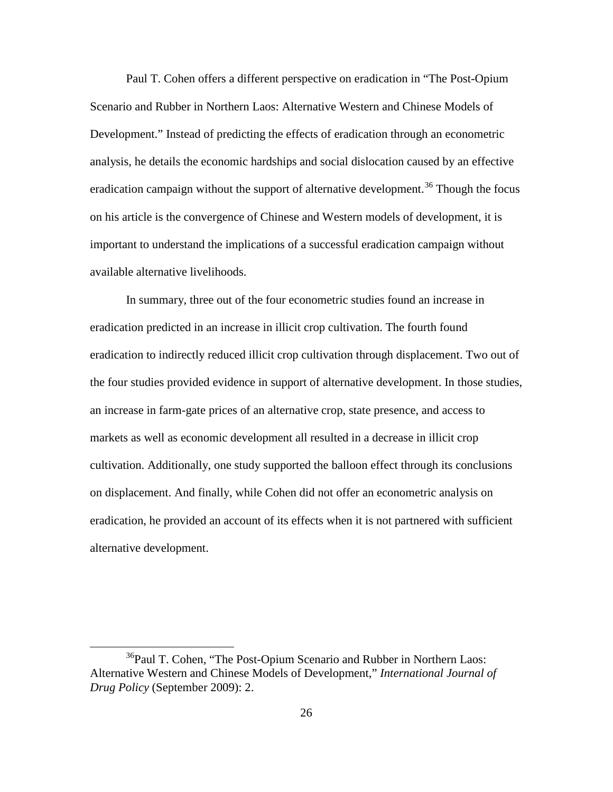Paul T. Cohen offers a different perspective on eradication in "The Post-Opium Scenario and Rubber in Northern Laos: Alternative Western and Chinese Models of Development." Instead of predicting the effects of eradication through an econometric analysis, he details the economic hardships and social dislocation caused by an effective eradication campaign without the support of alternative development.<sup>[36](#page-35-0)</sup> Though the focus on his article is the convergence of Chinese and Western models of development, it is important to understand the implications of a successful eradication campaign without available alternative livelihoods.

In summary, three out of the four econometric studies found an increase in eradication predicted in an increase in illicit crop cultivation. The fourth found eradication to indirectly reduced illicit crop cultivation through displacement. Two out of the four studies provided evidence in support of alternative development. In those studies, an increase in farm-gate prices of an alternative crop, state presence, and access to markets as well as economic development all resulted in a decrease in illicit crop cultivation. Additionally, one study supported the balloon effect through its conclusions on displacement. And finally, while Cohen did not offer an econometric analysis on eradication, he provided an account of its effects when it is not partnered with sufficient alternative development.

<span id="page-35-0"></span><sup>&</sup>lt;sup>36</sup>Paul T. Cohen, "The Post-Opium Scenario and Rubber in Northern Laos: Alternative Western and Chinese Models of Development," *International Journal of Drug Policy* (September 2009): 2.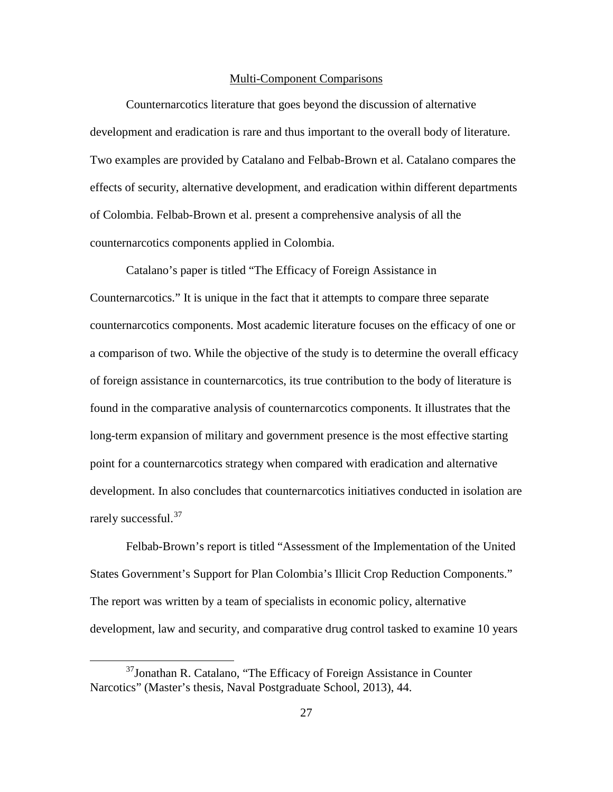#### Multi-Component Comparisons

Counternarcotics literature that goes beyond the discussion of alternative development and eradication is rare and thus important to the overall body of literature. Two examples are provided by Catalano and Felbab-Brown et al. Catalano compares the effects of security, alternative development, and eradication within different departments of Colombia. Felbab-Brown et al. present a comprehensive analysis of all the counternarcotics components applied in Colombia.

Catalano's paper is titled "The Efficacy of Foreign Assistance in Counternarcotics." It is unique in the fact that it attempts to compare three separate counternarcotics components. Most academic literature focuses on the efficacy of one or a comparison of two. While the objective of the study is to determine the overall efficacy of foreign assistance in counternarcotics, its true contribution to the body of literature is found in the comparative analysis of counternarcotics components. It illustrates that the long-term expansion of military and government presence is the most effective starting point for a counternarcotics strategy when compared with eradication and alternative development. In also concludes that counternarcotics initiatives conducted in isolation are rarely successful.<sup>[37](#page-36-0)</sup>

Felbab-Brown's report is titled "Assessment of the Implementation of the United States Government's Support for Plan Colombia's Illicit Crop Reduction Components." The report was written by a team of specialists in economic policy, alternative development, law and security, and comparative drug control tasked to examine 10 years

<span id="page-36-0"></span> $37$ Jonathan R. Catalano, "The Efficacy of Foreign Assistance in Counter Narcotics" (Master's thesis, Naval Postgraduate School, 2013), 44.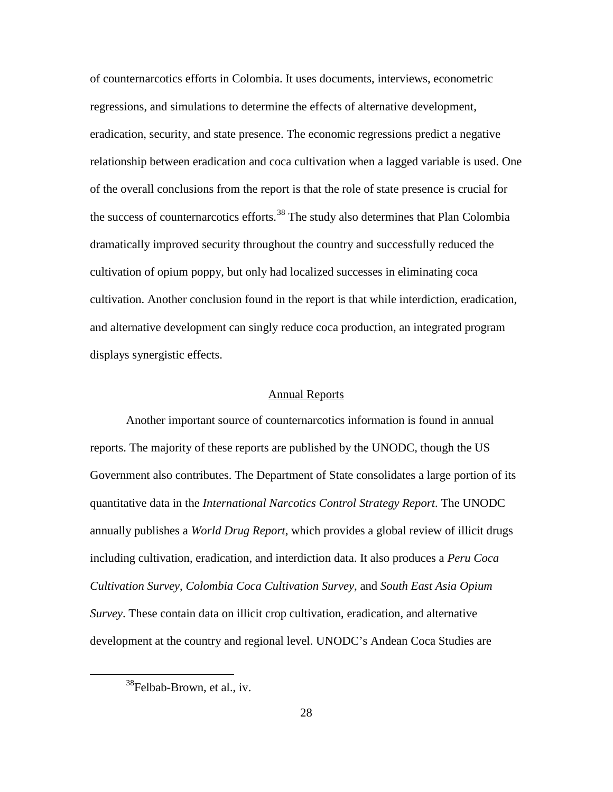of counternarcotics efforts in Colombia. It uses documents, interviews, econometric regressions, and simulations to determine the effects of alternative development, eradication, security, and state presence. The economic regressions predict a negative relationship between eradication and coca cultivation when a lagged variable is used. One of the overall conclusions from the report is that the role of state presence is crucial for the success of counternarcotics efforts.<sup>[38](#page-37-0)</sup> The study also determines that Plan Colombia dramatically improved security throughout the country and successfully reduced the cultivation of opium poppy, but only had localized successes in eliminating coca cultivation. Another conclusion found in the report is that while interdiction, eradication, and alternative development can singly reduce coca production, an integrated program displays synergistic effects.

#### Annual Reports

Another important source of counternarcotics information is found in annual reports. The majority of these reports are published by the UNODC, though the US Government also contributes. The Department of State consolidates a large portion of its quantitative data in the *International Narcotics Control Strategy Report*. The UNODC annually publishes a *World Drug Report*, which provides a global review of illicit drugs including cultivation, eradication, and interdiction data. It also produces a *Peru Coca Cultivation Survey*, *Colombia Coca Cultivation Survey*, and *South East Asia Opium Survey*. These contain data on illicit crop cultivation, eradication, and alternative development at the country and regional level. UNODC's Andean Coca Studies are

<span id="page-37-0"></span><sup>&</sup>lt;sup>38</sup>Felbab-Brown, et al., iv.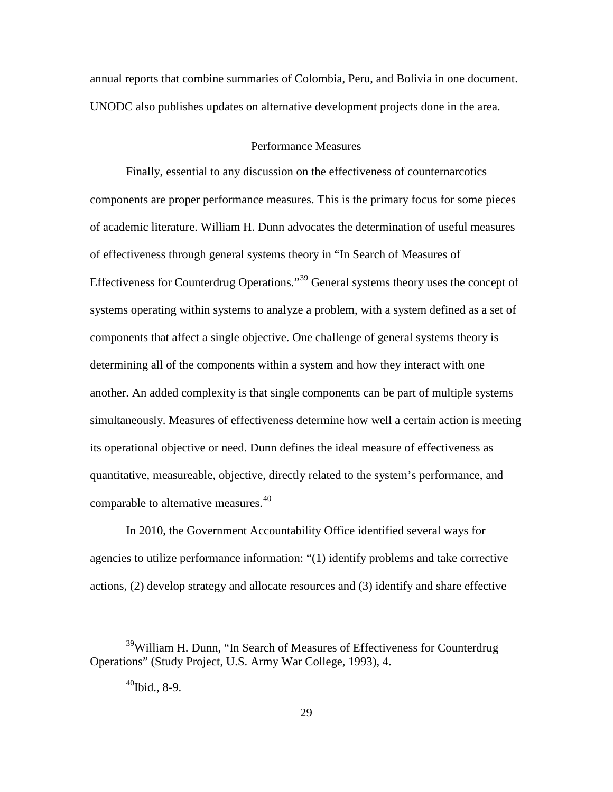annual reports that combine summaries of Colombia, Peru, and Bolivia in one document. UNODC also publishes updates on alternative development projects done in the area.

## Performance Measures

Finally, essential to any discussion on the effectiveness of counternarcotics components are proper performance measures. This is the primary focus for some pieces of academic literature. William H. Dunn advocates the determination of useful measures of effectiveness through general systems theory in "In Search of Measures of Effectiveness for Counterdrug Operations."[39](#page-38-0) General systems theory uses the concept of systems operating within systems to analyze a problem, with a system defined as a set of components that affect a single objective. One challenge of general systems theory is determining all of the components within a system and how they interact with one another. An added complexity is that single components can be part of multiple systems simultaneously. Measures of effectiveness determine how well a certain action is meeting its operational objective or need. Dunn defines the ideal measure of effectiveness as quantitative, measureable, objective, directly related to the system's performance, and comparable to alternative measures.<sup>[40](#page-38-1)</sup>

In 2010, the Government Accountability Office identified several ways for agencies to utilize performance information: "(1) identify problems and take corrective actions, (2) develop strategy and allocate resources and (3) identify and share effective

<span id="page-38-1"></span><span id="page-38-0"></span><sup>&</sup>lt;sup>39</sup>William H. Dunn, "In Search of Measures of Effectiveness for Counterdrug Operations" (Study Project, U.S. Army War College, 1993), 4.

 $^{40}$ Ibid., 8-9.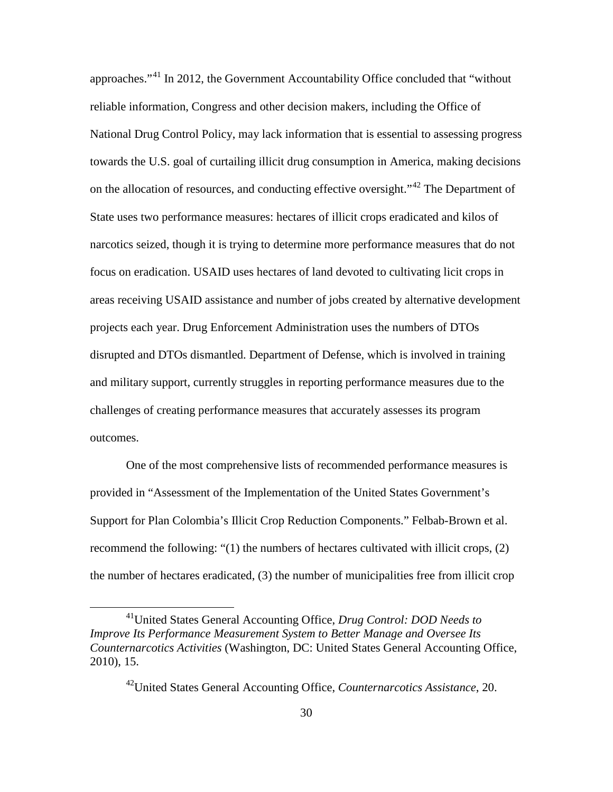approaches."[41](#page-39-0) In 2012, the Government Accountability Office concluded that "without reliable information, Congress and other decision makers, including the Office of National Drug Control Policy, may lack information that is essential to assessing progress towards the U.S. goal of curtailing illicit drug consumption in America, making decisions on the allocation of resources, and conducting effective oversight.<sup>"[42](#page-39-1)</sup> The Department of State uses two performance measures: hectares of illicit crops eradicated and kilos of narcotics seized, though it is trying to determine more performance measures that do not focus on eradication. USAID uses hectares of land devoted to cultivating licit crops in areas receiving USAID assistance and number of jobs created by alternative development projects each year. Drug Enforcement Administration uses the numbers of DTOs disrupted and DTOs dismantled. Department of Defense, which is involved in training and military support, currently struggles in reporting performance measures due to the challenges of creating performance measures that accurately assesses its program outcomes.

One of the most comprehensive lists of recommended performance measures is provided in "Assessment of the Implementation of the United States Government's Support for Plan Colombia's Illicit Crop Reduction Components." Felbab-Brown et al. recommend the following: "(1) the numbers of hectares cultivated with illicit crops, (2) the number of hectares eradicated, (3) the number of municipalities free from illicit crop

<span id="page-39-1"></span><span id="page-39-0"></span><sup>41</sup>United States General Accounting Office, *Drug Control: DOD Needs to Improve Its Performance Measurement System to Better Manage and Oversee Its Counternarcotics Activities* (Washington, DC: United States General Accounting Office, 2010), 15.

<sup>42</sup>United States General Accounting Office, *Counternarcotics Assistance*, 20.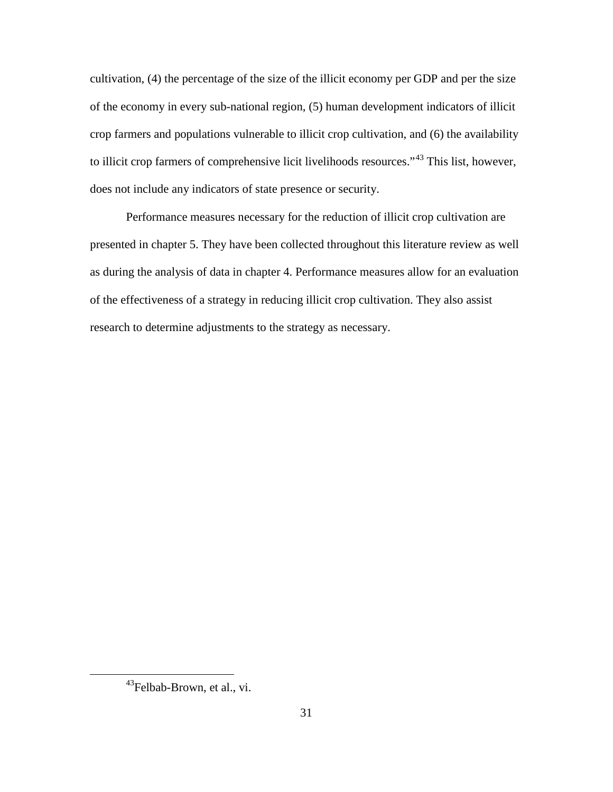cultivation, (4) the percentage of the size of the illicit economy per GDP and per the size of the economy in every sub-national region, (5) human development indicators of illicit crop farmers and populations vulnerable to illicit crop cultivation, and (6) the availability to illicit crop farmers of comprehensive licit livelihoods resources."<sup>[43](#page-40-0)</sup> This list, however, does not include any indicators of state presence or security.

Performance measures necessary for the reduction of illicit crop cultivation are presented in chapter 5. They have been collected throughout this literature review as well as during the analysis of data in chapter 4. Performance measures allow for an evaluation of the effectiveness of a strategy in reducing illicit crop cultivation. They also assist research to determine adjustments to the strategy as necessary.

<span id="page-40-0"></span><sup>&</sup>lt;sup>43</sup>Felbab-Brown, et al., vi.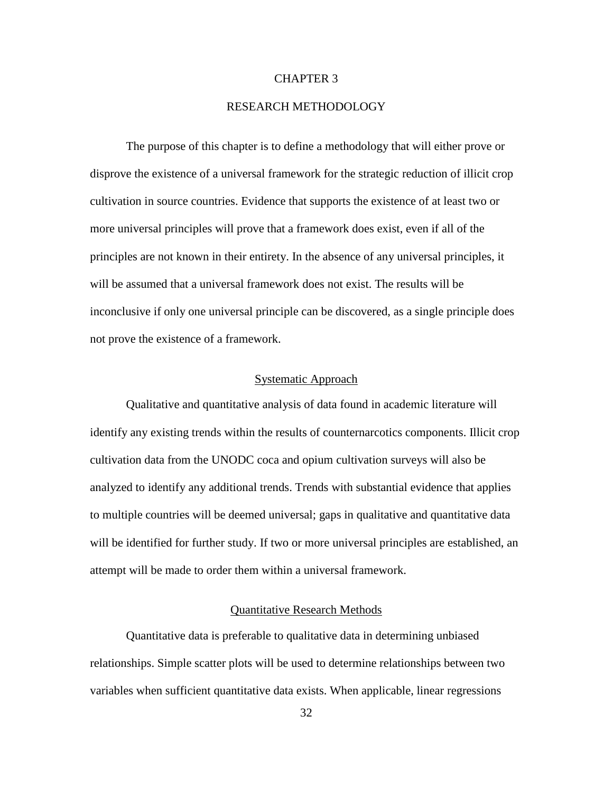### CHAPTER 3

## RESEARCH METHODOLOGY

The purpose of this chapter is to define a methodology that will either prove or disprove the existence of a universal framework for the strategic reduction of illicit crop cultivation in source countries. Evidence that supports the existence of at least two or more universal principles will prove that a framework does exist, even if all of the principles are not known in their entirety. In the absence of any universal principles, it will be assumed that a universal framework does not exist. The results will be inconclusive if only one universal principle can be discovered, as a single principle does not prove the existence of a framework.

## Systematic Approach

Qualitative and quantitative analysis of data found in academic literature will identify any existing trends within the results of counternarcotics components. Illicit crop cultivation data from the UNODC coca and opium cultivation surveys will also be analyzed to identify any additional trends. Trends with substantial evidence that applies to multiple countries will be deemed universal; gaps in qualitative and quantitative data will be identified for further study. If two or more universal principles are established, an attempt will be made to order them within a universal framework.

# Quantitative Research Methods

Quantitative data is preferable to qualitative data in determining unbiased relationships. Simple scatter plots will be used to determine relationships between two variables when sufficient quantitative data exists. When applicable, linear regressions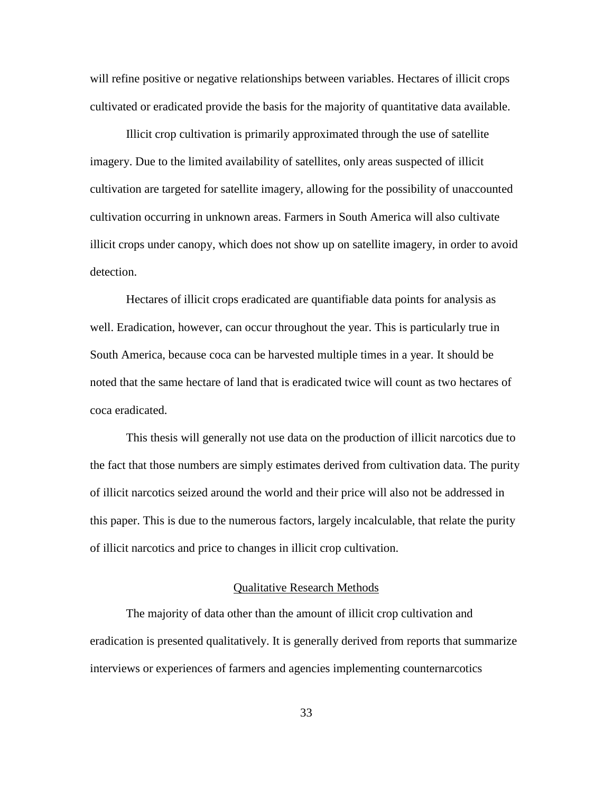will refine positive or negative relationships between variables. Hectares of illicit crops cultivated or eradicated provide the basis for the majority of quantitative data available.

Illicit crop cultivation is primarily approximated through the use of satellite imagery. Due to the limited availability of satellites, only areas suspected of illicit cultivation are targeted for satellite imagery, allowing for the possibility of unaccounted cultivation occurring in unknown areas. Farmers in South America will also cultivate illicit crops under canopy, which does not show up on satellite imagery, in order to avoid detection.

Hectares of illicit crops eradicated are quantifiable data points for analysis as well. Eradication, however, can occur throughout the year. This is particularly true in South America, because coca can be harvested multiple times in a year. It should be noted that the same hectare of land that is eradicated twice will count as two hectares of coca eradicated.

This thesis will generally not use data on the production of illicit narcotics due to the fact that those numbers are simply estimates derived from cultivation data. The purity of illicit narcotics seized around the world and their price will also not be addressed in this paper. This is due to the numerous factors, largely incalculable, that relate the purity of illicit narcotics and price to changes in illicit crop cultivation.

# Qualitative Research Methods

The majority of data other than the amount of illicit crop cultivation and eradication is presented qualitatively. It is generally derived from reports that summarize interviews or experiences of farmers and agencies implementing counternarcotics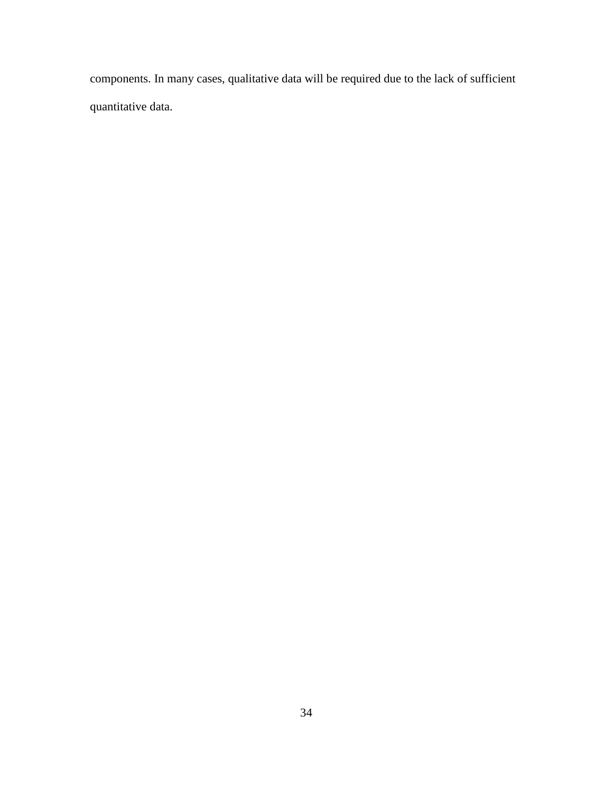components. In many cases, qualitative data will be required due to the lack of sufficient quantitative data.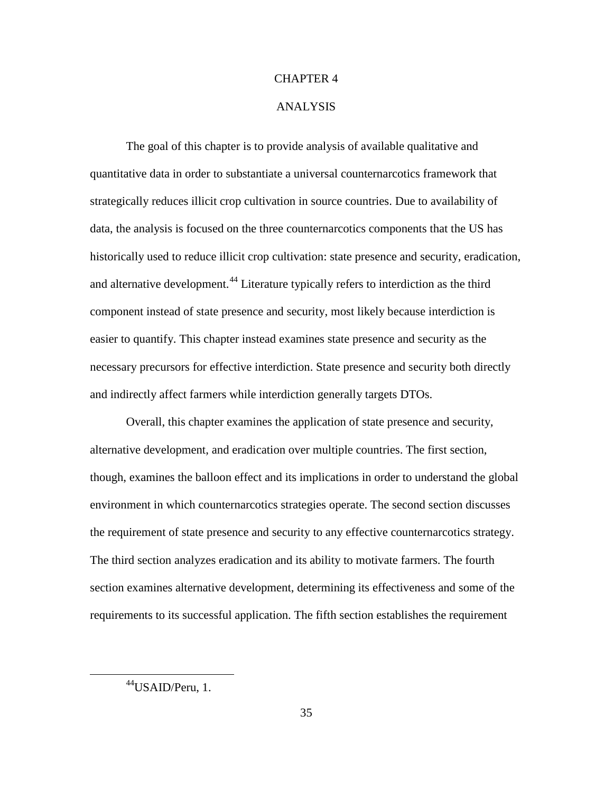## CHAPTER 4

### ANALYSIS

The goal of this chapter is to provide analysis of available qualitative and quantitative data in order to substantiate a universal counternarcotics framework that strategically reduces illicit crop cultivation in source countries. Due to availability of data, the analysis is focused on the three counternarcotics components that the US has historically used to reduce illicit crop cultivation: state presence and security, eradication, and alternative development.<sup>[44](#page-44-0)</sup> Literature typically refers to interdiction as the third component instead of state presence and security, most likely because interdiction is easier to quantify. This chapter instead examines state presence and security as the necessary precursors for effective interdiction. State presence and security both directly and indirectly affect farmers while interdiction generally targets DTOs.

Overall, this chapter examines the application of state presence and security, alternative development, and eradication over multiple countries. The first section, though, examines the balloon effect and its implications in order to understand the global environment in which counternarcotics strategies operate. The second section discusses the requirement of state presence and security to any effective counternarcotics strategy. The third section analyzes eradication and its ability to motivate farmers. The fourth section examines alternative development, determining its effectiveness and some of the requirements to its successful application. The fifth section establishes the requirement

<span id="page-44-0"></span><sup>44</sup>USAID/Peru, 1.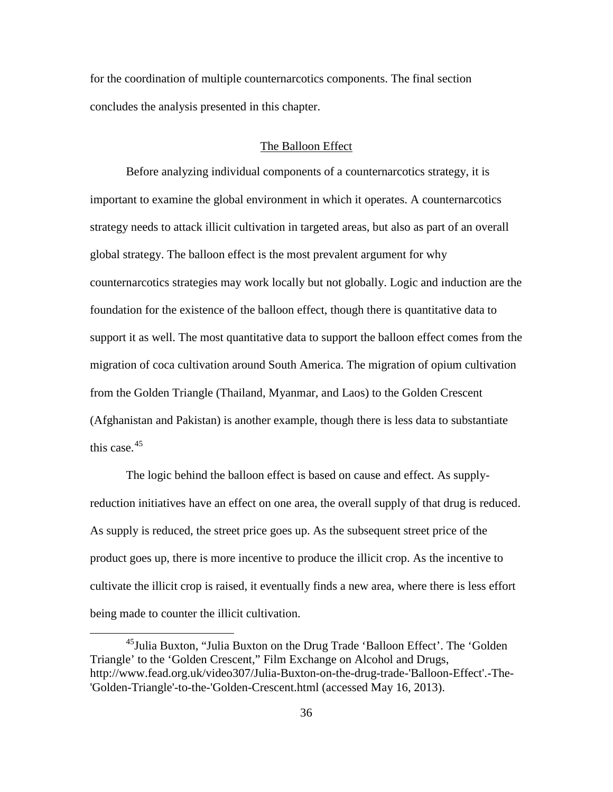for the coordination of multiple counternarcotics components. The final section concludes the analysis presented in this chapter.

# The Balloon Effect

Before analyzing individual components of a counternarcotics strategy, it is important to examine the global environment in which it operates. A counternarcotics strategy needs to attack illicit cultivation in targeted areas, but also as part of an overall global strategy. The balloon effect is the most prevalent argument for why counternarcotics strategies may work locally but not globally. Logic and induction are the foundation for the existence of the balloon effect, though there is quantitative data to support it as well. The most quantitative data to support the balloon effect comes from the migration of coca cultivation around South America. The migration of opium cultivation from the Golden Triangle (Thailand, Myanmar, and Laos) to the Golden Crescent (Afghanistan and Pakistan) is another example, though there is less data to substantiate this case.  $45$ 

The logic behind the balloon effect is based on cause and effect. As supplyreduction initiatives have an effect on one area, the overall supply of that drug is reduced. As supply is reduced, the street price goes up. As the subsequent street price of the product goes up, there is more incentive to produce the illicit crop. As the incentive to cultivate the illicit crop is raised, it eventually finds a new area, where there is less effort being made to counter the illicit cultivation.

<span id="page-45-0"></span><sup>&</sup>lt;sup>45</sup>Julia Buxton, "Julia Buxton on the Drug Trade 'Balloon Effect'. The 'Golden Triangle' to the 'Golden Crescent," Film Exchange on Alcohol and Drugs, http://www.fead.org.uk/video307/Julia-Buxton-on-the-drug-trade-'Balloon-Effect'.-The- 'Golden-Triangle'-to-the-'Golden-Crescent.html (accessed May 16, 2013).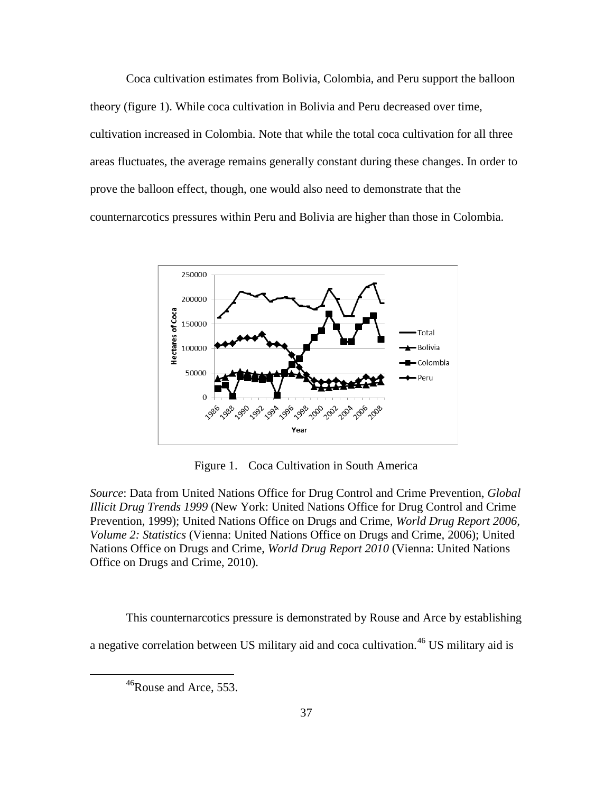Coca cultivation estimates from Bolivia, Colombia, and Peru support the balloon theory (figure 1). While coca cultivation in Bolivia and Peru decreased over time, cultivation increased in Colombia. Note that while the total coca cultivation for all three areas fluctuates, the average remains generally constant during these changes. In order to prove the balloon effect, though, one would also need to demonstrate that the counternarcotics pressures within Peru and Bolivia are higher than those in Colombia.



Figure 1. Coca Cultivation in South America

*Source*: Data from United Nations Office for Drug Control and Crime Prevention, *Global Illicit Drug Trends 1999* (New York: United Nations Office for Drug Control and Crime Prevention, 1999); United Nations Office on Drugs and Crime, *World Drug Report 2006, Volume 2: Statistics* (Vienna: United Nations Office on Drugs and Crime, 2006); United Nations Office on Drugs and Crime, *World Drug Report 2010* (Vienna: United Nations Office on Drugs and Crime, 2010).

<span id="page-46-0"></span>This counternarcotics pressure is demonstrated by Rouse and Arce by establishing a negative correlation between US military aid and coca cultivation.<sup>[46](#page-46-0)</sup> US military aid is

<sup>&</sup>lt;sup>46</sup>Rouse and Arce, 553.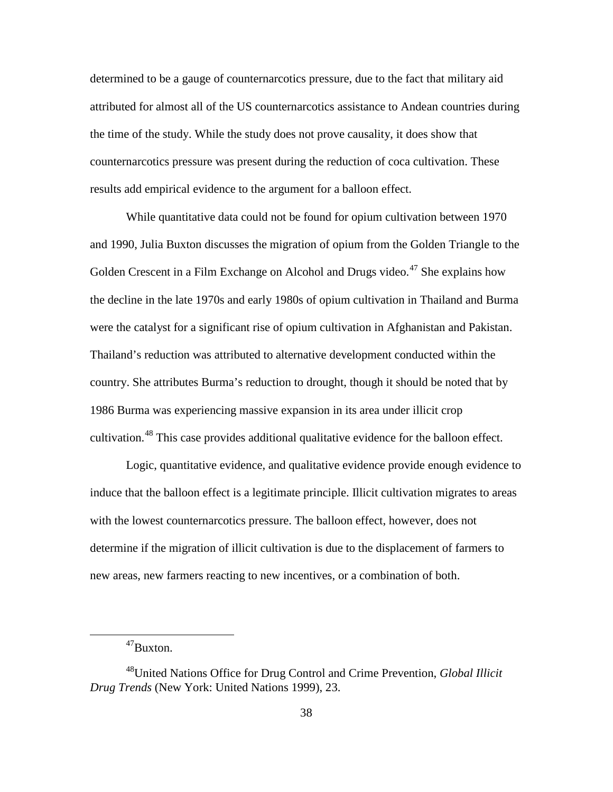determined to be a gauge of counternarcotics pressure, due to the fact that military aid attributed for almost all of the US counternarcotics assistance to Andean countries during the time of the study. While the study does not prove causality, it does show that counternarcotics pressure was present during the reduction of coca cultivation. These results add empirical evidence to the argument for a balloon effect.

While quantitative data could not be found for opium cultivation between 1970 and 1990, Julia Buxton discusses the migration of opium from the Golden Triangle to the Golden Crescent in a Film Exchange on Alcohol and Drugs video.<sup>[47](#page-47-0)</sup> She explains how the decline in the late 1970s and early 1980s of opium cultivation in Thailand and Burma were the catalyst for a significant rise of opium cultivation in Afghanistan and Pakistan. Thailand's reduction was attributed to alternative development conducted within the country. She attributes Burma's reduction to drought, though it should be noted that by 1986 Burma was experiencing massive expansion in its area under illicit crop cultivation.[48](#page-47-1) This case provides additional qualitative evidence for the balloon effect.

Logic, quantitative evidence, and qualitative evidence provide enough evidence to induce that the balloon effect is a legitimate principle. Illicit cultivation migrates to areas with the lowest counternarcotics pressure. The balloon effect, however, does not determine if the migration of illicit cultivation is due to the displacement of farmers to new areas, new farmers reacting to new incentives, or a combination of both.

<sup>47</sup>Buxton.

<span id="page-47-1"></span><span id="page-47-0"></span><sup>48</sup>United Nations Office for Drug Control and Crime Prevention, *Global Illicit Drug Trends* (New York: United Nations 1999), 23.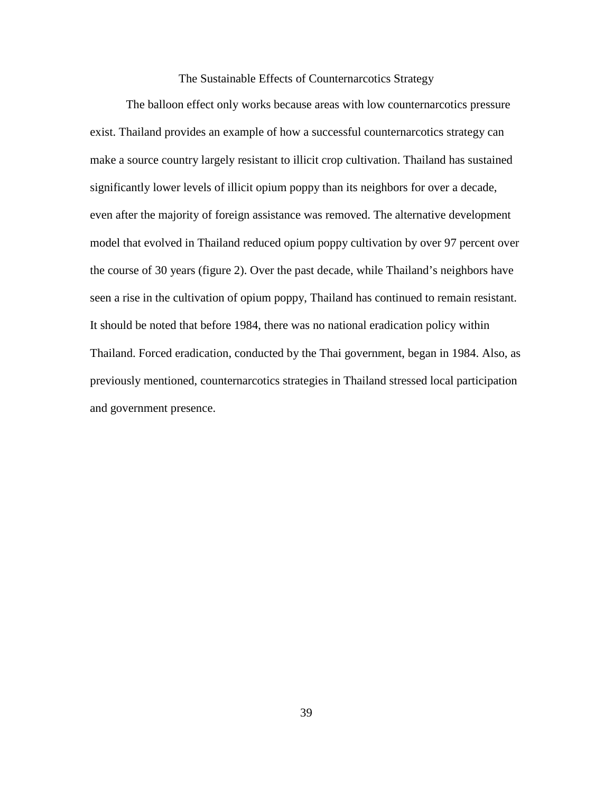# The Sustainable Effects of Counternarcotics Strategy

The balloon effect only works because areas with low counternarcotics pressure exist. Thailand provides an example of how a successful counternarcotics strategy can make a source country largely resistant to illicit crop cultivation. Thailand has sustained significantly lower levels of illicit opium poppy than its neighbors for over a decade, even after the majority of foreign assistance was removed. The alternative development model that evolved in Thailand reduced opium poppy cultivation by over 97 percent over the course of 30 years (figure 2). Over the past decade, while Thailand's neighbors have seen a rise in the cultivation of opium poppy, Thailand has continued to remain resistant. It should be noted that before 1984, there was no national eradication policy within Thailand. Forced eradication, conducted by the Thai government, began in 1984. Also, as previously mentioned, counternarcotics strategies in Thailand stressed local participation and government presence.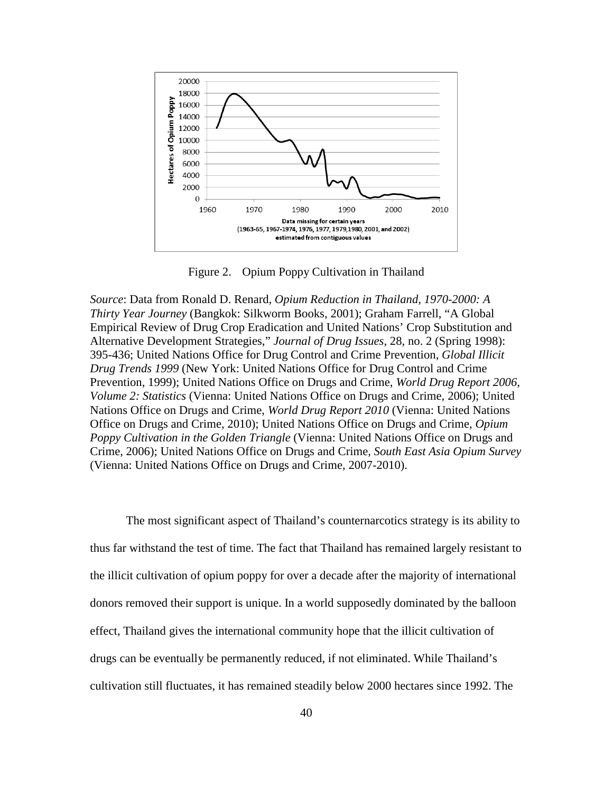

Figure 2. Opium Poppy Cultivation in Thailand

*Source*: Data from Ronald D. Renard, *Opium Reduction in Thailand, 1970-2000: A Thirty Year Journey* (Bangkok: Silkworm Books, 2001); Graham Farrell, "A Global Empirical Review of Drug Crop Eradication and United Nations' Crop Substitution and Alternative Development Strategies," *Journal of Drug Issues*, 28, no. 2 (Spring 1998): 395-436; United Nations Office for Drug Control and Crime Prevention, *Global Illicit Drug Trends 1999* (New York: United Nations Office for Drug Control and Crime Prevention, 1999); United Nations Office on Drugs and Crime, *World Drug Report 2006, Volume 2: Statistics* (Vienna: United Nations Office on Drugs and Crime, 2006); United Nations Office on Drugs and Crime, *World Drug Report 2010* (Vienna: United Nations Office on Drugs and Crime, 2010); United Nations Office on Drugs and Crime, *Opium Poppy Cultivation in the Golden Triangle* (Vienna: United Nations Office on Drugs and Crime, 2006); United Nations Office on Drugs and Crime, *South East Asia Opium Survey* (Vienna: United Nations Office on Drugs and Crime, 2007-2010).

The most significant aspect of Thailand's counternarcotics strategy is its ability to thus far withstand the test of time. The fact that Thailand has remained largely resistant to the illicit cultivation of opium poppy for over a decade after the majority of international donors removed their support is unique. In a world supposedly dominated by the balloon effect, Thailand gives the international community hope that the illicit cultivation of drugs can be eventually be permanently reduced, if not eliminated. While Thailand's cultivation still fluctuates, it has remained steadily below 2000 hectares since 1992. The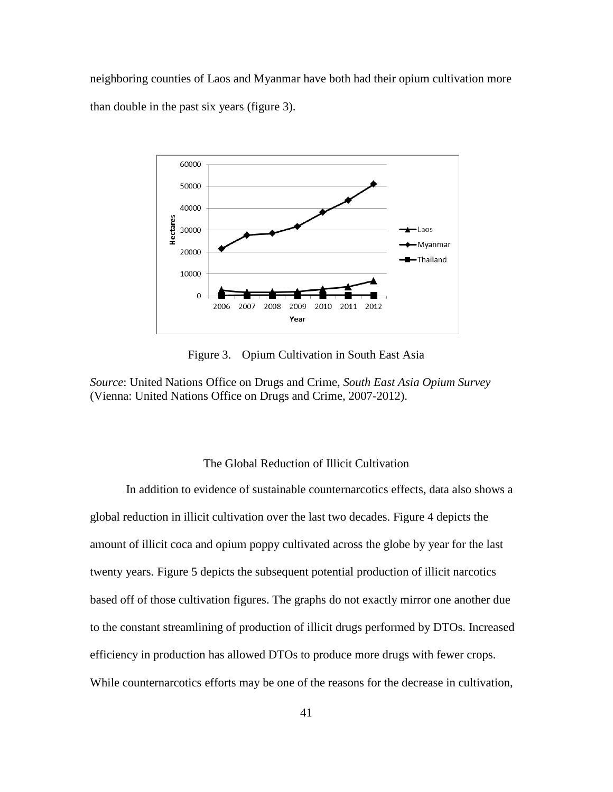neighboring counties of Laos and Myanmar have both had their opium cultivation more than double in the past six years (figure 3).



Figure 3. Opium Cultivation in South East Asia

*Source*: United Nations Office on Drugs and Crime, *South East Asia Opium Survey* (Vienna: United Nations Office on Drugs and Crime, 2007-2012).

# The Global Reduction of Illicit Cultivation

In addition to evidence of sustainable counternarcotics effects, data also shows a global reduction in illicit cultivation over the last two decades. Figure 4 depicts the amount of illicit coca and opium poppy cultivated across the globe by year for the last twenty years. Figure 5 depicts the subsequent potential production of illicit narcotics based off of those cultivation figures. The graphs do not exactly mirror one another due to the constant streamlining of production of illicit drugs performed by DTOs. Increased efficiency in production has allowed DTOs to produce more drugs with fewer crops. While counternarcotics efforts may be one of the reasons for the decrease in cultivation,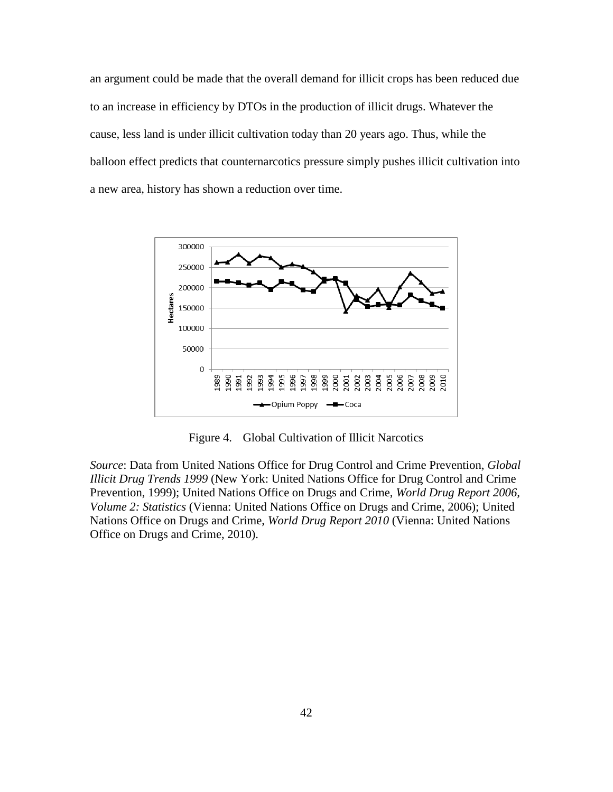an argument could be made that the overall demand for illicit crops has been reduced due to an increase in efficiency by DTOs in the production of illicit drugs. Whatever the cause, less land is under illicit cultivation today than 20 years ago. Thus, while the balloon effect predicts that counternarcotics pressure simply pushes illicit cultivation into a new area, history has shown a reduction over time.



Figure 4. Global Cultivation of Illicit Narcotics

*Source*: Data from United Nations Office for Drug Control and Crime Prevention, *Global Illicit Drug Trends 1999* (New York: United Nations Office for Drug Control and Crime Prevention, 1999); United Nations Office on Drugs and Crime, *World Drug Report 2006, Volume 2: Statistics* (Vienna: United Nations Office on Drugs and Crime, 2006); United Nations Office on Drugs and Crime, *World Drug Report 2010* (Vienna: United Nations Office on Drugs and Crime, 2010).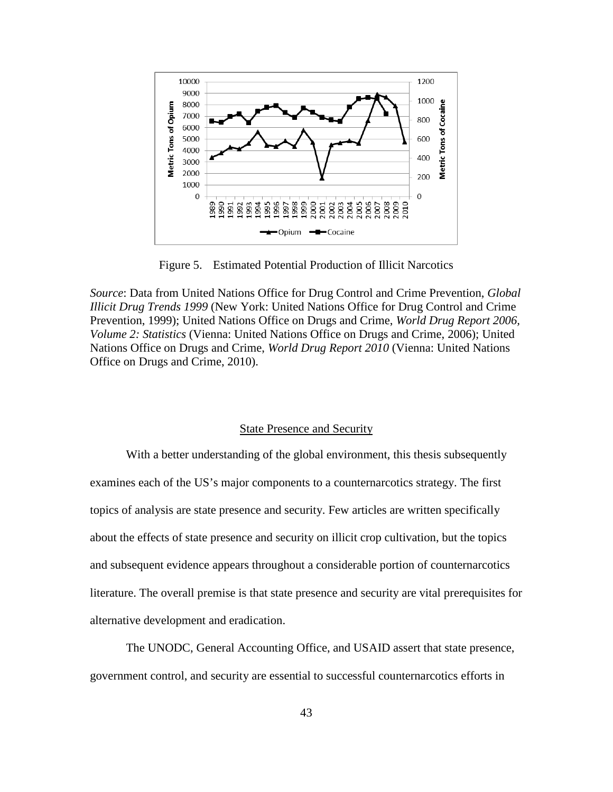

Figure 5. Estimated Potential Production of Illicit Narcotics

*Source*: Data from United Nations Office for Drug Control and Crime Prevention, *Global Illicit Drug Trends 1999* (New York: United Nations Office for Drug Control and Crime Prevention, 1999); United Nations Office on Drugs and Crime, *World Drug Report 2006, Volume 2: Statistics* (Vienna: United Nations Office on Drugs and Crime, 2006); United Nations Office on Drugs and Crime, *World Drug Report 2010* (Vienna: United Nations Office on Drugs and Crime, 2010).

# State Presence and Security

With a better understanding of the global environment, this thesis subsequently examines each of the US's major components to a counternarcotics strategy. The first topics of analysis are state presence and security. Few articles are written specifically about the effects of state presence and security on illicit crop cultivation, but the topics and subsequent evidence appears throughout a considerable portion of counternarcotics literature. The overall premise is that state presence and security are vital prerequisites for alternative development and eradication.

The UNODC, General Accounting Office, and USAID assert that state presence, government control, and security are essential to successful counternarcotics efforts in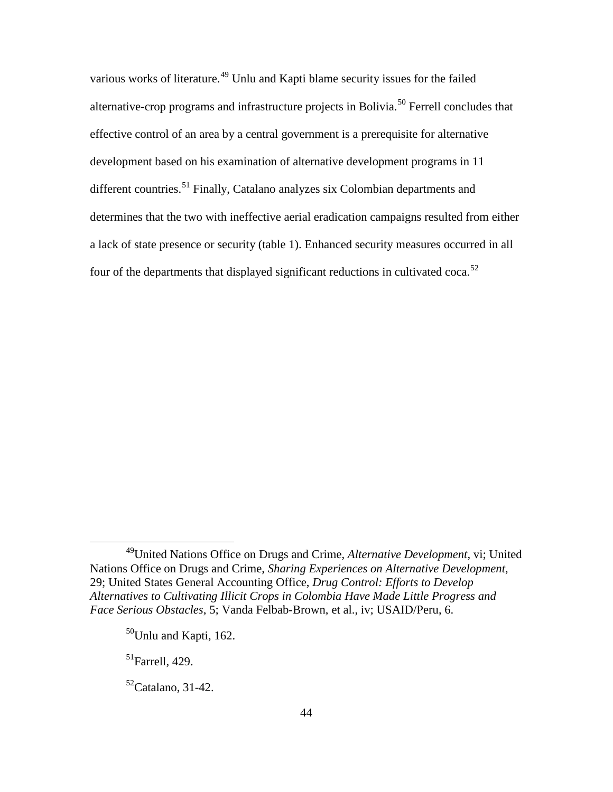various works of literature.<sup>[49](#page-53-0)</sup> Unlu and Kapti blame security issues for the failed alternative-crop programs and infrastructure projects in Bolivia.<sup>[50](#page-53-1)</sup> Ferrell concludes that effective control of an area by a central government is a prerequisite for alternative development based on his examination of alternative development programs in 11 different countries.<sup>[51](#page-53-2)</sup> Finally, Catalano analyzes six Colombian departments and determines that the two with ineffective aerial eradication campaigns resulted from either a lack of state presence or security (table 1). Enhanced security measures occurred in all four of the departments that displayed significant reductions in cultivated coca.<sup>[52](#page-53-3)</sup>

<span id="page-53-2"></span> $51$ Farrell, 429.

 $\overline{a}$ 

<span id="page-53-3"></span> $52$ Catalano, 31-42.

<span id="page-53-1"></span><span id="page-53-0"></span><sup>49</sup>United Nations Office on Drugs and Crime, *Alternative Development*, vi; United Nations Office on Drugs and Crime, *Sharing Experiences on Alternative Development*, 29; United States General Accounting Office, *Drug Control: Efforts to Develop Alternatives to Cultivating Illicit Crops in Colombia Have Made Little Progress and Face Serious Obstacles*, 5; Vanda Felbab-Brown, et al., iv; USAID/Peru, 6.

 $50$ Unlu and Kapti, 162.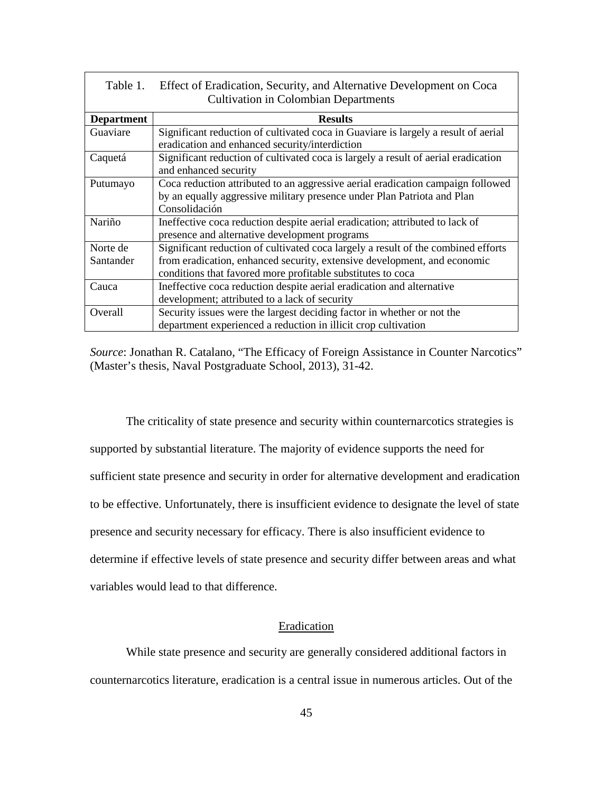| Table 1.          | Effect of Eradication, Security, and Alternative Development on Coca<br><b>Cultivation in Colombian Departments</b>                                                         |
|-------------------|-----------------------------------------------------------------------------------------------------------------------------------------------------------------------------|
| <b>Department</b> | <b>Results</b>                                                                                                                                                              |
| Guaviare          | Significant reduction of cultivated coca in Guaviare is largely a result of aerial<br>eradication and enhanced security/interdiction                                        |
| Caquetá           | Significant reduction of cultivated coca is largely a result of aerial eradication<br>and enhanced security                                                                 |
| Putumayo          | Coca reduction attributed to an aggressive aerial eradication campaign followed<br>by an equally aggressive military presence under Plan Patriota and Plan<br>Consolidación |
| Nariño            | Ineffective coca reduction despite aerial eradication; attributed to lack of<br>presence and alternative development programs                                               |
| Norte de          | Significant reduction of cultivated coca largely a result of the combined efforts                                                                                           |
| Santander         | from eradication, enhanced security, extensive development, and economic<br>conditions that favored more profitable substitutes to coca                                     |
| Cauca             | Ineffective coca reduction despite aerial eradication and alternative                                                                                                       |
|                   | development; attributed to a lack of security                                                                                                                               |
| Overall           | Security issues were the largest deciding factor in whether or not the                                                                                                      |
|                   | department experienced a reduction in illicit crop cultivation                                                                                                              |

*Source*: Jonathan R. Catalano, "The Efficacy of Foreign Assistance in Counter Narcotics" (Master's thesis, Naval Postgraduate School, 2013), 31-42.

The criticality of state presence and security within counternarcotics strategies is supported by substantial literature. The majority of evidence supports the need for sufficient state presence and security in order for alternative development and eradication to be effective. Unfortunately, there is insufficient evidence to designate the level of state presence and security necessary for efficacy. There is also insufficient evidence to determine if effective levels of state presence and security differ between areas and what variables would lead to that difference.

### Eradication

While state presence and security are generally considered additional factors in counternarcotics literature, eradication is a central issue in numerous articles. Out of the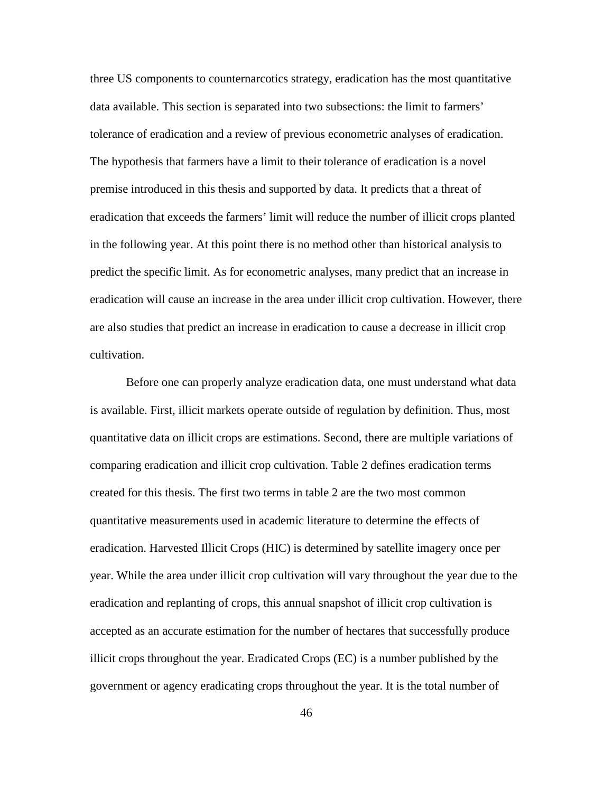three US components to counternarcotics strategy, eradication has the most quantitative data available. This section is separated into two subsections: the limit to farmers' tolerance of eradication and a review of previous econometric analyses of eradication. The hypothesis that farmers have a limit to their tolerance of eradication is a novel premise introduced in this thesis and supported by data. It predicts that a threat of eradication that exceeds the farmers' limit will reduce the number of illicit crops planted in the following year. At this point there is no method other than historical analysis to predict the specific limit. As for econometric analyses, many predict that an increase in eradication will cause an increase in the area under illicit crop cultivation. However, there are also studies that predict an increase in eradication to cause a decrease in illicit crop cultivation.

Before one can properly analyze eradication data, one must understand what data is available. First, illicit markets operate outside of regulation by definition. Thus, most quantitative data on illicit crops are estimations. Second, there are multiple variations of comparing eradication and illicit crop cultivation. Table 2 defines eradication terms created for this thesis. The first two terms in table 2 are the two most common quantitative measurements used in academic literature to determine the effects of eradication. Harvested Illicit Crops (HIC) is determined by satellite imagery once per year. While the area under illicit crop cultivation will vary throughout the year due to the eradication and replanting of crops, this annual snapshot of illicit crop cultivation is accepted as an accurate estimation for the number of hectares that successfully produce illicit crops throughout the year. Eradicated Crops (EC) is a number published by the government or agency eradicating crops throughout the year. It is the total number of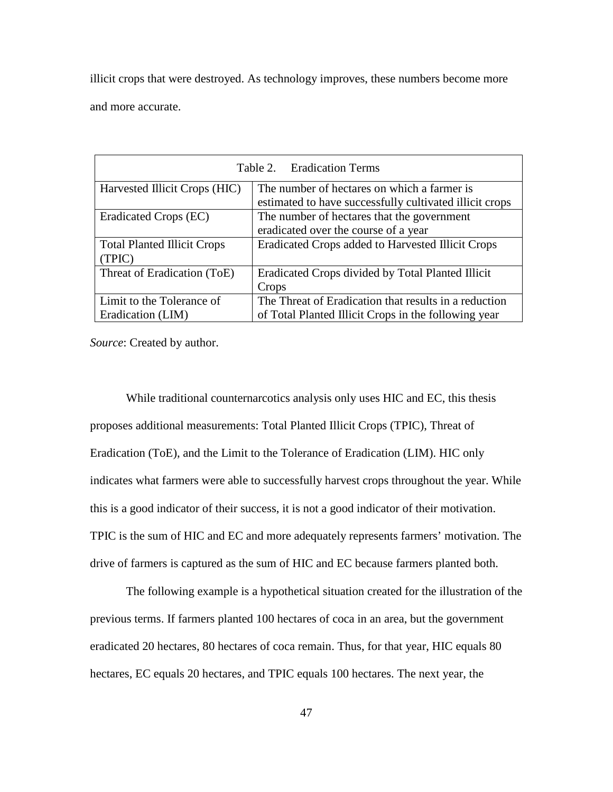illicit crops that were destroyed. As technology improves, these numbers become more and more accurate.

| Table 2. Eradication Terms         |                                                         |  |  |  |
|------------------------------------|---------------------------------------------------------|--|--|--|
| Harvested Illicit Crops (HIC)      | The number of hectares on which a farmer is             |  |  |  |
|                                    | estimated to have successfully cultivated illicit crops |  |  |  |
| Eradicated Crops (EC)              | The number of hectares that the government              |  |  |  |
|                                    | eradicated over the course of a year                    |  |  |  |
| <b>Total Planted Illicit Crops</b> | Eradicated Crops added to Harvested Illicit Crops       |  |  |  |
| (TPIC)                             |                                                         |  |  |  |
| Threat of Eradication (ToE)        | Eradicated Crops divided by Total Planted Illicit       |  |  |  |
|                                    | Crops                                                   |  |  |  |
| Limit to the Tolerance of          | The Threat of Eradication that results in a reduction   |  |  |  |
| Eradication (LIM)                  | of Total Planted Illicit Crops in the following year    |  |  |  |

*Source*: Created by author.

While traditional counternarcotics analysis only uses HIC and EC, this thesis proposes additional measurements: Total Planted Illicit Crops (TPIC), Threat of Eradication (ToE), and the Limit to the Tolerance of Eradication (LIM). HIC only indicates what farmers were able to successfully harvest crops throughout the year. While this is a good indicator of their success, it is not a good indicator of their motivation. TPIC is the sum of HIC and EC and more adequately represents farmers' motivation. The drive of farmers is captured as the sum of HIC and EC because farmers planted both.

The following example is a hypothetical situation created for the illustration of the previous terms. If farmers planted 100 hectares of coca in an area, but the government eradicated 20 hectares, 80 hectares of coca remain. Thus, for that year, HIC equals 80 hectares, EC equals 20 hectares, and TPIC equals 100 hectares. The next year, the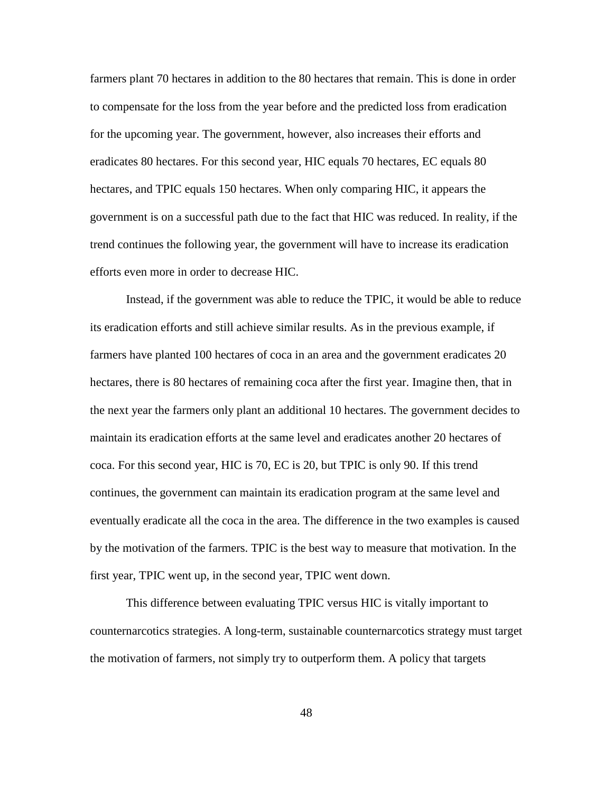farmers plant 70 hectares in addition to the 80 hectares that remain. This is done in order to compensate for the loss from the year before and the predicted loss from eradication for the upcoming year. The government, however, also increases their efforts and eradicates 80 hectares. For this second year, HIC equals 70 hectares, EC equals 80 hectares, and TPIC equals 150 hectares. When only comparing HIC, it appears the government is on a successful path due to the fact that HIC was reduced. In reality, if the trend continues the following year, the government will have to increase its eradication efforts even more in order to decrease HIC.

Instead, if the government was able to reduce the TPIC, it would be able to reduce its eradication efforts and still achieve similar results. As in the previous example, if farmers have planted 100 hectares of coca in an area and the government eradicates 20 hectares, there is 80 hectares of remaining coca after the first year. Imagine then, that in the next year the farmers only plant an additional 10 hectares. The government decides to maintain its eradication efforts at the same level and eradicates another 20 hectares of coca. For this second year, HIC is 70, EC is 20, but TPIC is only 90. If this trend continues, the government can maintain its eradication program at the same level and eventually eradicate all the coca in the area. The difference in the two examples is caused by the motivation of the farmers. TPIC is the best way to measure that motivation. In the first year, TPIC went up, in the second year, TPIC went down.

This difference between evaluating TPIC versus HIC is vitally important to counternarcotics strategies. A long-term, sustainable counternarcotics strategy must target the motivation of farmers, not simply try to outperform them. A policy that targets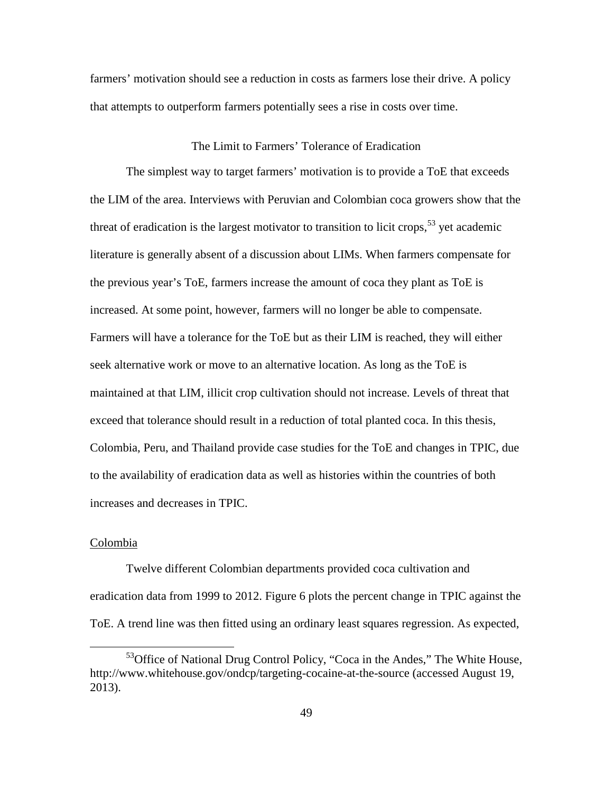farmers' motivation should see a reduction in costs as farmers lose their drive. A policy that attempts to outperform farmers potentially sees a rise in costs over time.

#### The Limit to Farmers' Tolerance of Eradication

The simplest way to target farmers' motivation is to provide a ToE that exceeds the LIM of the area. Interviews with Peruvian and Colombian coca growers show that the threat of eradication is the largest motivator to transition to licit crops,<sup>[53](#page-58-0)</sup> yet academic literature is generally absent of a discussion about LIMs. When farmers compensate for the previous year's ToE, farmers increase the amount of coca they plant as ToE is increased. At some point, however, farmers will no longer be able to compensate. Farmers will have a tolerance for the ToE but as their LIM is reached, they will either seek alternative work or move to an alternative location. As long as the ToE is maintained at that LIM, illicit crop cultivation should not increase. Levels of threat that exceed that tolerance should result in a reduction of total planted coca. In this thesis, Colombia, Peru, and Thailand provide case studies for the ToE and changes in TPIC, due to the availability of eradication data as well as histories within the countries of both increases and decreases in TPIC.

### Colombia

 $\overline{a}$ 

Twelve different Colombian departments provided coca cultivation and eradication data from 1999 to 2012. Figure 6 plots the percent change in TPIC against the ToE. A trend line was then fitted using an ordinary least squares regression. As expected,

<span id="page-58-0"></span><sup>&</sup>lt;sup>53</sup>Office of National Drug Control Policy, "Coca in the Andes," The White House, http://www.whitehouse.gov/ondcp/targeting-cocaine-at-the-source (accessed August 19, 2013).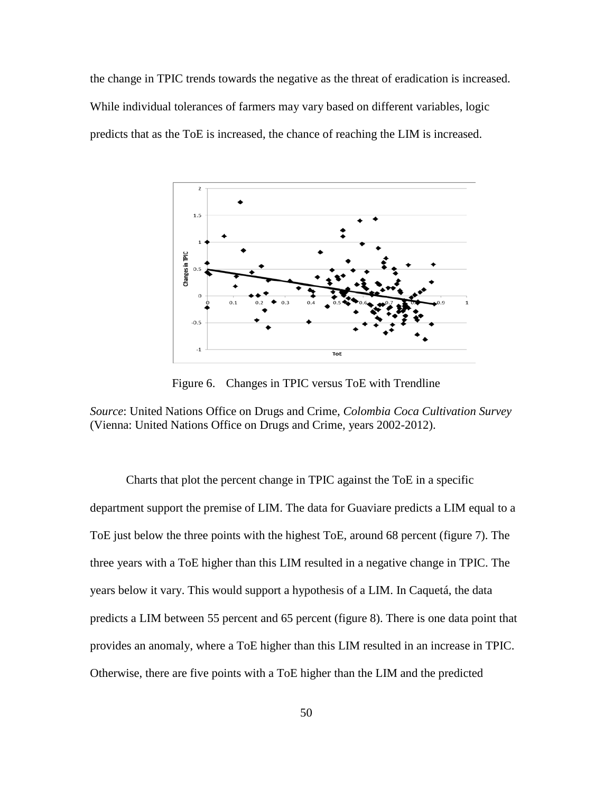the change in TPIC trends towards the negative as the threat of eradication is increased. While individual tolerances of farmers may vary based on different variables, logic predicts that as the ToE is increased, the chance of reaching the LIM is increased.



Figure 6. Changes in TPIC versus ToE with Trendline

*Source*: United Nations Office on Drugs and Crime, *Colombia Coca Cultivation Survey* (Vienna: United Nations Office on Drugs and Crime, years 2002-2012).

Charts that plot the percent change in TPIC against the ToE in a specific department support the premise of LIM. The data for Guaviare predicts a LIM equal to a ToE just below the three points with the highest ToE, around 68 percent (figure 7). The three years with a ToE higher than this LIM resulted in a negative change in TPIC. The years below it vary. This would support a hypothesis of a LIM. In Caquetá, the data predicts a LIM between 55 percent and 65 percent (figure 8). There is one data point that provides an anomaly, where a ToE higher than this LIM resulted in an increase in TPIC. Otherwise, there are five points with a ToE higher than the LIM and the predicted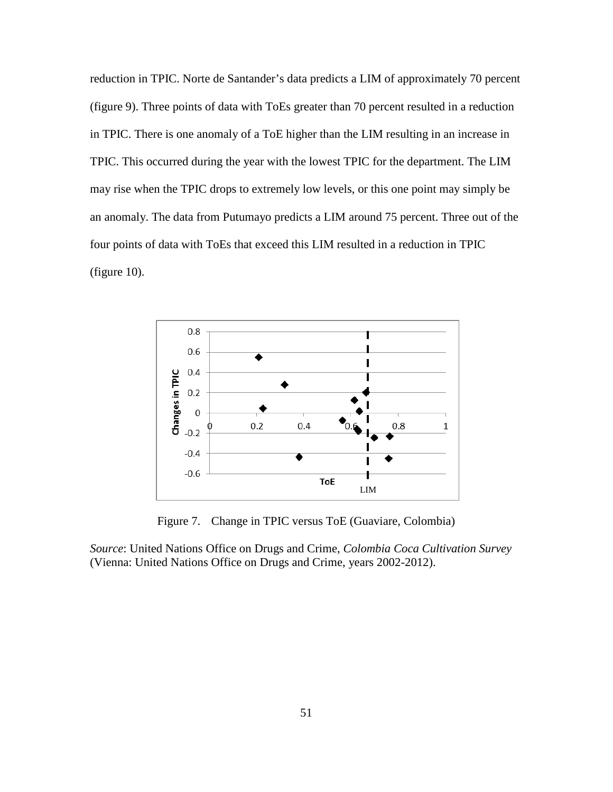reduction in TPIC. Norte de Santander's data predicts a LIM of approximately 70 percent (figure 9). Three points of data with ToEs greater than 70 percent resulted in a reduction in TPIC. There is one anomaly of a ToE higher than the LIM resulting in an increase in TPIC. This occurred during the year with the lowest TPIC for the department. The LIM may rise when the TPIC drops to extremely low levels, or this one point may simply be an anomaly. The data from Putumayo predicts a LIM around 75 percent. Three out of the four points of data with ToEs that exceed this LIM resulted in a reduction in TPIC (figure 10).



Figure 7. Change in TPIC versus ToE (Guaviare, Colombia)

*Source*: United Nations Office on Drugs and Crime, *Colombia Coca Cultivation Survey* (Vienna: United Nations Office on Drugs and Crime, years 2002-2012).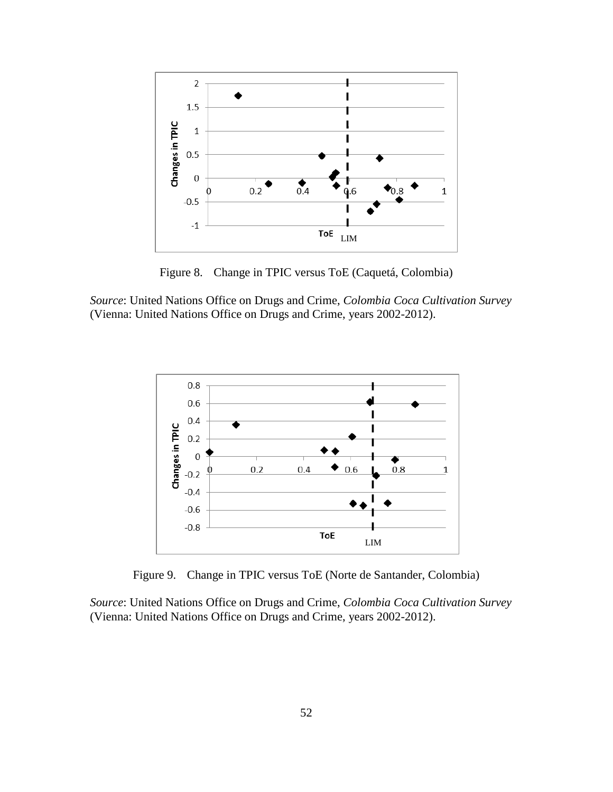

Figure 8. Change in TPIC versus ToE (Caquetá, Colombia)

*Source*: United Nations Office on Drugs and Crime, *Colombia Coca Cultivation Survey* (Vienna: United Nations Office on Drugs and Crime, years 2002-2012).



Figure 9. Change in TPIC versus ToE (Norte de Santander, Colombia)

*Source*: United Nations Office on Drugs and Crime, *Colombia Coca Cultivation Survey* (Vienna: United Nations Office on Drugs and Crime, years 2002-2012).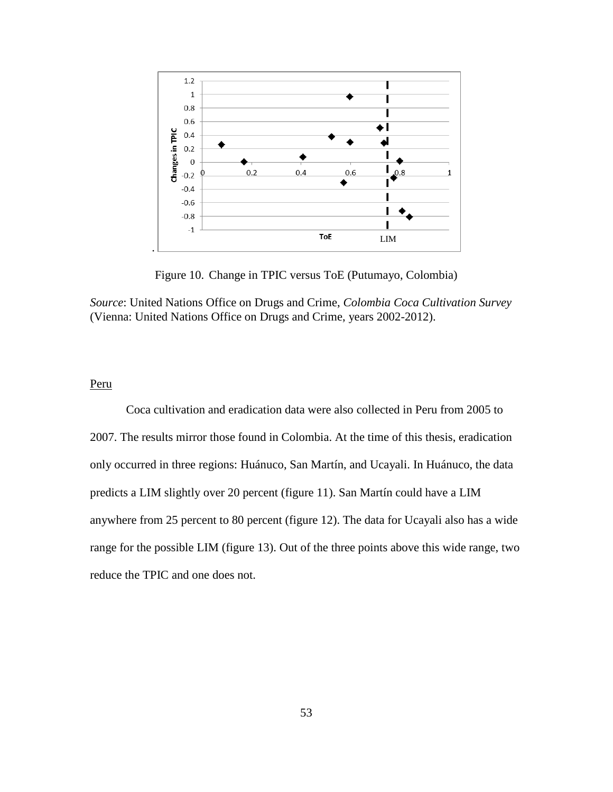

Figure 10. Change in TPIC versus ToE (Putumayo, Colombia)

*Source*: United Nations Office on Drugs and Crime, *Colombia Coca Cultivation Survey* (Vienna: United Nations Office on Drugs and Crime, years 2002-2012).

### Peru

Coca cultivation and eradication data were also collected in Peru from 2005 to 2007. The results mirror those found in Colombia. At the time of this thesis, eradication only occurred in three regions: Huánuco, San Martín, and Ucayali. In Huánuco, the data predicts a LIM slightly over 20 percent (figure 11). San Martín could have a LIM anywhere from 25 percent to 80 percent (figure 12). The data for Ucayali also has a wide range for the possible LIM (figure 13). Out of the three points above this wide range, two reduce the TPIC and one does not.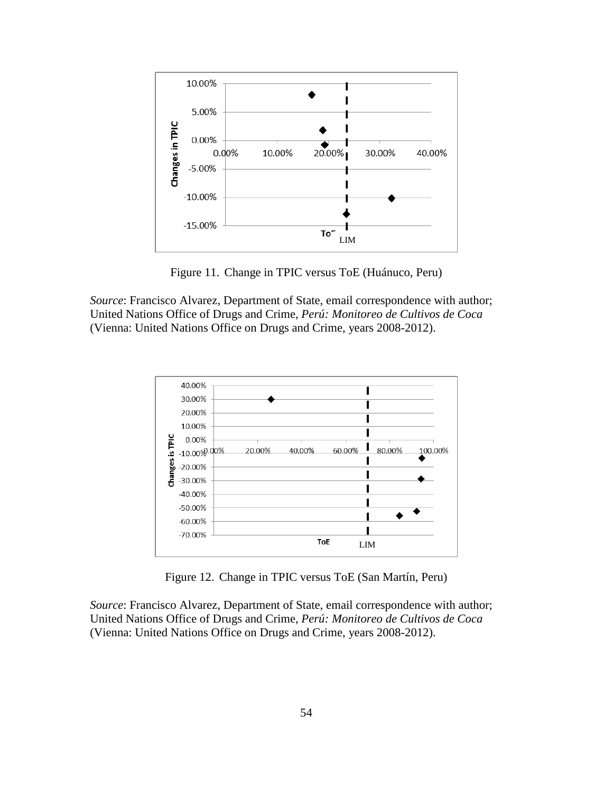

Figure 11. Change in TPIC versus ToE (Huánuco, Peru)

*Source*: Francisco Alvarez, Department of State, email correspondence with author; United Nations Office of Drugs and Crime, *Perú: Monitoreo de Cultivos de Coca* (Vienna: United Nations Office on Drugs and Crime, years 2008-2012).



Figure 12. Change in TPIC versus ToE (San Martín, Peru)

*Source*: Francisco Alvarez, Department of State, email correspondence with author; United Nations Office of Drugs and Crime, *Perú: Monitoreo de Cultivos de Coca* (Vienna: United Nations Office on Drugs and Crime, years 2008-2012).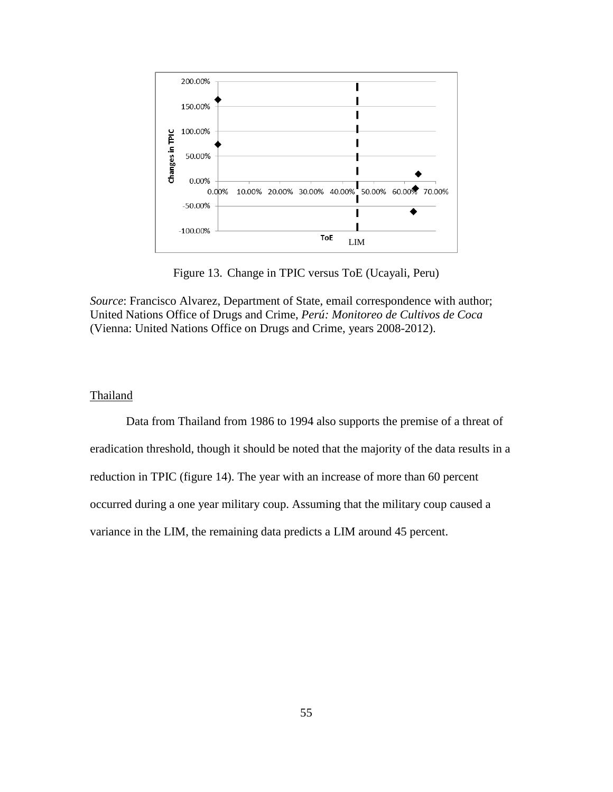

Figure 13. Change in TPIC versus ToE (Ucayali, Peru)

*Source*: Francisco Alvarez, Department of State, email correspondence with author; United Nations Office of Drugs and Crime, *Perú: Monitoreo de Cultivos de Coca* (Vienna: United Nations Office on Drugs and Crime, years 2008-2012).

# **Thailand**

Data from Thailand from 1986 to 1994 also supports the premise of a threat of eradication threshold, though it should be noted that the majority of the data results in a reduction in TPIC (figure 14). The year with an increase of more than 60 percent occurred during a one year military coup. Assuming that the military coup caused a variance in the LIM, the remaining data predicts a LIM around 45 percent.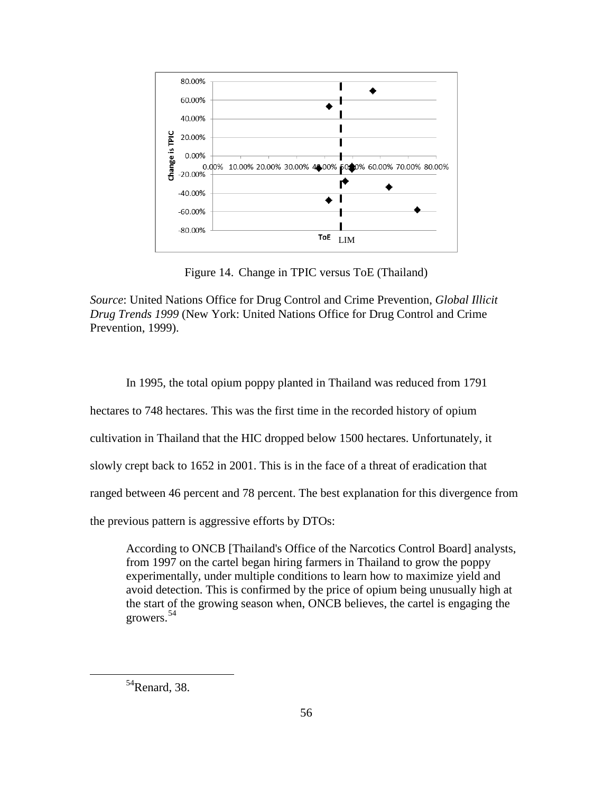

Figure 14. Change in TPIC versus ToE (Thailand)

*Source*: United Nations Office for Drug Control and Crime Prevention, *Global Illicit Drug Trends 1999* (New York: United Nations Office for Drug Control and Crime Prevention, 1999).

In 1995, the total opium poppy planted in Thailand was reduced from 1791

hectares to 748 hectares. This was the first time in the recorded history of opium

cultivation in Thailand that the HIC dropped below 1500 hectares. Unfortunately, it

slowly crept back to 1652 in 2001. This is in the face of a threat of eradication that

ranged between 46 percent and 78 percent. The best explanation for this divergence from

the previous pattern is aggressive efforts by DTOs:

According to ONCB [Thailand's Office of the Narcotics Control Board] analysts, from 1997 on the cartel began hiring farmers in Thailand to grow the poppy experimentally, under multiple conditions to learn how to maximize yield and avoid detection. This is confirmed by the price of opium being unusually high at the start of the growing season when, ONCB believes, the cartel is engaging the growers.[54](#page-65-0)

<span id="page-65-0"></span><sup>54</sup>Renard, 38.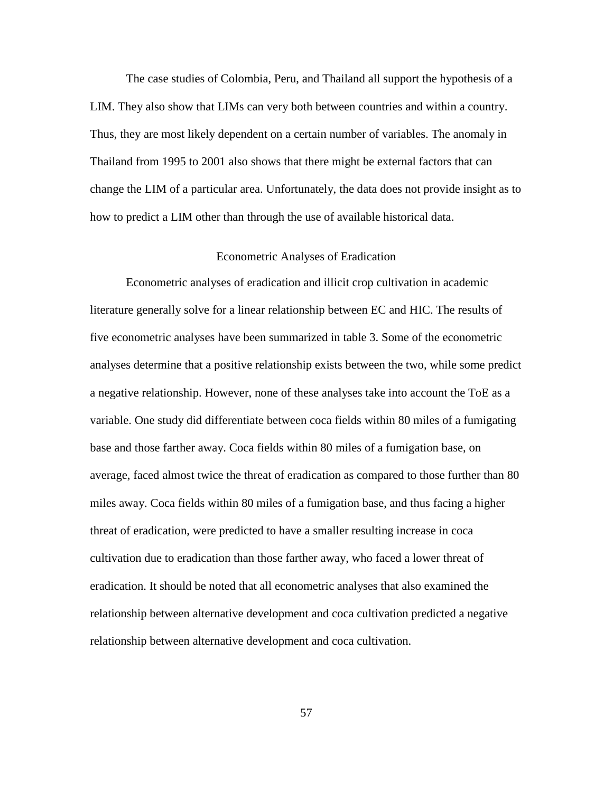The case studies of Colombia, Peru, and Thailand all support the hypothesis of a LIM. They also show that LIMs can very both between countries and within a country. Thus, they are most likely dependent on a certain number of variables. The anomaly in Thailand from 1995 to 2001 also shows that there might be external factors that can change the LIM of a particular area. Unfortunately, the data does not provide insight as to how to predict a LIM other than through the use of available historical data.

# Econometric Analyses of Eradication

Econometric analyses of eradication and illicit crop cultivation in academic literature generally solve for a linear relationship between EC and HIC. The results of five econometric analyses have been summarized in table 3. Some of the econometric analyses determine that a positive relationship exists between the two, while some predict a negative relationship. However, none of these analyses take into account the ToE as a variable. One study did differentiate between coca fields within 80 miles of a fumigating base and those farther away. Coca fields within 80 miles of a fumigation base, on average, faced almost twice the threat of eradication as compared to those further than 80 miles away. Coca fields within 80 miles of a fumigation base, and thus facing a higher threat of eradication, were predicted to have a smaller resulting increase in coca cultivation due to eradication than those farther away, who faced a lower threat of eradication. It should be noted that all econometric analyses that also examined the relationship between alternative development and coca cultivation predicted a negative relationship between alternative development and coca cultivation.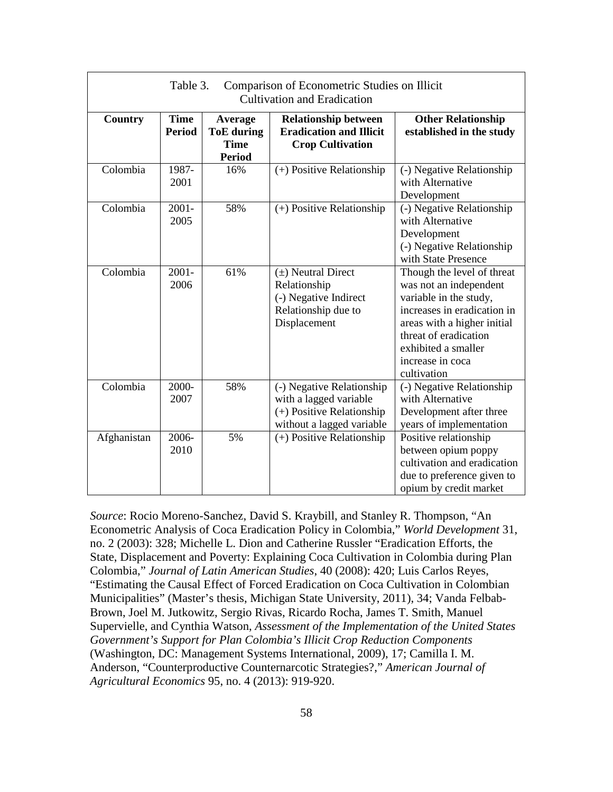| Table 3.<br>Comparison of Econometric Studies on Illicit<br><b>Cultivation and Eradication</b> |                              |                                                              |                                                                                                               |                                                                                                                                                                                                                                 |  |
|------------------------------------------------------------------------------------------------|------------------------------|--------------------------------------------------------------|---------------------------------------------------------------------------------------------------------------|---------------------------------------------------------------------------------------------------------------------------------------------------------------------------------------------------------------------------------|--|
| Country                                                                                        | <b>Time</b><br><b>Period</b> | Average<br><b>ToE</b> during<br><b>Time</b><br><b>Period</b> | <b>Relationship between</b><br><b>Eradication and Illicit</b><br><b>Crop Cultivation</b>                      | <b>Other Relationship</b><br>established in the study                                                                                                                                                                           |  |
| Colombia                                                                                       | 1987-<br>2001                | 16%                                                          | (+) Positive Relationship                                                                                     | (-) Negative Relationship<br>with Alternative<br>Development                                                                                                                                                                    |  |
| Colombia                                                                                       | $2001 -$<br>2005             | 58%                                                          | (+) Positive Relationship                                                                                     | (-) Negative Relationship<br>with Alternative<br>Development<br>(-) Negative Relationship<br>with State Presence                                                                                                                |  |
| Colombia                                                                                       | $2001 -$<br>2006             | 61%                                                          | $(\pm)$ Neutral Direct<br>Relationship<br>(-) Negative Indirect<br>Relationship due to<br>Displacement        | Though the level of threat<br>was not an independent<br>variable in the study,<br>increases in eradication in<br>areas with a higher initial<br>threat of eradication<br>exhibited a smaller<br>increase in coca<br>cultivation |  |
| Colombia                                                                                       | 2000-<br>2007                | 58%                                                          | (-) Negative Relationship<br>with a lagged variable<br>(+) Positive Relationship<br>without a lagged variable | (-) Negative Relationship<br>with Alternative<br>Development after three<br>years of implementation                                                                                                                             |  |
| Afghanistan                                                                                    | 2006-<br>2010                | 5%                                                           | (+) Positive Relationship                                                                                     | Positive relationship<br>between opium poppy<br>cultivation and eradication<br>due to preference given to<br>opium by credit market                                                                                             |  |

*Source*: Rocio Moreno-Sanchez, David S. Kraybill, and Stanley R. Thompson, "An Econometric Analysis of Coca Eradication Policy in Colombia," *World Development* 31, no. 2 (2003): 328; Michelle L. Dion and Catherine Russler "Eradication Efforts, the State, Displacement and Poverty: Explaining Coca Cultivation in Colombia during Plan Colombia," *Journal of Latin American Studies*, 40 (2008): 420; Luis Carlos Reyes, "Estimating the Causal Effect of Forced Eradication on Coca Cultivation in Colombian Municipalities" (Master's thesis, Michigan State University, 2011), 34; Vanda Felbab-Brown, Joel M. Jutkowitz, Sergio Rivas, Ricardo Rocha, James T. Smith, Manuel Supervielle, and Cynthia Watson, *Assessment of the Implementation of the United States Government's Support for Plan Colombia's Illicit Crop Reduction Components* (Washington, DC: Management Systems International, 2009), 17; Camilla I. M. Anderson, "Counterproductive Counternarcotic Strategies?," *American Journal of Agricultural Economics* 95, no. 4 (2013): 919-920.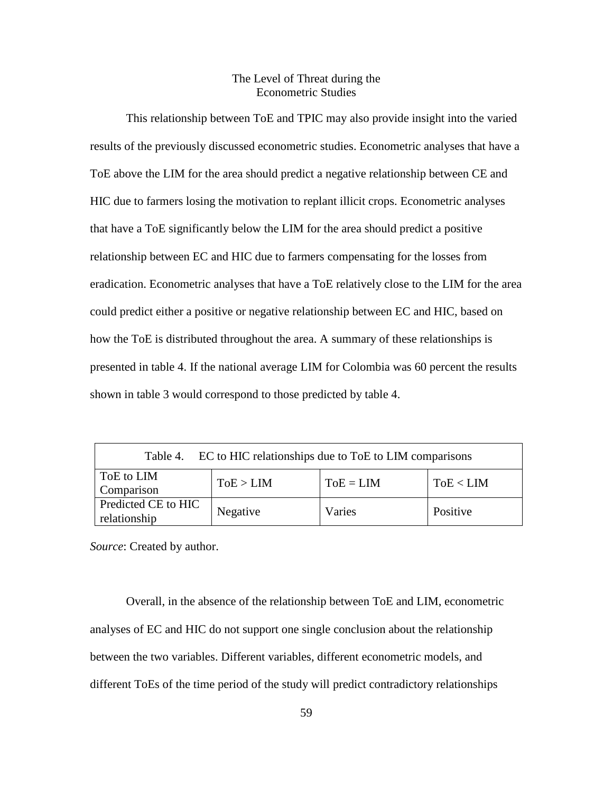# The Level of Threat during the Econometric Studies

This relationship between ToE and TPIC may also provide insight into the varied results of the previously discussed econometric studies. Econometric analyses that have a ToE above the LIM for the area should predict a negative relationship between CE and HIC due to farmers losing the motivation to replant illicit crops. Econometric analyses that have a ToE significantly below the LIM for the area should predict a positive relationship between EC and HIC due to farmers compensating for the losses from eradication. Econometric analyses that have a ToE relatively close to the LIM for the area could predict either a positive or negative relationship between EC and HIC, based on how the ToE is distributed throughout the area. A summary of these relationships is presented in table 4. If the national average LIM for Colombia was 60 percent the results shown in table 3 would correspond to those predicted by table 4.

| Table 4. EC to HIC relationships due to ToE to LIM comparisons |           |             |           |  |  |
|----------------------------------------------------------------|-----------|-------------|-----------|--|--|
| ToE to LIM<br>Comparison                                       | ToE > LIM | $ToE = LIM$ | ToE < LIM |  |  |
| Predicted CE to HIC<br>relationship                            | Negative  | Varies      | Positive  |  |  |

*Source*: Created by author.

Overall, in the absence of the relationship between ToE and LIM, econometric analyses of EC and HIC do not support one single conclusion about the relationship between the two variables. Different variables, different econometric models, and different ToEs of the time period of the study will predict contradictory relationships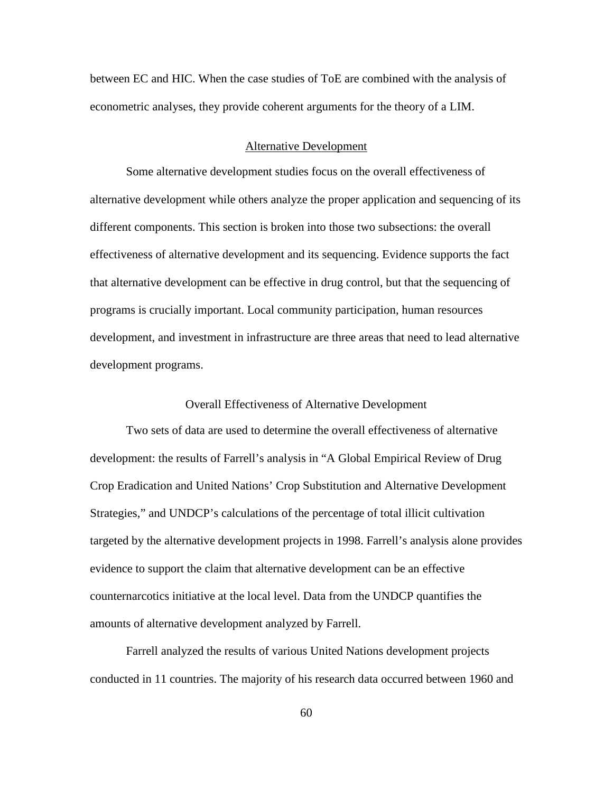between EC and HIC. When the case studies of ToE are combined with the analysis of econometric analyses, they provide coherent arguments for the theory of a LIM.

#### Alternative Development

Some alternative development studies focus on the overall effectiveness of alternative development while others analyze the proper application and sequencing of its different components. This section is broken into those two subsections: the overall effectiveness of alternative development and its sequencing. Evidence supports the fact that alternative development can be effective in drug control, but that the sequencing of programs is crucially important. Local community participation, human resources development, and investment in infrastructure are three areas that need to lead alternative development programs.

### Overall Effectiveness of Alternative Development

Two sets of data are used to determine the overall effectiveness of alternative development: the results of Farrell's analysis in "A Global Empirical Review of Drug Crop Eradication and United Nations' Crop Substitution and Alternative Development Strategies," and UNDCP's calculations of the percentage of total illicit cultivation targeted by the alternative development projects in 1998. Farrell's analysis alone provides evidence to support the claim that alternative development can be an effective counternarcotics initiative at the local level. Data from the UNDCP quantifies the amounts of alternative development analyzed by Farrell.

Farrell analyzed the results of various United Nations development projects conducted in 11 countries. The majority of his research data occurred between 1960 and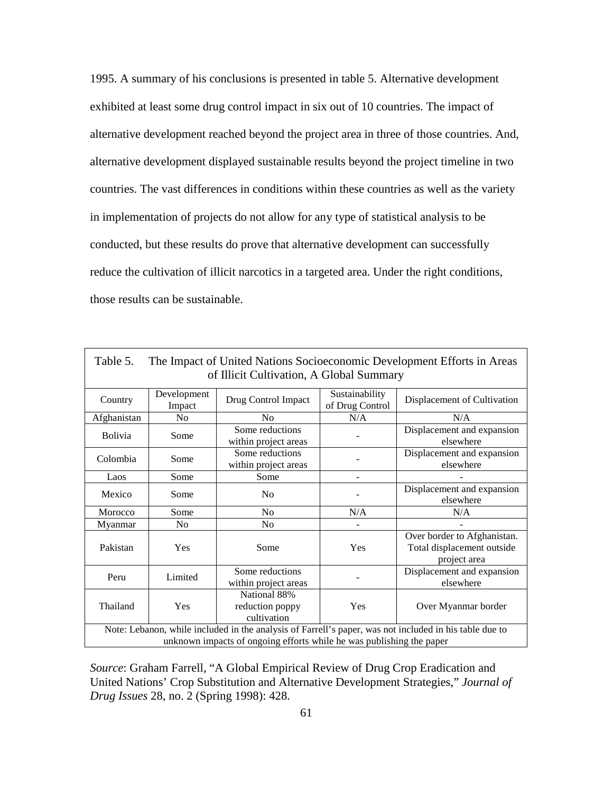1995. A summary of his conclusions is presented in table 5. Alternative development exhibited at least some drug control impact in six out of 10 countries. The impact of alternative development reached beyond the project area in three of those countries. And, alternative development displayed sustainable results beyond the project timeline in two countries. The vast differences in conditions within these countries as well as the variety in implementation of projects do not allow for any type of statistical analysis to be conducted, but these results do prove that alternative development can successfully reduce the cultivation of illicit narcotics in a targeted area. Under the right conditions, those results can be sustainable.

| The Impact of United Nations Socioeconomic Development Efforts in Areas<br>Table 5.                                                                                            |                       |                                                |                                   |                                                                           |  |
|--------------------------------------------------------------------------------------------------------------------------------------------------------------------------------|-----------------------|------------------------------------------------|-----------------------------------|---------------------------------------------------------------------------|--|
| of Illicit Cultivation, A Global Summary                                                                                                                                       |                       |                                                |                                   |                                                                           |  |
| Country                                                                                                                                                                        | Development<br>Impact | Drug Control Impact                            | Sustainability<br>of Drug Control | Displacement of Cultivation                                               |  |
| Afghanistan                                                                                                                                                                    | No                    | N <sub>0</sub>                                 | N/A                               | N/A                                                                       |  |
| <b>Bolivia</b>                                                                                                                                                                 | Some                  | Some reductions<br>within project areas        |                                   | Displacement and expansion<br>elsewhere                                   |  |
| Colombia                                                                                                                                                                       | Some                  | Some reductions<br>within project areas        |                                   | Displacement and expansion<br>elsewhere                                   |  |
| Laos                                                                                                                                                                           | Some                  | Some                                           |                                   |                                                                           |  |
| Mexico                                                                                                                                                                         | Some                  | N <sub>0</sub>                                 |                                   | Displacement and expansion<br>elsewhere                                   |  |
| Morocco                                                                                                                                                                        | Some                  | N <sub>0</sub><br>N/A                          |                                   | N/A                                                                       |  |
| Myanmar                                                                                                                                                                        | N <sub>0</sub>        | N <sub>0</sub>                                 |                                   |                                                                           |  |
| Pakistan                                                                                                                                                                       | Yes                   | Some                                           | Yes                               | Over border to Afghanistan.<br>Total displacement outside<br>project area |  |
| Peru                                                                                                                                                                           | Limited               | Some reductions<br>within project areas        |                                   | Displacement and expansion<br>elsewhere                                   |  |
| Thailand                                                                                                                                                                       | Yes                   | National 88%<br>reduction poppy<br>cultivation | Yes                               | Over Myanmar border                                                       |  |
| Note: Lebanon, while included in the analysis of Farrell's paper, was not included in his table due to<br>unknown impacts of ongoing efforts while he was publishing the paper |                       |                                                |                                   |                                                                           |  |

*Source*: Graham Farrell, "A Global Empirical Review of Drug Crop Eradication and United Nations' Crop Substitution and Alternative Development Strategies," *Journal of Drug Issues* 28, no. 2 (Spring 1998): 428.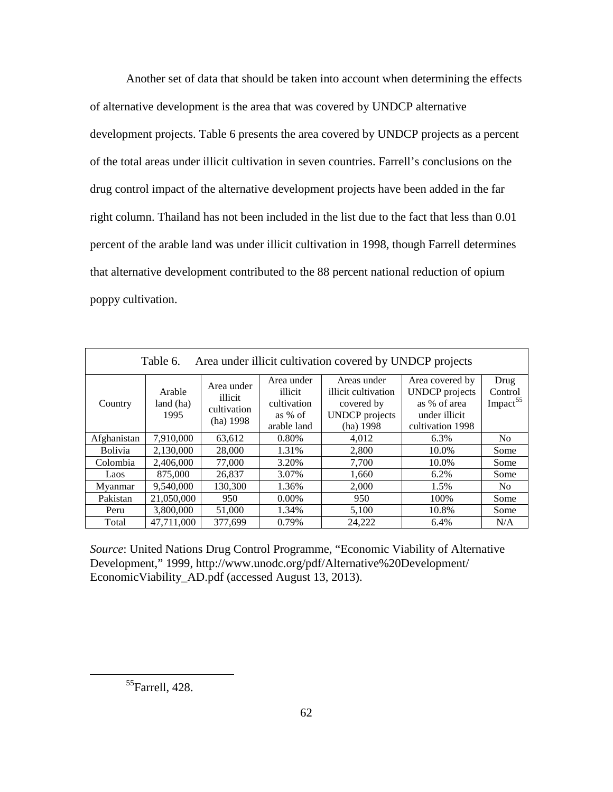Another set of data that should be taken into account when determining the effects of alternative development is the area that was covered by UNDCP alternative development projects. Table 6 presents the area covered by UNDCP projects as a percent of the total areas under illicit cultivation in seven countries. Farrell's conclusions on the drug control impact of the alternative development projects have been added in the far right column. Thailand has not been included in the list due to the fact that less than 0.01 percent of the arable land was under illicit cultivation in 1998, though Farrell determines that alternative development contributed to the 88 percent national reduction of opium poppy cultivation.

| Area under illicit cultivation covered by UNDCP projects<br>Table 6. |                             |                                                   |                                                                |                                                                                          |                                                                                               |                                         |
|----------------------------------------------------------------------|-----------------------------|---------------------------------------------------|----------------------------------------------------------------|------------------------------------------------------------------------------------------|-----------------------------------------------------------------------------------------------|-----------------------------------------|
| Country                                                              | Arable<br>land (ha)<br>1995 | Area under<br>illicit<br>cultivation<br>(ha) 1998 | Area under<br>illicit<br>cultivation<br>as % of<br>arable land | Areas under<br>illicit cultivation<br>covered by<br><b>UNDCP</b> projects<br>$(ha)$ 1998 | Area covered by<br><b>UNDCP</b> projects<br>as % of area<br>under illicit<br>cultivation 1998 | Drug<br>Control<br>Impact <sup>55</sup> |
| Afghanistan                                                          | 7.910.000                   | 63,612                                            | 0.80%                                                          | 4,012                                                                                    | 6.3%                                                                                          | N <sub>0</sub>                          |
| <b>Bolivia</b>                                                       | 2.130.000                   | 28,000                                            | 1.31%                                                          | 2,800                                                                                    | 10.0%                                                                                         | Some                                    |
| Colombia                                                             | 2,406,000                   | 77,000                                            | 3.20%                                                          | 7,700                                                                                    | 10.0%                                                                                         | Some                                    |
| Laos                                                                 | 875,000                     | 26,837                                            | 3.07%                                                          | 1,660                                                                                    | 6.2%                                                                                          | Some                                    |
| Myanmar                                                              | 9.540.000                   | 130,300                                           | 1.36%                                                          | 2,000                                                                                    | 1.5%                                                                                          | N <sub>o</sub>                          |
| Pakistan                                                             | 21,050,000                  | 950                                               | 0.00%                                                          | 950                                                                                      | 100%                                                                                          | Some                                    |
| Peru                                                                 | 3.800,000                   | 51,000                                            | 1.34%                                                          | 5,100                                                                                    | 10.8%                                                                                         | Some                                    |
| Total                                                                | 47.711.000                  | 377.699                                           | 0.79%                                                          | 24.222                                                                                   | 6.4%                                                                                          | N/A                                     |

*Source*: United Nations Drug Control Programme, "Economic Viability of Alternative Development," 1999, http://www.unodc.org/pdf/Alternative%20Development/ EconomicViability\_AD.pdf (accessed August 13, 2013).

<span id="page-71-0"></span> ${}^{55}$ Farrell, 428.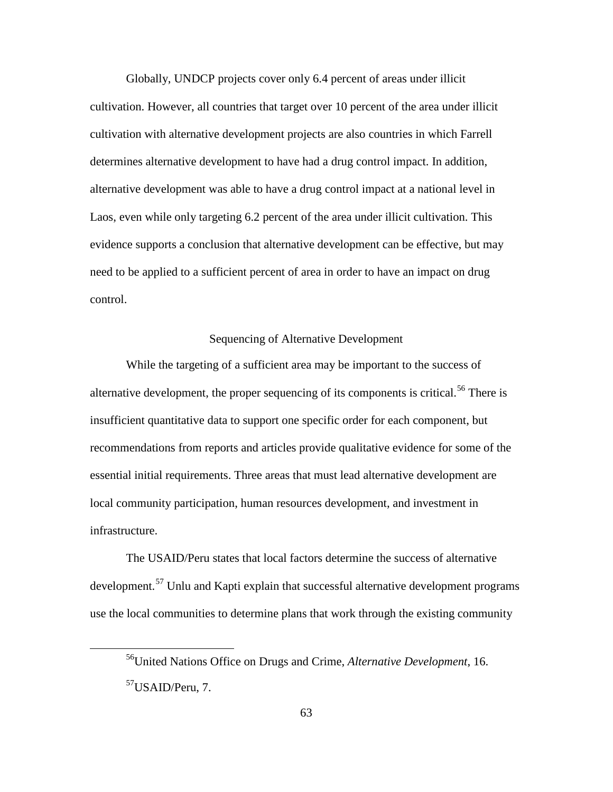Globally, UNDCP projects cover only 6.4 percent of areas under illicit cultivation. However, all countries that target over 10 percent of the area under illicit cultivation with alternative development projects are also countries in which Farrell determines alternative development to have had a drug control impact. In addition, alternative development was able to have a drug control impact at a national level in Laos, even while only targeting 6.2 percent of the area under illicit cultivation. This evidence supports a conclusion that alternative development can be effective, but may need to be applied to a sufficient percent of area in order to have an impact on drug control.

### Sequencing of Alternative Development

While the targeting of a sufficient area may be important to the success of alternative development, the proper sequencing of its components is critical.<sup>[56](#page-72-0)</sup> There is insufficient quantitative data to support one specific order for each component, but recommendations from reports and articles provide qualitative evidence for some of the essential initial requirements. Three areas that must lead alternative development are local community participation, human resources development, and investment in infrastructure.

The USAID/Peru states that local factors determine the success of alternative development.<sup>[57](#page-72-1)</sup> Unlu and Kapti explain that successful alternative development programs use the local communities to determine plans that work through the existing community

<span id="page-72-1"></span><span id="page-72-0"></span><sup>56</sup>United Nations Office on Drugs and Crime, *Alternative Development*, 16. 57USAID/Peru, 7.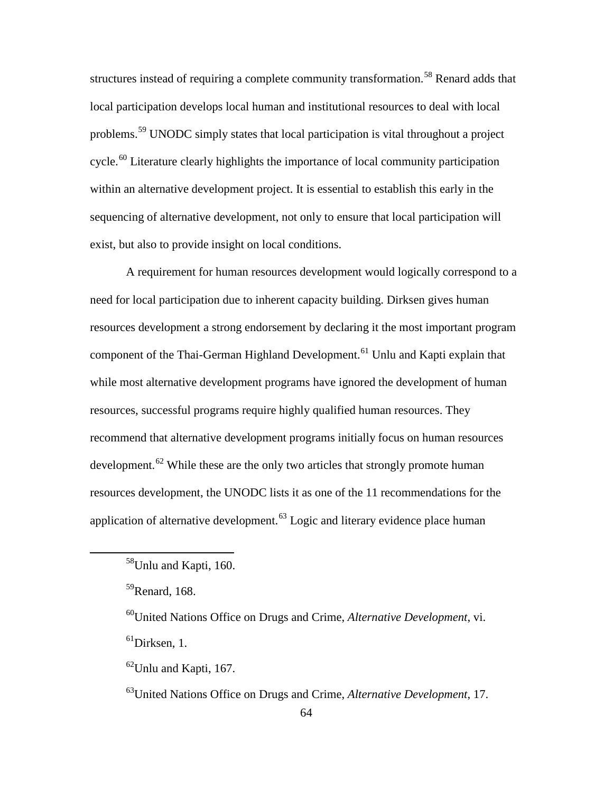structures instead of requiring a complete community transformation.<sup>[58](#page-73-0)</sup> Renard adds that local participation develops local human and institutional resources to deal with local problems.[59](#page-73-1) UNODC simply states that local participation is vital throughout a project cycle.<sup>[60](#page-73-2)</sup> Literature clearly highlights the importance of local community participation within an alternative development project. It is essential to establish this early in the sequencing of alternative development, not only to ensure that local participation will exist, but also to provide insight on local conditions.

A requirement for human resources development would logically correspond to a need for local participation due to inherent capacity building. Dirksen gives human resources development a strong endorsement by declaring it the most important program component of the Thai-German Highland Development.<sup>[61](#page-73-3)</sup> Unlu and Kapti explain that while most alternative development programs have ignored the development of human resources, successful programs require highly qualified human resources. They recommend that alternative development programs initially focus on human resources development.<sup>[62](#page-73-4)</sup> While these are the only two articles that strongly promote human resources development, the UNODC lists it as one of the 11 recommendations for the application of alternative development.<sup>[63](#page-73-5)</sup> Logic and literary evidence place human

<span id="page-73-3"></span><span id="page-73-2"></span><span id="page-73-1"></span><span id="page-73-0"></span> $\overline{a}$ 

60United Nations Office on Drugs and Crime, *Alternative Development*, vi.  ${}^{61}$ Dirksen, 1.

<span id="page-73-4"></span> $^{62}$ Unlu and Kapti, 167.

<span id="page-73-5"></span>63United Nations Office on Drugs and Crime, *Alternative Development*, 17.

<sup>&</sup>lt;sup>58</sup>Unlu and Kapti, 160.

 $59$ Renard, 168.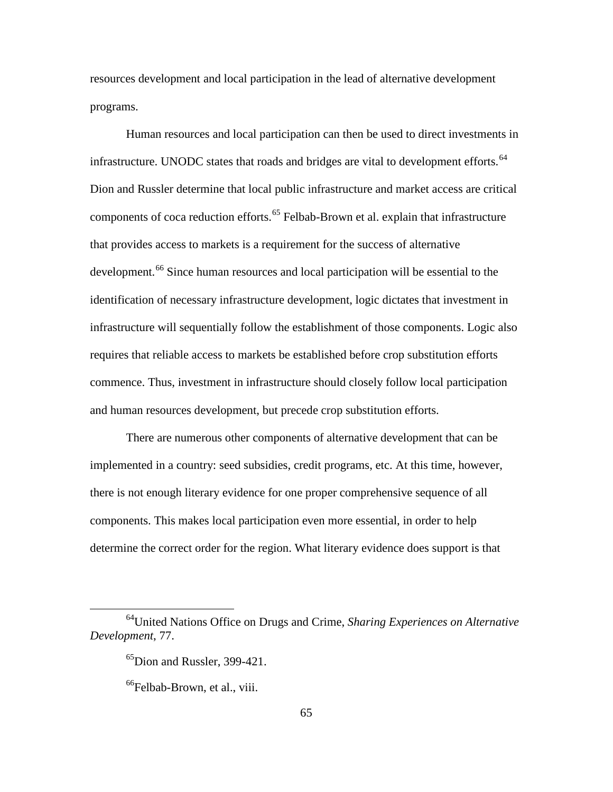resources development and local participation in the lead of alternative development programs.

Human resources and local participation can then be used to direct investments in infrastructure. UNODC states that roads and bridges are vital to development efforts.<sup>[64](#page-74-0)</sup> Dion and Russler determine that local public infrastructure and market access are critical components of coca reduction efforts.<sup>[65](#page-74-1)</sup> Felbab-Brown et al. explain that infrastructure that provides access to markets is a requirement for the success of alternative development.<sup>[66](#page-74-2)</sup> Since human resources and local participation will be essential to the identification of necessary infrastructure development, logic dictates that investment in infrastructure will sequentially follow the establishment of those components. Logic also requires that reliable access to markets be established before crop substitution efforts commence. Thus, investment in infrastructure should closely follow local participation and human resources development, but precede crop substitution efforts.

There are numerous other components of alternative development that can be implemented in a country: seed subsidies, credit programs, etc. At this time, however, there is not enough literary evidence for one proper comprehensive sequence of all components. This makes local participation even more essential, in order to help determine the correct order for the region. What literary evidence does support is that

<span id="page-74-2"></span><span id="page-74-1"></span><span id="page-74-0"></span><sup>64</sup>United Nations Office on Drugs and Crime, *Sharing Experiences on Alternative Development*, 77.

<sup>&</sup>lt;sup>65</sup>Dion and Russler, 399-421.

<sup>&</sup>lt;sup>66</sup>Felbab-Brown, et al., viii.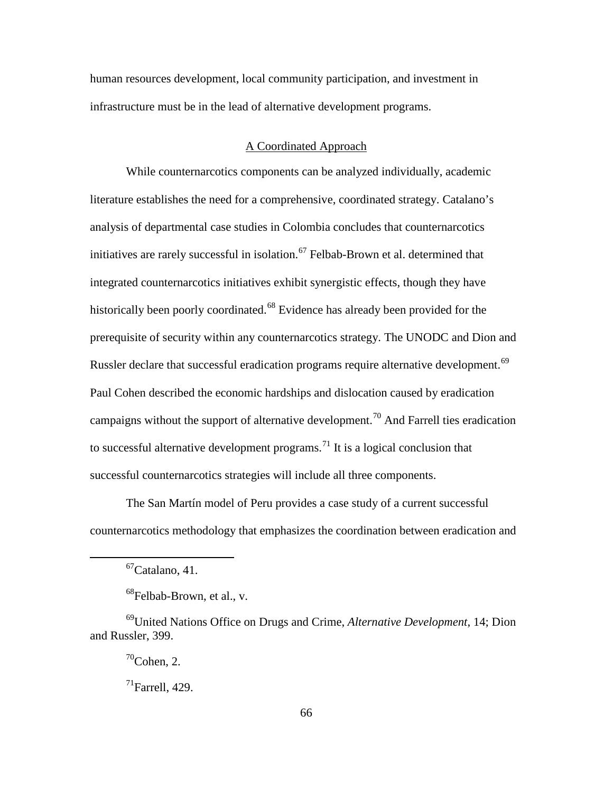human resources development, local community participation, and investment in infrastructure must be in the lead of alternative development programs.

## A Coordinated Approach

While counternarcotics components can be analyzed individually, academic literature establishes the need for a comprehensive, coordinated strategy. Catalano's analysis of departmental case studies in Colombia concludes that counternarcotics initiatives are rarely successful in isolation.<sup>[67](#page-75-0)</sup> Felbab-Brown et al. determined that integrated counternarcotics initiatives exhibit synergistic effects, though they have historically been poorly coordinated.<sup>[68](#page-75-1)</sup> Evidence has already been provided for the prerequisite of security within any counternarcotics strategy. The UNODC and Dion and Russler declare that successful eradication programs require alternative development.<sup>[69](#page-75-2)</sup> Paul Cohen described the economic hardships and dislocation caused by eradication campaigns without the support of alternative development.<sup>[70](#page-75-3)</sup> And Farrell ties eradication to successful alternative development programs.<sup>[71](#page-75-4)</sup> It is a logical conclusion that successful counternarcotics strategies will include all three components.

The San Martín model of Peru provides a case study of a current successful counternarcotics methodology that emphasizes the coordination between eradication and

 $67$ Catalano, 41.

 $68$ Felbab-Brown, et al., v.

<span id="page-75-4"></span><span id="page-75-3"></span><span id="page-75-2"></span><span id="page-75-1"></span><span id="page-75-0"></span><sup>69</sup>United Nations Office on Drugs and Crime, *Alternative Development*, 14; Dion and Russler, 399.

 $70$ Cohen, 2.

 $^{71}$ Farrell, 429.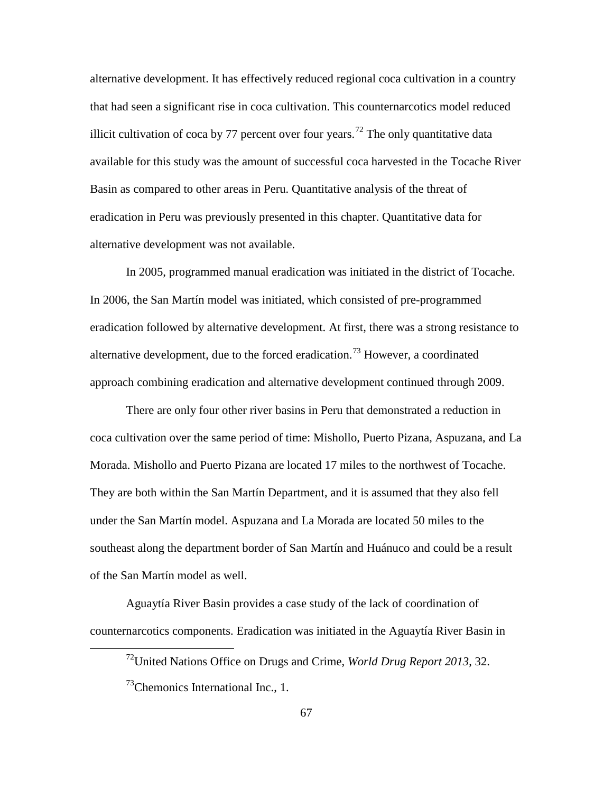alternative development. It has effectively reduced regional coca cultivation in a country that had seen a significant rise in coca cultivation. This counternarcotics model reduced illicit cultivation of coca by 77 percent over four years.<sup>[72](#page-76-0)</sup> The only quantitative data available for this study was the amount of successful coca harvested in the Tocache River Basin as compared to other areas in Peru. Quantitative analysis of the threat of eradication in Peru was previously presented in this chapter. Quantitative data for alternative development was not available.

In 2005, programmed manual eradication was initiated in the district of Tocache. In 2006, the San Martín model was initiated, which consisted of pre-programmed eradication followed by alternative development. At first, there was a strong resistance to alternative development, due to the forced eradication.<sup>[73](#page-76-1)</sup> However, a coordinated approach combining eradication and alternative development continued through 2009.

There are only four other river basins in Peru that demonstrated a reduction in coca cultivation over the same period of time: Mishollo, Puerto Pizana, Aspuzana, and La Morada. Mishollo and Puerto Pizana are located 17 miles to the northwest of Tocache. They are both within the San Martín Department, and it is assumed that they also fell under the San Martín model. Aspuzana and La Morada are located 50 miles to the southeast along the department border of San Martín and Huánuco and could be a result of the San Martín model as well.

<span id="page-76-1"></span><span id="page-76-0"></span>Aguaytía River Basin provides a case study of the lack of coordination of counternarcotics components. Eradication was initiated in the Aguaytía River Basin in

<sup>72</sup>United Nations Office on Drugs and Crime, *World Drug Report 2013*, 32.

 $^{73}$ Chemonics International Inc., 1.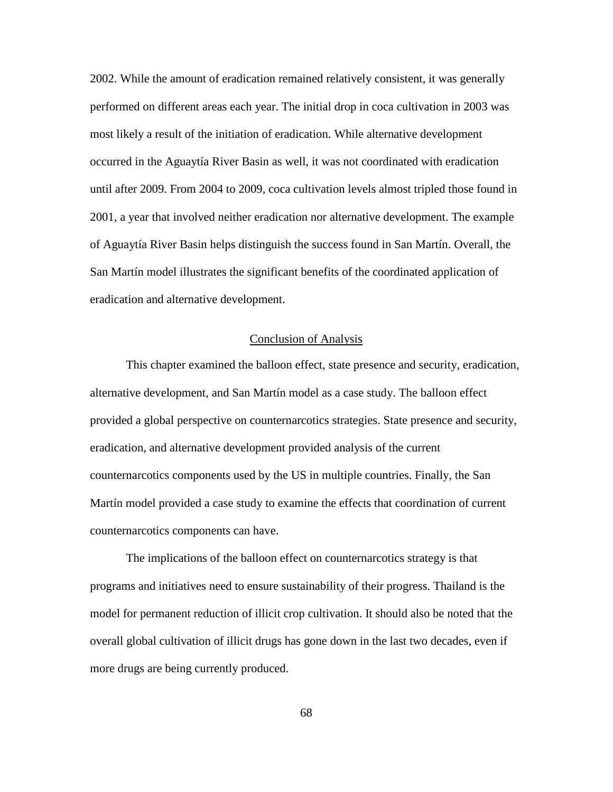2002. While the amount of eradication remained relatively consistent, it was generally performed on different areas each year. The initial drop in coca cultivation in 2003 was most likely a result of the initiation of eradication. While alternative development occurred in the Aguaytía River Basin as well, it was not coordinated with eradication until after 2009. From 2004 to 2009, coca cultivation levels almost tripled those found in 2001, a year that involved neither eradication nor alternative development. The example of Aguaytía River Basin helps distinguish the success found in San Martín. Overall, the San Martín model illustrates the significant benefits of the coordinated application of eradication and alternative development.

## Conclusion of Analysis

This chapter examined the balloon effect, state presence and security, eradication, alternative development, and San Martín model as a case study. The balloon effect provided a global perspective on counternarcotics strategies. State presence and security, eradication, and alternative development provided analysis of the current counternarcotics components used by the US in multiple countries. Finally, the San Martín model provided a case study to examine the effects that coordination of current counternarcotics components can have.

The implications of the balloon effect on counternarcotics strategy is that programs and initiatives need to ensure sustainability of their progress. Thailand is the model for permanent reduction of illicit crop cultivation. It should also be noted that the overall global cultivation of illicit drugs has gone down in the last two decades, even if more drugs are being currently produced.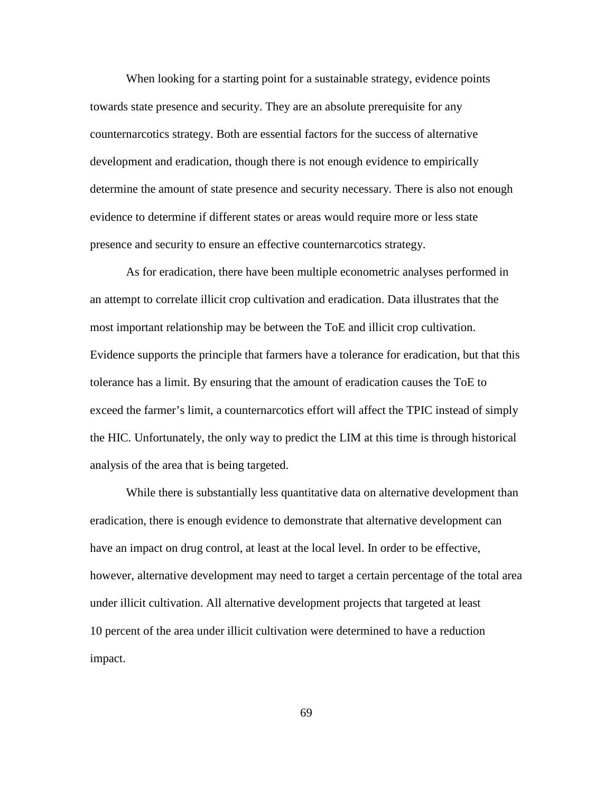When looking for a starting point for a sustainable strategy, evidence points towards state presence and security. They are an absolute prerequisite for any counternarcotics strategy. Both are essential factors for the success of alternative development and eradication, though there is not enough evidence to empirically determine the amount of state presence and security necessary. There is also not enough evidence to determine if different states or areas would require more or less state presence and security to ensure an effective counternarcotics strategy.

As for eradication, there have been multiple econometric analyses performed in an attempt to correlate illicit crop cultivation and eradication. Data illustrates that the most important relationship may be between the ToE and illicit crop cultivation. Evidence supports the principle that farmers have a tolerance for eradication, but that this tolerance has a limit. By ensuring that the amount of eradication causes the ToE to exceed the farmer's limit, a counternarcotics effort will affect the TPIC instead of simply the HIC. Unfortunately, the only way to predict the LIM at this time is through historical analysis of the area that is being targeted.

While there is substantially less quantitative data on alternative development than eradication, there is enough evidence to demonstrate that alternative development can have an impact on drug control, at least at the local level. In order to be effective, however, alternative development may need to target a certain percentage of the total area under illicit cultivation. All alternative development projects that targeted at least 10 percent of the area under illicit cultivation were determined to have a reduction impact.

69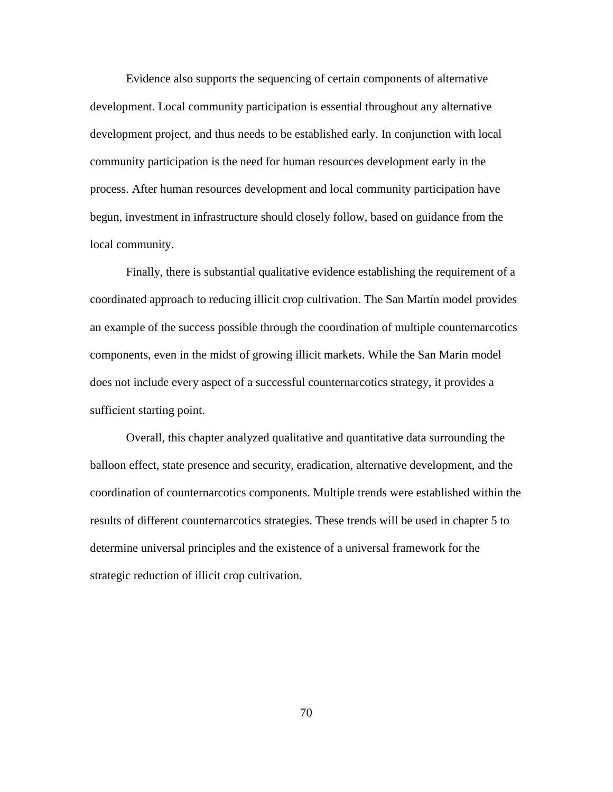Evidence also supports the sequencing of certain components of alternative development. Local community participation is essential throughout any alternative development project, and thus needs to be established early. In conjunction with local community participation is the need for human resources development early in the process. After human resources development and local community participation have begun, investment in infrastructure should closely follow, based on guidance from the local community.

Finally, there is substantial qualitative evidence establishing the requirement of a coordinated approach to reducing illicit crop cultivation. The San Martín model provides an example of the success possible through the coordination of multiple counternarcotics components, even in the midst of growing illicit markets. While the San Marin model does not include every aspect of a successful counternarcotics strategy, it provides a sufficient starting point.

Overall, this chapter analyzed qualitative and quantitative data surrounding the balloon effect, state presence and security, eradication, alternative development, and the coordination of counternarcotics components. Multiple trends were established within the results of different counternarcotics strategies. These trends will be used in chapter 5 to determine universal principles and the existence of a universal framework for the strategic reduction of illicit crop cultivation.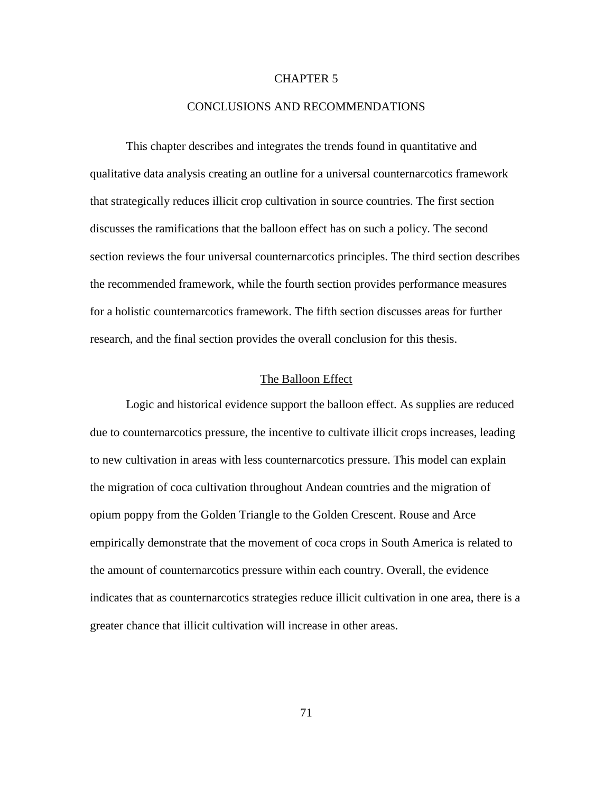## CHAPTER 5

## CONCLUSIONS AND RECOMMENDATIONS

This chapter describes and integrates the trends found in quantitative and qualitative data analysis creating an outline for a universal counternarcotics framework that strategically reduces illicit crop cultivation in source countries. The first section discusses the ramifications that the balloon effect has on such a policy. The second section reviews the four universal counternarcotics principles. The third section describes the recommended framework, while the fourth section provides performance measures for a holistic counternarcotics framework. The fifth section discusses areas for further research, and the final section provides the overall conclusion for this thesis.

## The Balloon Effect

Logic and historical evidence support the balloon effect. As supplies are reduced due to counternarcotics pressure, the incentive to cultivate illicit crops increases, leading to new cultivation in areas with less counternarcotics pressure. This model can explain the migration of coca cultivation throughout Andean countries and the migration of opium poppy from the Golden Triangle to the Golden Crescent. Rouse and Arce empirically demonstrate that the movement of coca crops in South America is related to the amount of counternarcotics pressure within each country. Overall, the evidence indicates that as counternarcotics strategies reduce illicit cultivation in one area, there is a greater chance that illicit cultivation will increase in other areas.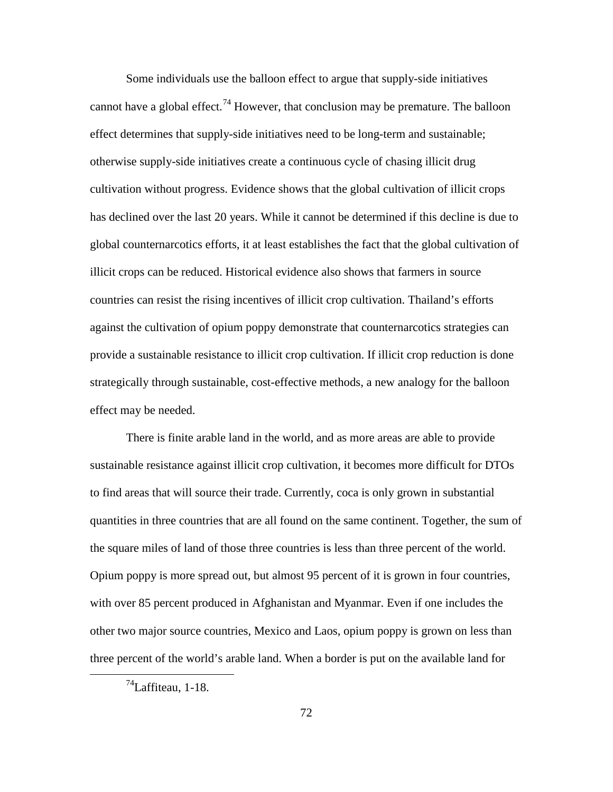Some individuals use the balloon effect to argue that supply-side initiatives cannot have a global effect.<sup>[74](#page-81-0)</sup> However, that conclusion may be premature. The balloon effect determines that supply-side initiatives need to be long-term and sustainable; otherwise supply-side initiatives create a continuous cycle of chasing illicit drug cultivation without progress. Evidence shows that the global cultivation of illicit crops has declined over the last 20 years. While it cannot be determined if this decline is due to global counternarcotics efforts, it at least establishes the fact that the global cultivation of illicit crops can be reduced. Historical evidence also shows that farmers in source countries can resist the rising incentives of illicit crop cultivation. Thailand's efforts against the cultivation of opium poppy demonstrate that counternarcotics strategies can provide a sustainable resistance to illicit crop cultivation. If illicit crop reduction is done strategically through sustainable, cost-effective methods, a new analogy for the balloon effect may be needed.

There is finite arable land in the world, and as more areas are able to provide sustainable resistance against illicit crop cultivation, it becomes more difficult for DTOs to find areas that will source their trade. Currently, coca is only grown in substantial quantities in three countries that are all found on the same continent. Together, the sum of the square miles of land of those three countries is less than three percent of the world. Opium poppy is more spread out, but almost 95 percent of it is grown in four countries, with over 85 percent produced in Afghanistan and Myanmar. Even if one includes the other two major source countries, Mexico and Laos, opium poppy is grown on less than three percent of the world's arable land. When a border is put on the available land for

<span id="page-81-0"></span> $^{74}$ Laffiteau, 1-18.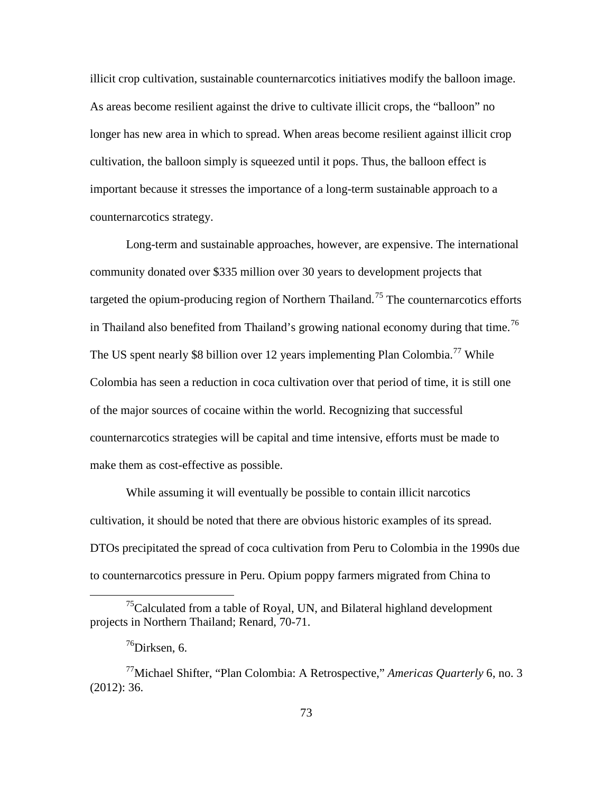illicit crop cultivation, sustainable counternarcotics initiatives modify the balloon image. As areas become resilient against the drive to cultivate illicit crops, the "balloon" no longer has new area in which to spread. When areas become resilient against illicit crop cultivation, the balloon simply is squeezed until it pops. Thus, the balloon effect is important because it stresses the importance of a long-term sustainable approach to a counternarcotics strategy.

Long-term and sustainable approaches, however, are expensive. The international community donated over \$335 million over 30 years to development projects that targeted the opium-producing region of Northern Thailand.<sup>[75](#page-82-0)</sup> The counternarcotics efforts in Thailand also benefited from Thailand's growing national economy during that time.<sup>[76](#page-82-1)</sup> The US spent nearly \$8 billion over 12 years implementing Plan Colombia.<sup>[77](#page-82-2)</sup> While Colombia has seen a reduction in coca cultivation over that period of time, it is still one of the major sources of cocaine within the world. Recognizing that successful counternarcotics strategies will be capital and time intensive, efforts must be made to make them as cost-effective as possible.

While assuming it will eventually be possible to contain illicit narcotics cultivation, it should be noted that there are obvious historic examples of its spread. DTOs precipitated the spread of coca cultivation from Peru to Colombia in the 1990s due to counternarcotics pressure in Peru. Opium poppy farmers migrated from China to

<span id="page-82-0"></span> $15$ Calculated from a table of Royal, UN, and Bilateral highland development projects in Northern Thailand; Renard, 70-71.

 $76$ Dirksen, 6.

<span id="page-82-2"></span><span id="page-82-1"></span><sup>77</sup>Michael Shifter, "Plan Colombia: A Retrospective," *Americas Quarterly* 6, no. 3 (2012): 36.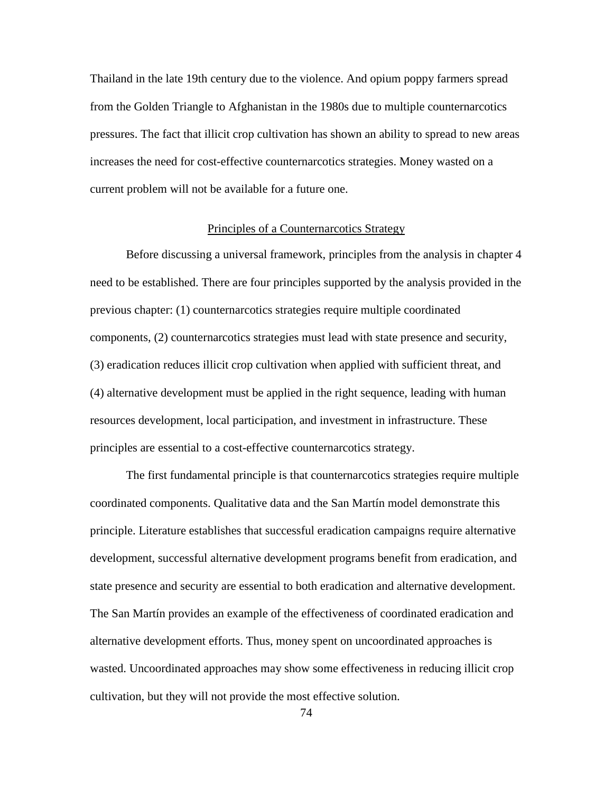Thailand in the late 19th century due to the violence. And opium poppy farmers spread from the Golden Triangle to Afghanistan in the 1980s due to multiple counternarcotics pressures. The fact that illicit crop cultivation has shown an ability to spread to new areas increases the need for cost-effective counternarcotics strategies. Money wasted on a current problem will not be available for a future one.

## Principles of a Counternarcotics Strategy

Before discussing a universal framework, principles from the analysis in chapter 4 need to be established. There are four principles supported by the analysis provided in the previous chapter: (1) counternarcotics strategies require multiple coordinated components, (2) counternarcotics strategies must lead with state presence and security, (3) eradication reduces illicit crop cultivation when applied with sufficient threat, and (4) alternative development must be applied in the right sequence, leading with human resources development, local participation, and investment in infrastructure. These principles are essential to a cost-effective counternarcotics strategy.

The first fundamental principle is that counternarcotics strategies require multiple coordinated components. Qualitative data and the San Martín model demonstrate this principle. Literature establishes that successful eradication campaigns require alternative development, successful alternative development programs benefit from eradication, and state presence and security are essential to both eradication and alternative development. The San Martín provides an example of the effectiveness of coordinated eradication and alternative development efforts. Thus, money spent on uncoordinated approaches is wasted. Uncoordinated approaches may show some effectiveness in reducing illicit crop cultivation, but they will not provide the most effective solution.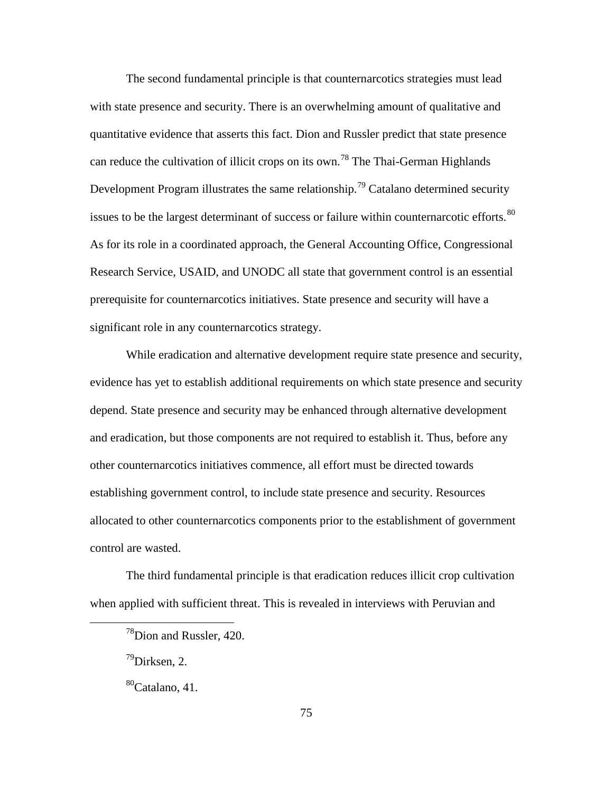The second fundamental principle is that counternarcotics strategies must lead with state presence and security. There is an overwhelming amount of qualitative and quantitative evidence that asserts this fact. Dion and Russler predict that state presence can reduce the cultivation of illicit crops on its own.<sup>[78](#page-84-0)</sup> The Thai-German Highlands Development Program illustrates the same relationship.<sup>[79](#page-84-1)</sup> Catalano determined security issues to be the largest determinant of success or failure within counternarcotic efforts.<sup>[80](#page-84-2)</sup> As for its role in a coordinated approach, the General Accounting Office, Congressional Research Service, USAID, and UNODC all state that government control is an essential prerequisite for counternarcotics initiatives. State presence and security will have a significant role in any counternarcotics strategy.

While eradication and alternative development require state presence and security, evidence has yet to establish additional requirements on which state presence and security depend. State presence and security may be enhanced through alternative development and eradication, but those components are not required to establish it. Thus, before any other counternarcotics initiatives commence, all effort must be directed towards establishing government control, to include state presence and security. Resources allocated to other counternarcotics components prior to the establishment of government control are wasted.

<span id="page-84-1"></span><span id="page-84-0"></span>The third fundamental principle is that eradication reduces illicit crop cultivation when applied with sufficient threat. This is revealed in interviews with Peruvian and

 $^{78}$ Dion and Russler, 420.

 $^{79}$ Dirksen, 2.

<span id="page-84-2"></span><sup>80</sup>Catalano, 41.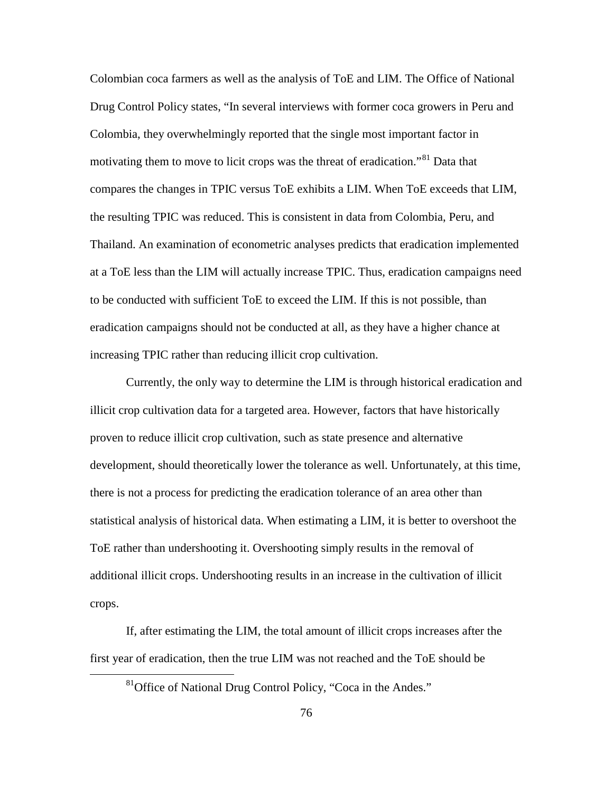Colombian coca farmers as well as the analysis of ToE and LIM. The Office of National Drug Control Policy states, "In several interviews with former coca growers in Peru and Colombia, they overwhelmingly reported that the single most important factor in motivating them to move to licit crops was the threat of eradication."<sup>[81](#page-85-0)</sup> Data that compares the changes in TPIC versus ToE exhibits a LIM. When ToE exceeds that LIM, the resulting TPIC was reduced. This is consistent in data from Colombia, Peru, and Thailand. An examination of econometric analyses predicts that eradication implemented at a ToE less than the LIM will actually increase TPIC. Thus, eradication campaigns need to be conducted with sufficient ToE to exceed the LIM. If this is not possible, than eradication campaigns should not be conducted at all, as they have a higher chance at increasing TPIC rather than reducing illicit crop cultivation.

Currently, the only way to determine the LIM is through historical eradication and illicit crop cultivation data for a targeted area. However, factors that have historically proven to reduce illicit crop cultivation, such as state presence and alternative development, should theoretically lower the tolerance as well. Unfortunately, at this time, there is not a process for predicting the eradication tolerance of an area other than statistical analysis of historical data. When estimating a LIM, it is better to overshoot the ToE rather than undershooting it. Overshooting simply results in the removal of additional illicit crops. Undershooting results in an increase in the cultivation of illicit crops.

<span id="page-85-0"></span>If, after estimating the LIM, the total amount of illicit crops increases after the first year of eradication, then the true LIM was not reached and the ToE should be

<sup>&</sup>lt;sup>81</sup>Office of National Drug Control Policy, "Coca in the Andes."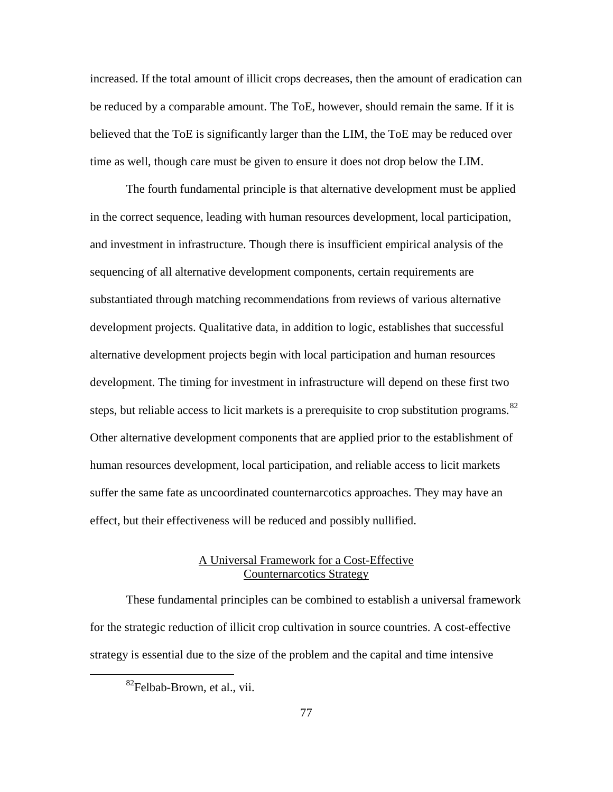increased. If the total amount of illicit crops decreases, then the amount of eradication can be reduced by a comparable amount. The ToE, however, should remain the same. If it is believed that the ToE is significantly larger than the LIM, the ToE may be reduced over time as well, though care must be given to ensure it does not drop below the LIM.

The fourth fundamental principle is that alternative development must be applied in the correct sequence, leading with human resources development, local participation, and investment in infrastructure. Though there is insufficient empirical analysis of the sequencing of all alternative development components, certain requirements are substantiated through matching recommendations from reviews of various alternative development projects. Qualitative data, in addition to logic, establishes that successful alternative development projects begin with local participation and human resources development. The timing for investment in infrastructure will depend on these first two steps, but reliable access to licit markets is a prerequisite to crop substitution programs.<sup>[82](#page-86-0)</sup> Other alternative development components that are applied prior to the establishment of human resources development, local participation, and reliable access to licit markets suffer the same fate as uncoordinated counternarcotics approaches. They may have an effect, but their effectiveness will be reduced and possibly nullified.

# A Universal Framework for a Cost-Effective Counternarcotics Strategy

<span id="page-86-0"></span>These fundamental principles can be combined to establish a universal framework for the strategic reduction of illicit crop cultivation in source countries. A cost-effective strategy is essential due to the size of the problem and the capital and time intensive

 ${}^{82}$ Felbab-Brown, et al., vii.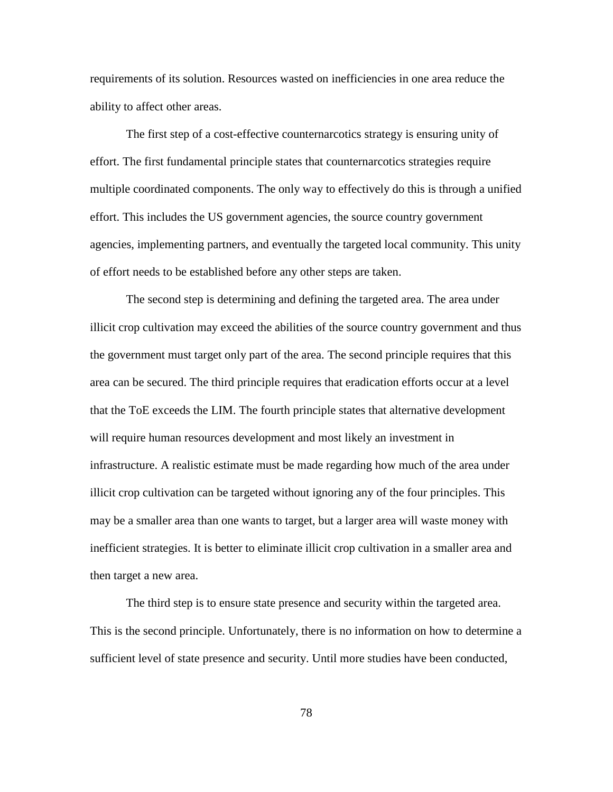requirements of its solution. Resources wasted on inefficiencies in one area reduce the ability to affect other areas.

The first step of a cost-effective counternarcotics strategy is ensuring unity of effort. The first fundamental principle states that counternarcotics strategies require multiple coordinated components. The only way to effectively do this is through a unified effort. This includes the US government agencies, the source country government agencies, implementing partners, and eventually the targeted local community. This unity of effort needs to be established before any other steps are taken.

The second step is determining and defining the targeted area. The area under illicit crop cultivation may exceed the abilities of the source country government and thus the government must target only part of the area. The second principle requires that this area can be secured. The third principle requires that eradication efforts occur at a level that the ToE exceeds the LIM. The fourth principle states that alternative development will require human resources development and most likely an investment in infrastructure. A realistic estimate must be made regarding how much of the area under illicit crop cultivation can be targeted without ignoring any of the four principles. This may be a smaller area than one wants to target, but a larger area will waste money with inefficient strategies. It is better to eliminate illicit crop cultivation in a smaller area and then target a new area.

The third step is to ensure state presence and security within the targeted area. This is the second principle. Unfortunately, there is no information on how to determine a sufficient level of state presence and security. Until more studies have been conducted,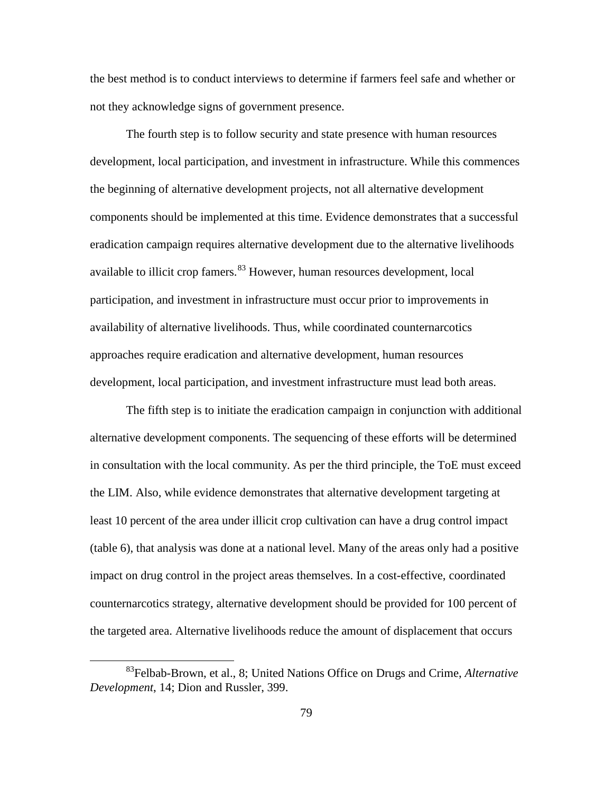the best method is to conduct interviews to determine if farmers feel safe and whether or not they acknowledge signs of government presence.

The fourth step is to follow security and state presence with human resources development, local participation, and investment in infrastructure. While this commences the beginning of alternative development projects, not all alternative development components should be implemented at this time. Evidence demonstrates that a successful eradication campaign requires alternative development due to the alternative livelihoods available to illicit crop famers.<sup>[83](#page-88-0)</sup> However, human resources development, local participation, and investment in infrastructure must occur prior to improvements in availability of alternative livelihoods. Thus, while coordinated counternarcotics approaches require eradication and alternative development, human resources development, local participation, and investment infrastructure must lead both areas.

The fifth step is to initiate the eradication campaign in conjunction with additional alternative development components. The sequencing of these efforts will be determined in consultation with the local community. As per the third principle, the ToE must exceed the LIM. Also, while evidence demonstrates that alternative development targeting at least 10 percent of the area under illicit crop cultivation can have a drug control impact (table 6), that analysis was done at a national level. Many of the areas only had a positive impact on drug control in the project areas themselves. In a cost-effective, coordinated counternarcotics strategy, alternative development should be provided for 100 percent of the targeted area. Alternative livelihoods reduce the amount of displacement that occurs

<span id="page-88-0"></span><sup>83</sup>Felbab-Brown, et al., 8; United Nations Office on Drugs and Crime, *Alternative Development*, 14; Dion and Russler, 399.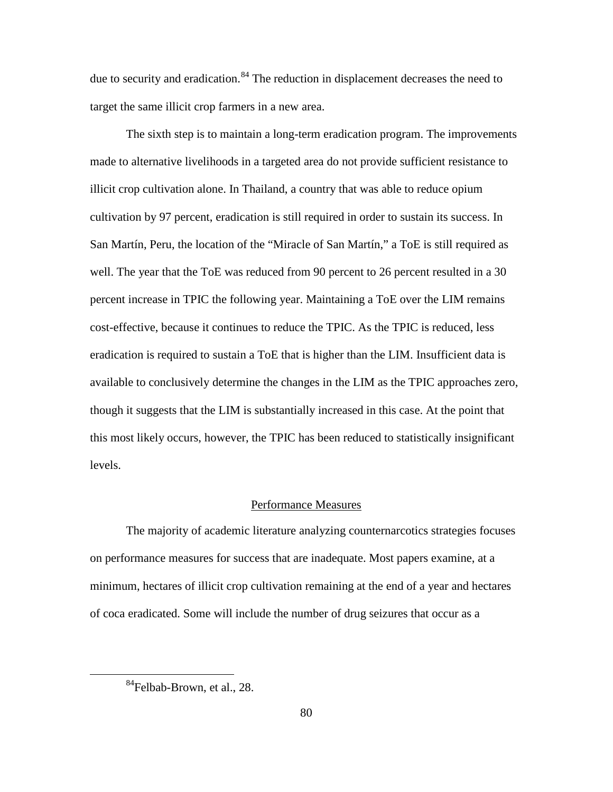due to security and eradication.<sup>[84](#page-89-0)</sup> The reduction in displacement decreases the need to target the same illicit crop farmers in a new area.

The sixth step is to maintain a long-term eradication program. The improvements made to alternative livelihoods in a targeted area do not provide sufficient resistance to illicit crop cultivation alone. In Thailand, a country that was able to reduce opium cultivation by 97 percent, eradication is still required in order to sustain its success. In San Martín, Peru, the location of the "Miracle of San Martín," a ToE is still required as well. The year that the ToE was reduced from 90 percent to 26 percent resulted in a 30 percent increase in TPIC the following year. Maintaining a ToE over the LIM remains cost-effective, because it continues to reduce the TPIC. As the TPIC is reduced, less eradication is required to sustain a ToE that is higher than the LIM. Insufficient data is available to conclusively determine the changes in the LIM as the TPIC approaches zero, though it suggests that the LIM is substantially increased in this case. At the point that this most likely occurs, however, the TPIC has been reduced to statistically insignificant levels.

#### Performance Measures

The majority of academic literature analyzing counternarcotics strategies focuses on performance measures for success that are inadequate. Most papers examine, at a minimum, hectares of illicit crop cultivation remaining at the end of a year and hectares of coca eradicated. Some will include the number of drug seizures that occur as a

<span id="page-89-0"></span><sup>&</sup>lt;sup>84</sup>Felbab-Brown, et al., 28.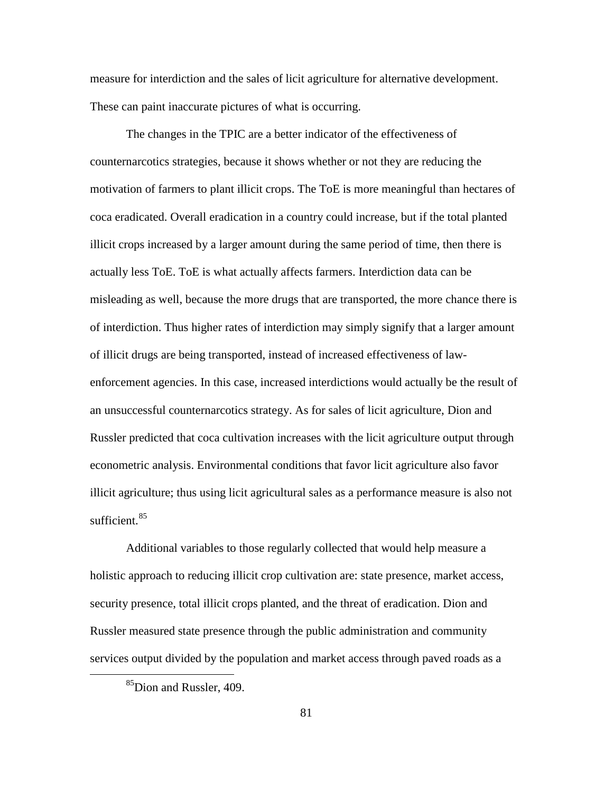measure for interdiction and the sales of licit agriculture for alternative development. These can paint inaccurate pictures of what is occurring.

The changes in the TPIC are a better indicator of the effectiveness of counternarcotics strategies, because it shows whether or not they are reducing the motivation of farmers to plant illicit crops. The ToE is more meaningful than hectares of coca eradicated. Overall eradication in a country could increase, but if the total planted illicit crops increased by a larger amount during the same period of time, then there is actually less ToE. ToE is what actually affects farmers. Interdiction data can be misleading as well, because the more drugs that are transported, the more chance there is of interdiction. Thus higher rates of interdiction may simply signify that a larger amount of illicit drugs are being transported, instead of increased effectiveness of lawenforcement agencies. In this case, increased interdictions would actually be the result of an unsuccessful counternarcotics strategy. As for sales of licit agriculture, Dion and Russler predicted that coca cultivation increases with the licit agriculture output through econometric analysis. Environmental conditions that favor licit agriculture also favor illicit agriculture; thus using licit agricultural sales as a performance measure is also not sufficient. $85$ 

Additional variables to those regularly collected that would help measure a holistic approach to reducing illicit crop cultivation are: state presence, market access, security presence, total illicit crops planted, and the threat of eradication. Dion and Russler measured state presence through the public administration and community services output divided by the population and market access through paved roads as a

<span id="page-90-0"></span><sup>&</sup>lt;sup>85</sup>Dion and Russler, 409.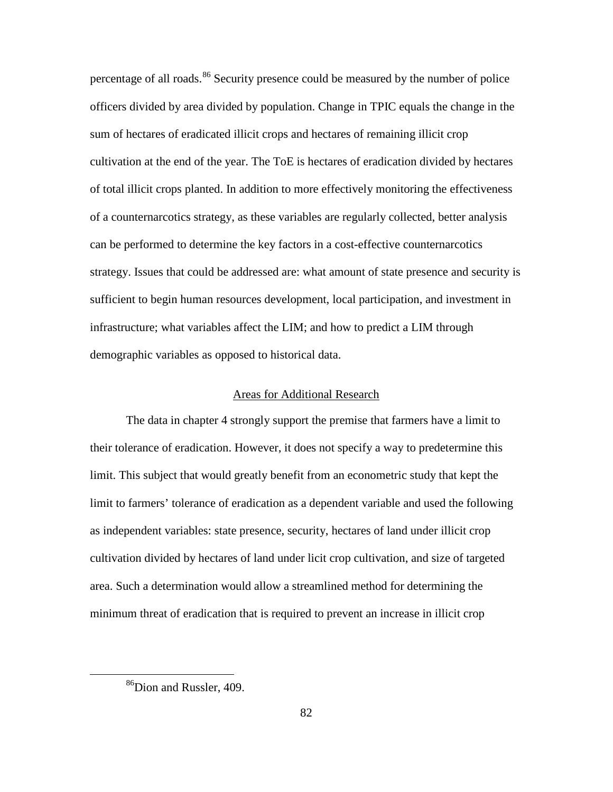percentage of all roads.<sup>[86](#page-91-0)</sup> Security presence could be measured by the number of police officers divided by area divided by population. Change in TPIC equals the change in the sum of hectares of eradicated illicit crops and hectares of remaining illicit crop cultivation at the end of the year. The ToE is hectares of eradication divided by hectares of total illicit crops planted. In addition to more effectively monitoring the effectiveness of a counternarcotics strategy, as these variables are regularly collected, better analysis can be performed to determine the key factors in a cost-effective counternarcotics strategy. Issues that could be addressed are: what amount of state presence and security is sufficient to begin human resources development, local participation, and investment in infrastructure; what variables affect the LIM; and how to predict a LIM through demographic variables as opposed to historical data.

## Areas for Additional Research

The data in chapter 4 strongly support the premise that farmers have a limit to their tolerance of eradication. However, it does not specify a way to predetermine this limit. This subject that would greatly benefit from an econometric study that kept the limit to farmers' tolerance of eradication as a dependent variable and used the following as independent variables: state presence, security, hectares of land under illicit crop cultivation divided by hectares of land under licit crop cultivation, and size of targeted area. Such a determination would allow a streamlined method for determining the minimum threat of eradication that is required to prevent an increase in illicit crop

<span id="page-91-0"></span><sup>&</sup>lt;sup>86</sup>Dion and Russler, 409.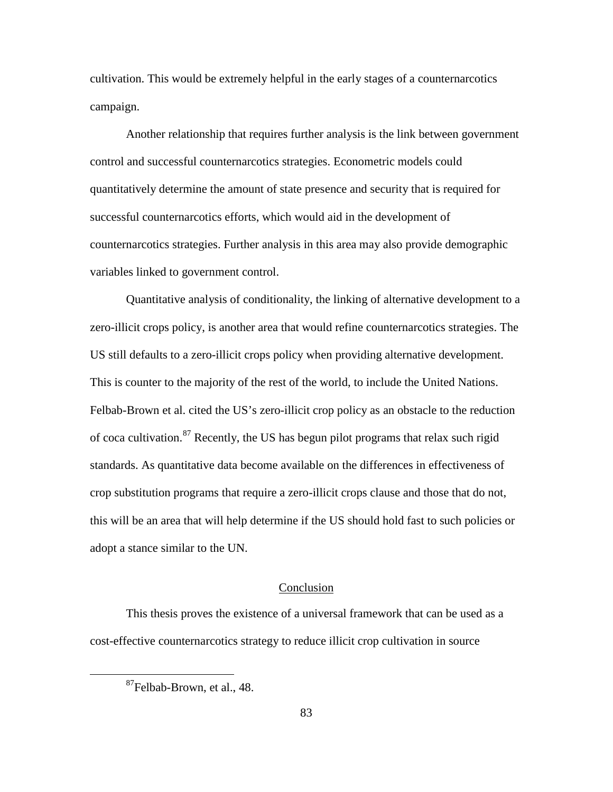cultivation. This would be extremely helpful in the early stages of a counternarcotics campaign.

Another relationship that requires further analysis is the link between government control and successful counternarcotics strategies. Econometric models could quantitatively determine the amount of state presence and security that is required for successful counternarcotics efforts, which would aid in the development of counternarcotics strategies. Further analysis in this area may also provide demographic variables linked to government control.

Quantitative analysis of conditionality, the linking of alternative development to a zero-illicit crops policy, is another area that would refine counternarcotics strategies. The US still defaults to a zero-illicit crops policy when providing alternative development. This is counter to the majority of the rest of the world, to include the United Nations. Felbab-Brown et al. cited the US's zero-illicit crop policy as an obstacle to the reduction of coca cultivation.[87](#page-92-0) Recently, the US has begun pilot programs that relax such rigid standards. As quantitative data become available on the differences in effectiveness of crop substitution programs that require a zero-illicit crops clause and those that do not, this will be an area that will help determine if the US should hold fast to such policies or adopt a stance similar to the UN.

# Conclusion

<span id="page-92-0"></span>This thesis proves the existence of a universal framework that can be used as a cost-effective counternarcotics strategy to reduce illicit crop cultivation in source

<sup>87</sup>Felbab-Brown, et al., 48.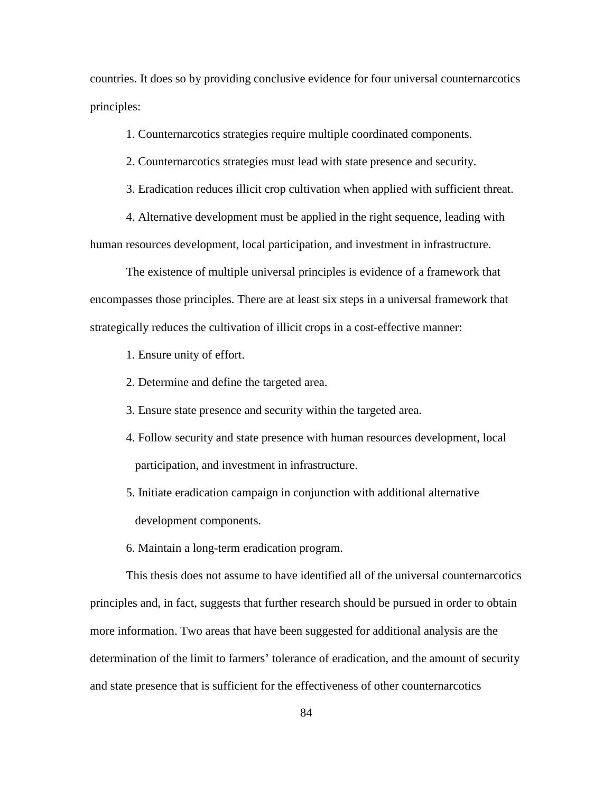countries. It does so by providing conclusive evidence for four universal counternarcotics principles:

1. Counternarcotics strategies require multiple coordinated components.

2. Counternarcotics strategies must lead with state presence and security.

3. Eradication reduces illicit crop cultivation when applied with sufficient threat.

4. Alternative development must be applied in the right sequence, leading with human resources development, local participation, and investment in infrastructure.

The existence of multiple universal principles is evidence of a framework that encompasses those principles. There are at least six steps in a universal framework that strategically reduces the cultivation of illicit crops in a cost-effective manner:

1. Ensure unity of effort.

2. Determine and define the targeted area.

- 3. Ensure state presence and security within the targeted area.
- 4. Follow security and state presence with human resources development, local participation, and investment in infrastructure.
- 5. Initiate eradication campaign in conjunction with additional alternative development components.
- 6. Maintain a long-term eradication program.

This thesis does not assume to have identified all of the universal counternarcotics principles and, in fact, suggests that further research should be pursued in order to obtain more information. Two areas that have been suggested for additional analysis are the determination of the limit to farmers' tolerance of eradication, and the amount of security and state presence that is sufficient for the effectiveness of other counternarcotics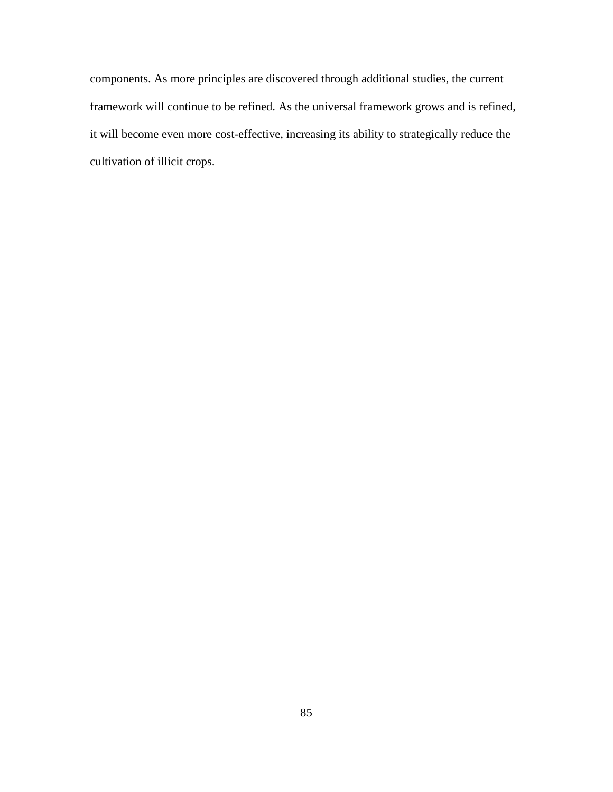components. As more principles are discovered through additional studies, the current framework will continue to be refined. As the universal framework grows and is refined, it will become even more cost-effective, increasing its ability to strategically reduce the cultivation of illicit crops.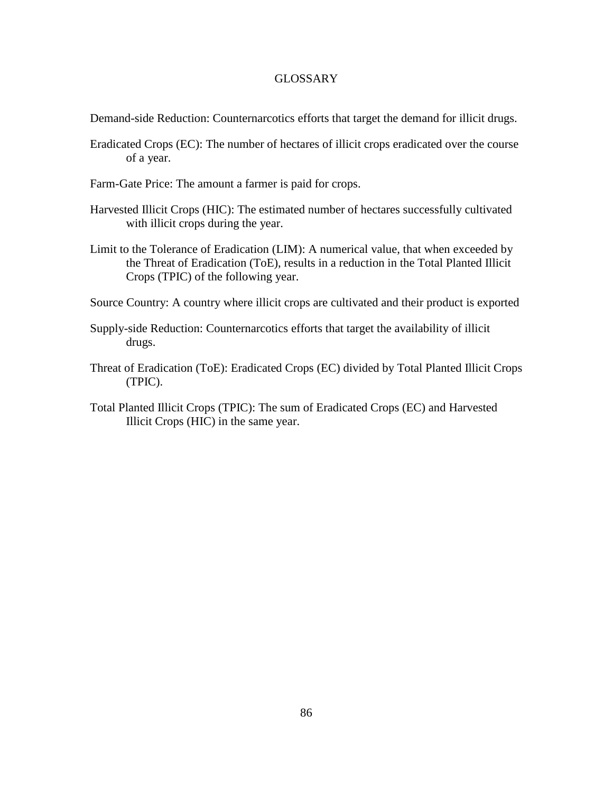# GLOSSARY

Demand-side Reduction: Counternarcotics efforts that target the demand for illicit drugs.

- Eradicated Crops (EC): The number of hectares of illicit crops eradicated over the course of a year.
- Farm-Gate Price: The amount a farmer is paid for crops.
- Harvested Illicit Crops (HIC): The estimated number of hectares successfully cultivated with illicit crops during the year.
- Limit to the Tolerance of Eradication (LIM): A numerical value, that when exceeded by the Threat of Eradication (ToE), results in a reduction in the Total Planted Illicit Crops (TPIC) of the following year.
- Source Country: A country where illicit crops are cultivated and their product is exported
- Supply-side Reduction: Counternarcotics efforts that target the availability of illicit drugs.
- Threat of Eradication (ToE): Eradicated Crops (EC) divided by Total Planted Illicit Crops (TPIC).
- Total Planted Illicit Crops (TPIC): The sum of Eradicated Crops (EC) and Harvested Illicit Crops (HIC) in the same year.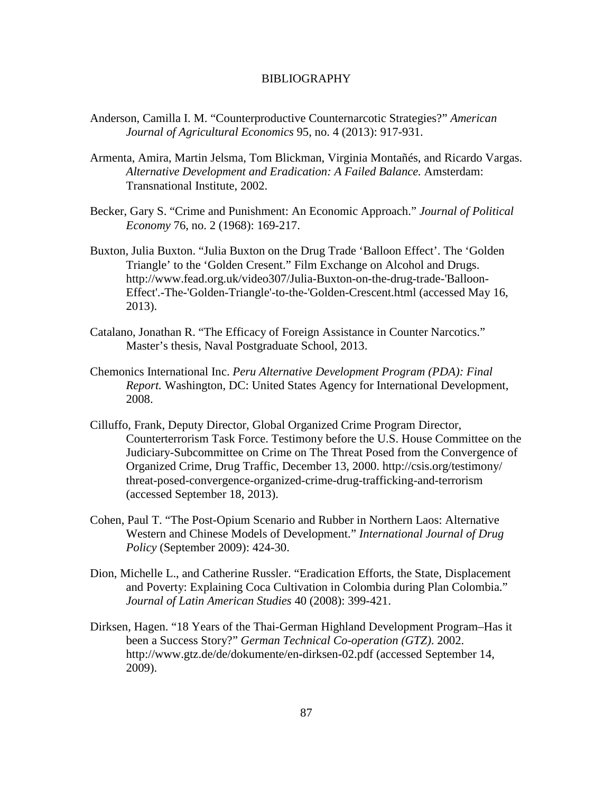### BIBLIOGRAPHY

- Anderson, Camilla I. M. "Counterproductive Counternarcotic Strategies?" *American Journal of Agricultural Economics* 95, no. 4 (2013): 917-931.
- Armenta, Amira, Martin Jelsma, Tom Blickman, Virginia Montañés, and Ricardo Vargas. *Alternative Development and Eradication: A Failed Balance.* Amsterdam: Transnational Institute, 2002.
- Becker, Gary S. "Crime and Punishment: An Economic Approach." *Journal of Political Economy* 76, no. 2 (1968): 169-217.
- Buxton, Julia Buxton. "Julia Buxton on the Drug Trade 'Balloon Effect'. The 'Golden Triangle' to the 'Golden Cresent." Film Exchange on Alcohol and Drugs. http://www.fead.org.uk/video307/Julia-Buxton-on-the-drug-trade-'Balloon-Effect'.-The-'Golden-Triangle'-to-the-'Golden-Crescent.html (accessed May 16, 2013).
- Catalano, Jonathan R. "The Efficacy of Foreign Assistance in Counter Narcotics." Master's thesis, Naval Postgraduate School, 2013.
- Chemonics International Inc. *Peru Alternative Development Program (PDA): Final Report.* Washington, DC: United States Agency for International Development, 2008.
- Cilluffo, Frank, Deputy Director, Global Organized Crime Program Director, Counterterrorism Task Force. Testimony before the U.S. House Committee on the Judiciary-Subcommittee on Crime on The Threat Posed from the Convergence of Organized Crime, Drug Traffic, December 13, 2000. http://csis.org/testimony/ threat-posed-convergence-organized-crime-drug-trafficking-and-terrorism (accessed September 18, 2013).
- Cohen, Paul T. "The Post-Opium Scenario and Rubber in Northern Laos: Alternative Western and Chinese Models of Development." *International Journal of Drug Policy* (September 2009): 424-30.
- Dion, Michelle L., and Catherine Russler. "Eradication Efforts, the State, Displacement and Poverty: Explaining Coca Cultivation in Colombia during Plan Colombia." *Journal of Latin American Studies* 40 (2008): 399-421.
- Dirksen, Hagen. "18 Years of the Thai-German Highland Development Program–Has it been a Success Story?" *German Technical Co-operation (GTZ)*. 2002. http://www.gtz.de/de/dokumente/en-dirksen-02.pdf (accessed September 14, 2009).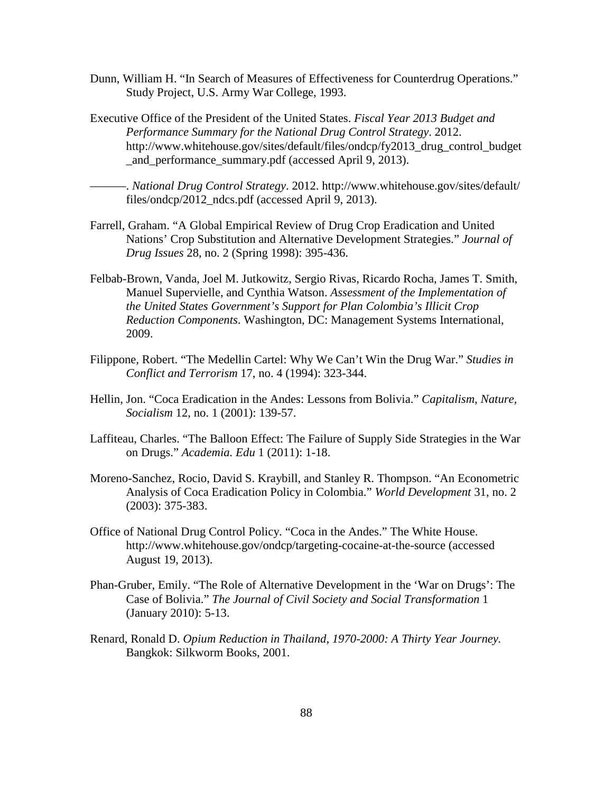- Dunn, William H. "In Search of Measures of Effectiveness for Counterdrug Operations." Study Project, U.S. Army War College, 1993.
- Executive Office of the President of the United States. *Fiscal Year 2013 Budget and Performance Summary for the National Drug Control Strategy*. 2012. http://www.whitehouse.gov/sites/default/files/ondcp/fy2013\_drug\_control\_budget \_and\_performance\_summary.pdf (accessed April 9, 2013).

———. *National Drug Control Strategy*. 2012. http://www.whitehouse.gov/sites/default/ files/ondcp/2012\_ndcs.pdf (accessed April 9, 2013).

- Farrell, Graham. "A Global Empirical Review of Drug Crop Eradication and United Nations' Crop Substitution and Alternative Development Strategies." *Journal of Drug Issues* 28, no. 2 (Spring 1998): 395-436.
- Felbab-Brown, Vanda, Joel M. Jutkowitz, Sergio Rivas, Ricardo Rocha, James T. Smith, Manuel Supervielle, and Cynthia Watson. *Assessment of the Implementation of the United States Government's Support for Plan Colombia's Illicit Crop Reduction Components*. Washington, DC: Management Systems International, 2009.
- Filippone, Robert. "The Medellin Cartel: Why We Can't Win the Drug War." *Studies in Conflict and Terrorism* 17, no. 4 (1994): 323-344.
- Hellin, Jon. "Coca Eradication in the Andes: Lessons from Bolivia." *Capitalism, Nature, Socialism* 12, no. 1 (2001): 139-57.
- Laffiteau, Charles. "The Balloon Effect: The Failure of Supply Side Strategies in the War on Drugs." *Academia. Edu* 1 (2011): 1-18.
- Moreno-Sanchez, Rocio, David S. Kraybill, and Stanley R. Thompson. "An Econometric Analysis of Coca Eradication Policy in Colombia." *World Development* 31, no. 2 (2003): 375-383.
- Office of National Drug Control Policy. "Coca in the Andes." The White House. http://www.whitehouse.gov/ondcp/targeting-cocaine-at-the-source (accessed August 19, 2013).
- Phan-Gruber, Emily. "The Role of Alternative Development in the 'War on Drugs': The Case of Bolivia." *The Journal of Civil Society and Social Transformation* 1 (January 2010): 5-13.
- Renard, Ronald D. *Opium Reduction in Thailand, 1970-2000: A Thirty Year Journey.* Bangkok: Silkworm Books, 2001.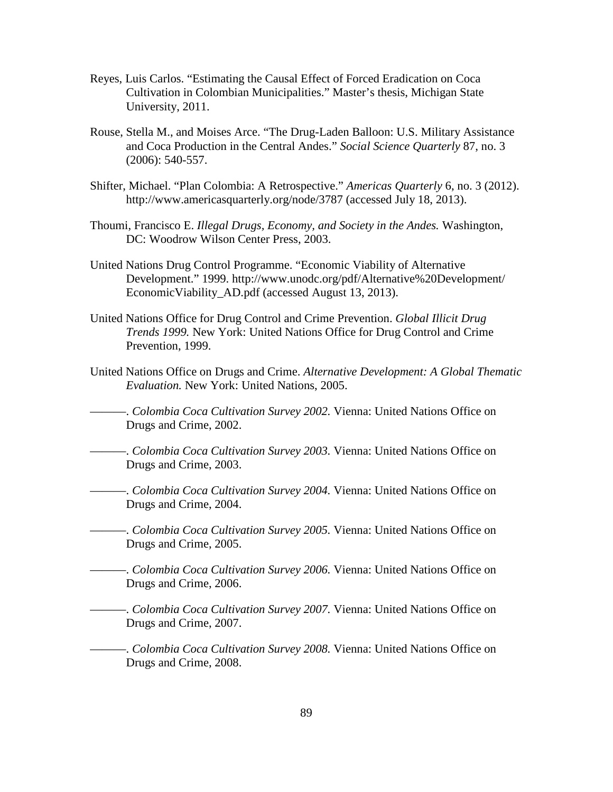- Reyes, Luis Carlos. "Estimating the Causal Effect of Forced Eradication on Coca Cultivation in Colombian Municipalities." Master's thesis, Michigan State University, 2011.
- Rouse, Stella M., and Moises Arce. "The Drug-Laden Balloon: U.S. Military Assistance and Coca Production in the Central Andes." *Social Science Quarterly* 87, no. 3 (2006): 540-557.
- Shifter, Michael. "Plan Colombia: A Retrospective." *Americas Quarterly* 6, no. 3 (2012). http://www.americasquarterly.org/node/3787 (accessed July 18, 2013).
- Thoumi, Francisco E. *Illegal Drugs, Economy, and Society in the Andes.* Washington, DC: Woodrow Wilson Center Press, 2003.
- United Nations Drug Control Programme. "Economic Viability of Alternative Development." 1999. http://www.unodc.org/pdf/Alternative%20Development/ EconomicViability\_AD.pdf (accessed August 13, 2013).
- United Nations Office for Drug Control and Crime Prevention. *Global Illicit Drug Trends 1999.* New York: United Nations Office for Drug Control and Crime Prevention, 1999.
- United Nations Office on Drugs and Crime. *Alternative Development: A Global Thematic Evaluation.* New York: United Nations, 2005.
	- ———. *Colombia Coca Cultivation Survey 2002.* Vienna: United Nations Office on Drugs and Crime, 2002.
- ———. *Colombia Coca Cultivation Survey 2003.* Vienna: United Nations Office on Drugs and Crime, 2003.
- ———. *Colombia Coca Cultivation Survey 2004.* Vienna: United Nations Office on Drugs and Crime, 2004.
- ———. *Colombia Coca Cultivation Survey 2005.* Vienna: United Nations Office on Drugs and Crime, 2005.
- ———. *Colombia Coca Cultivation Survey 2006.* Vienna: United Nations Office on Drugs and Crime, 2006.
- ———. *Colombia Coca Cultivation Survey 2007.* Vienna: United Nations Office on Drugs and Crime, 2007.
- ———. *Colombia Coca Cultivation Survey 2008.* Vienna: United Nations Office on Drugs and Crime, 2008.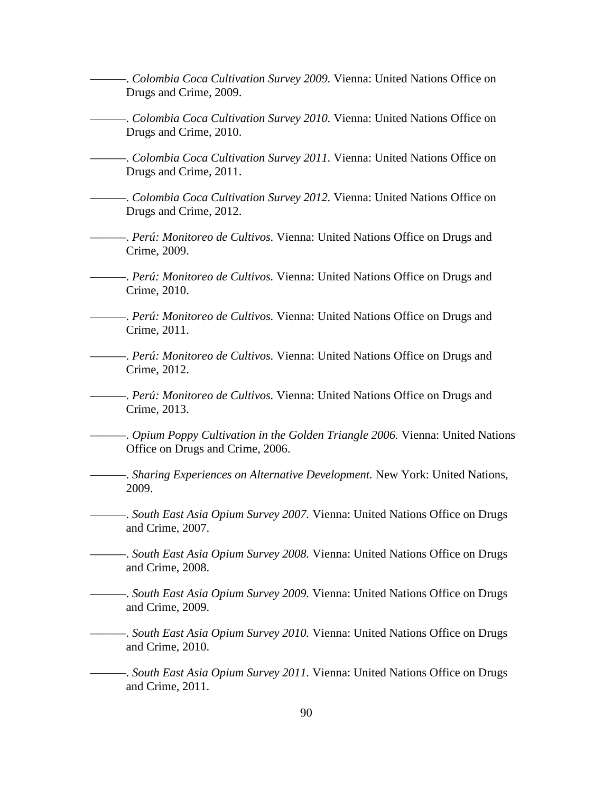———. *Colombia Coca Cultivation Survey 2009.* Vienna: United Nations Office on Drugs and Crime, 2009.

———. *Colombia Coca Cultivation Survey 2010.* Vienna: United Nations Office on Drugs and Crime, 2010.

———. *Colombia Coca Cultivation Survey 2011.* Vienna: United Nations Office on Drugs and Crime, 2011.

- ———. *Colombia Coca Cultivation Survey 2012.* Vienna: United Nations Office on Drugs and Crime, 2012.
- ———. *Perú: Monitoreo de Cultivos.* Vienna: United Nations Office on Drugs and Crime, 2009.
- ———. *Perú: Monitoreo de Cultivos.* Vienna: United Nations Office on Drugs and Crime, 2010.
- ———. *Perú: Monitoreo de Cultivos.* Vienna: United Nations Office on Drugs and Crime, 2011.
- ———. *Perú: Monitoreo de Cultivos.* Vienna: United Nations Office on Drugs and Crime, 2012.
- ———. *Perú: Monitoreo de Cultivos.* Vienna: United Nations Office on Drugs and Crime, 2013.
- ———. *Opium Poppy Cultivation in the Golden Triangle 2006.* Vienna: United Nations Office on Drugs and Crime, 2006.
- ———. *Sharing Experiences on Alternative Development.* New York: United Nations, 2009.
- ———. *South East Asia Opium Survey 2007.* Vienna: United Nations Office on Drugs and Crime, 2007.
- ———. *South East Asia Opium Survey 2008.* Vienna: United Nations Office on Drugs and Crime, 2008.
- ———. *South East Asia Opium Survey 2009.* Vienna: United Nations Office on Drugs and Crime, 2009.
- ———. *South East Asia Opium Survey 2010.* Vienna: United Nations Office on Drugs and Crime, 2010.
	- ———. *South East Asia Opium Survey 2011.* Vienna: United Nations Office on Drugs and Crime, 2011.